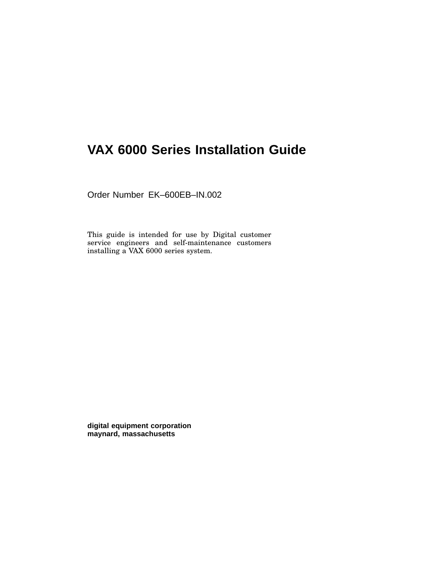# **VAX 6000 Series Installation Guide**

Order Number EK–600EB–IN.002

This guide is intended for use by Digital customer service engineers and self-maintenance customers installing a VAX 6000 series system.

**digital equipment corporation maynard, massachusetts**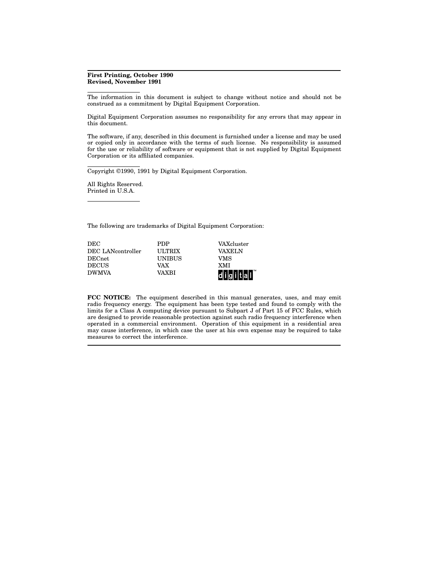#### **First Printing, October 1990 Revised, November 1991**

The information in this document is subject to change without notice and should not be construed as a commitment by Digital Equipment Corporation.

Digital Equipment Corporation assumes no responsibility for any errors that may appear in this document.

The software, if any, described in this document is furnished under a license and may be used or copied only in accordance with the terms of such license. No responsibility is assumed for the use or reliability of software or equipment that is not supplied by Digital Equipment Corporation or its affiliated companies.

Copyright ©1990, 1991 by Digital Equipment Corporation.

All Rights Reserved. Printed in U.S.A.

The following are trademarks of Digital Equipment Corporation:

| DEC               | <b>PDP</b>    | VAXcluster           |
|-------------------|---------------|----------------------|
| DEC LANcontroller | <b>ULTRIX</b> | <b>VAXELN</b>        |
| DECnet            | <b>UNIBUS</b> | VMS                  |
| DECUS             | VAX           | <b>XMI</b>           |
| <b>DWMVA</b>      | VAXRI         | digital <sup>"</sup> |

**FCC NOTICE:** The equipment described in this manual generates, uses, and may emit radio frequency energy. The equipment has been type tested and found to comply with the limits for a Class A computing device pursuant to Subpart J of Part 15 of FCC Rules, which are designed to provide reasonable protection against such radio frequency interference when operated in a commercial environment. Operation of this equipment in a residential area may cause interference, in which case the user at his own expense may be required to take measures to correct the interference.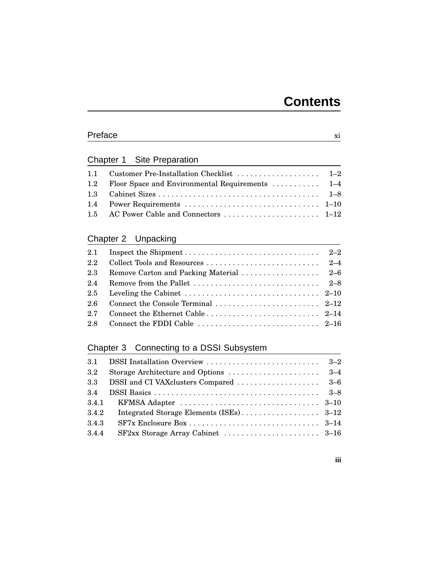### Preface xi

### Chapter 1 Site Preparation

| 1.2 Floor Space and Environmental Requirements  1–4 |  |
|-----------------------------------------------------|--|
|                                                     |  |
|                                                     |  |
|                                                     |  |

### Chapter 2 Unpacking

| 2.4 |  |
|-----|--|
|     |  |
|     |  |
|     |  |
|     |  |

### Chapter 3 Connecting to a DSSI Subsystem

| 3.1     |                                                                                            |  |
|---------|--------------------------------------------------------------------------------------------|--|
| $3.2\,$ |                                                                                            |  |
| 3.3     |                                                                                            |  |
| 3.4     |                                                                                            |  |
| 3.4.1   | KFMSA Adapter $\ldots \ldots \ldots \ldots \ldots \ldots \ldots \ldots \ldots \ldots 3-10$ |  |
| 3.4.2   |                                                                                            |  |
| 3.4.3   |                                                                                            |  |
| 3.4.4   |                                                                                            |  |

#### **iii**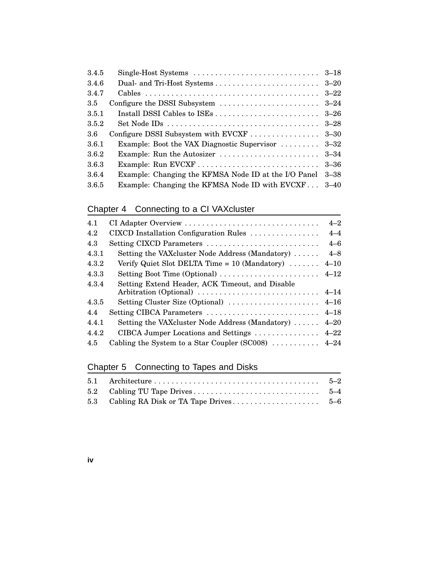| 3.4.5 | Single-Host Systems                                  | $3 - 18$ |
|-------|------------------------------------------------------|----------|
| 3.4.6 |                                                      | $3 - 20$ |
| 3.4.7 |                                                      | $3 - 22$ |
| 3.5   | Configure the DSSI Subsystem                         | $3 - 24$ |
| 3.5.1 |                                                      | $3 - 26$ |
| 3.5.2 |                                                      | $3 - 28$ |
| 3.6   | Configure DSSI Subsystem with EVCXF                  | $3 - 30$ |
| 3.6.1 | Example: Boot the VAX Diagnostic Supervisor          | $3 - 32$ |
| 3.6.2 | Example: Run the Autosizer                           | $3 - 34$ |
| 3.6.3 |                                                      | $3 - 36$ |
| 3.6.4 | Example: Changing the KFMSA Node ID at the I/O Panel | $3 - 38$ |
| 3.6.5 | Example: Changing the KFMSA Node ID with EVCXF       | $3 - 40$ |

## Chapter 4 Connecting to a CI VAXcluster

|                                                                       | $4 - 2$                                                                                                                           |
|-----------------------------------------------------------------------|-----------------------------------------------------------------------------------------------------------------------------------|
| CIXCD Installation Configuration Rules                                | $4 - 4$                                                                                                                           |
| Setting CIXCD Parameters                                              | $4 - 6$                                                                                                                           |
| Setting the VAXcluster Node Address (Mandatory)                       | $4 - 8$                                                                                                                           |
| Verify Quiet Slot DELTA Time = $10$ (Mandatory) $\dots \dots$         | $4 - 10$                                                                                                                          |
|                                                                       |                                                                                                                                   |
| Setting Extend Header, ACK Timeout, and Disable                       |                                                                                                                                   |
| Setting Cluster Size (Optional)                                       | $4 - 16$                                                                                                                          |
| Setting CIBCA Parameters                                              | $4 - 18$                                                                                                                          |
| Setting the VAXcluster Node Address (Mandatory)                       | $4 - 20$                                                                                                                          |
|                                                                       |                                                                                                                                   |
| Cabling the System to a Star Coupler (SC008) $\dots \dots \dots$ 4-24 |                                                                                                                                   |
|                                                                       | Setting Boot Time (Optional) $\ldots \ldots \ldots \ldots \ldots \ldots \ldots$ 4-12<br>CIBCA Jumper Locations and Settings  4–22 |

## Chapter 5 Connecting to Tapes and Disks

#### **iv**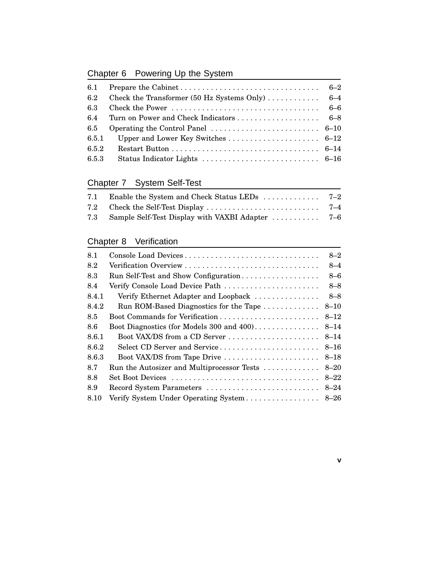## Chapter 6 Powering Up the System

| 6.5.1 |  |
|-------|--|
|       |  |
|       |  |
|       |  |

### Chapter 7 System Self-Test

### Chapter 8 Verification

| 8.1   |                                            | $8 - 2$  |
|-------|--------------------------------------------|----------|
| 8.2   |                                            | $8 - 4$  |
| 8.3   | Run Self-Test and Show Configuration       | $8 - 6$  |
| 8.4   | Verify Console Load Device Path            | $8 - 8$  |
| 8.4.1 | Verify Ethernet Adapter and Loopback       | $8 - 8$  |
| 8.4.2 | Run ROM-Based Diagnostics for the Tape     | $8 - 10$ |
| 8.5   |                                            | $8 - 12$ |
| 8.6   | Boot Diagnostics (for Models 300 and 400)  | $8 - 14$ |
| 8.6.1 | Boot VAX/DS from a CD Server               | $8 - 14$ |
| 8.6.2 | Select CD Server and Service               | $8 - 16$ |
| 8.6.3 | Boot VAX/DS from Tape Drive                | $8 - 18$ |
| 8.7   | Run the Autosizer and Multiprocessor Tests | $8 - 20$ |
| 8.8   | Set Boot Devices                           | $8 - 22$ |
| 8.9   | Record System Parameters                   | $8 - 24$ |
| 8.10  | Verify System Under Operating System       | $8 - 26$ |

**v**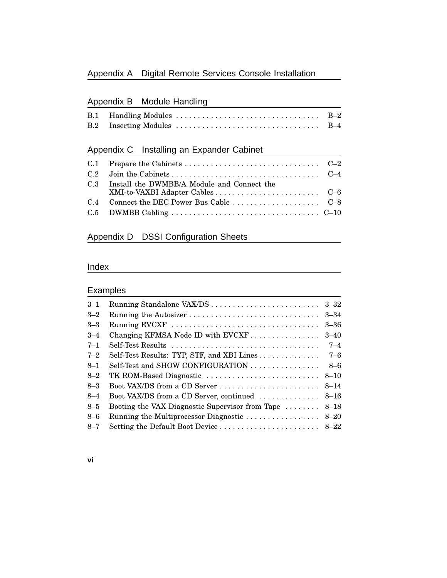### Appendix A Digital Remote Services Console Installation

### Appendix B Module Handling

### Appendix C Installing an Expander Cabinet

| C.3 | Install the DWMBB/A Module and Connect the |  |
|-----|--------------------------------------------|--|
|     |                                            |  |
|     |                                            |  |
|     |                                            |  |
|     |                                            |  |

#### Appendix D DSSI Configuration Sheets

#### Index

#### Examples

| $3 - 1$ |                                                 | $3 - 32$ |
|---------|-------------------------------------------------|----------|
| $3 - 2$ |                                                 | $3 - 34$ |
| $3 - 3$ | Running EVCXF                                   | $3 - 36$ |
| $3 - 4$ | Changing KFMSA Node ID with EVCXF               | $3 - 40$ |
| $7 - 1$ | Self-Test Results                               | $7 - 4$  |
| $7 - 2$ | Self-Test Results: TYP, STF, and XBI Lines      | $7 - 6$  |
| $8 - 1$ | Self-Test and SHOW CONFIGURATION                | $8 - 6$  |
| $8 - 2$ | TK ROM-Based Diagnostic                         | $8 - 10$ |
| $8 - 3$ |                                                 | $8 - 14$ |
| $8 - 4$ | Boot VAX/DS from a CD Server, continued         | $8 - 16$ |
| $8 - 5$ | Booting the VAX Diagnostic Supervisor from Tape | $8 - 18$ |
| $8 - 6$ | Running the Multiprocessor Diagnostic           | $8 - 20$ |
| $8 - 7$ |                                                 |          |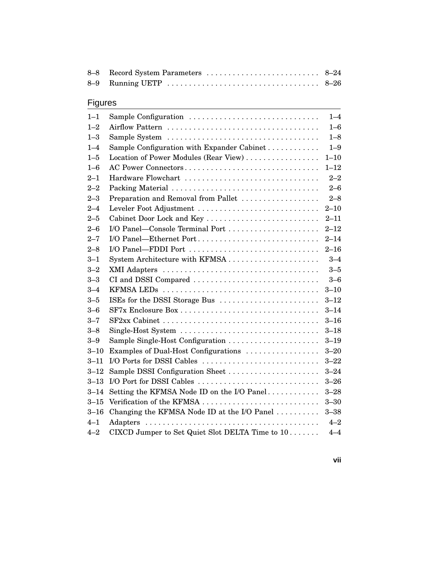| 8–8 Record System Parameters  8–24 |  |
|------------------------------------|--|
|                                    |  |

### **Figures**

| $1 - 1$  | Sample Configuration                            | $1 - 4$  |
|----------|-------------------------------------------------|----------|
| $1 - 2$  |                                                 | $1 - 6$  |
| $1 - 3$  |                                                 | $1 - 8$  |
| $1 - 4$  | Sample Configuration with Expander Cabinet      | $1 - 9$  |
| $1 - 5$  | Location of Power Modules (Rear View)           | $1 - 10$ |
| $1 - 6$  | AC Power Connectors                             | $1 - 12$ |
| $2 - 1$  | Hardware Flowchart                              | $2 - 2$  |
| $2 - 2$  |                                                 | $2 - 6$  |
| $2 - 3$  | Preparation and Removal from Pallet             | $2 - 8$  |
| $2 - 4$  | Leveler Foot Adjustment                         | $2 - 10$ |
| $2 - 5$  | Cabinet Door Lock and Key                       | $2 - 11$ |
| $2 - 6$  | I/O Panel-Console Terminal Port                 | $2 - 12$ |
| $2 - 7$  | I/O Panel—Ethernet Port                         | $2 - 14$ |
| $2 - 8$  | I/O Panel-FDDI Port                             | $2 - 16$ |
| $3 - 1$  | System Architecture with KFMSA                  | $3 - 4$  |
| $3 - 2$  |                                                 | $3 - 5$  |
| $3 - 3$  | CI and DSSI Compared                            | $3 - 6$  |
| $3 - 4$  |                                                 | $3 - 10$ |
| $3 - 5$  | ISEs for the DSSI Storage Bus                   | $3 - 12$ |
| $3 - 6$  |                                                 | $3 - 14$ |
| $3 - 7$  |                                                 | $3 - 16$ |
| $3 - 8$  | Single-Host System                              | $3 - 18$ |
| $3 - 9$  |                                                 | $3 - 19$ |
| $3 - 10$ | Examples of Dual-Host Configurations            | $3 - 20$ |
| $3 - 11$ | I/O Ports for DSSI Cables                       | $3 - 22$ |
| $3 - 12$ | Sample DSSI Configuration Sheet                 | $3 - 24$ |
| $3 - 13$ | I/O Port for DSSI Cables                        | $3 - 26$ |
| $3 - 14$ | Setting the KFMSA Node ID on the I/O Panel      | $3 - 28$ |
| $3 - 15$ | Verification of the KFMSA                       | $3 - 30$ |
| $3 - 16$ | Changing the KFMSA Node ID at the I/O Panel     | $3 - 38$ |
| $4 - 1$  |                                                 | $4 - 2$  |
| $4 - 2$  | CIXCD Jumper to Set Quiet Slot DELTA Time to 10 | $4 - 4$  |
|          |                                                 |          |

**vii**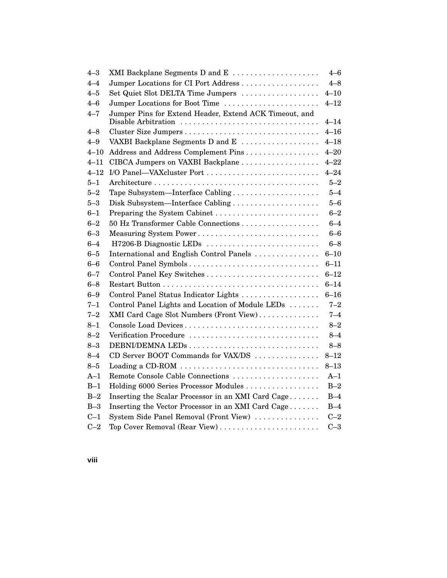| $4 - 3$  | XMI Backplane Segments D and E                                                | $4 - 6$  |
|----------|-------------------------------------------------------------------------------|----------|
| $4 - 4$  |                                                                               | $4 - 8$  |
| $4 - 5$  | Set Quiet Slot DELTA Time Jumpers                                             | $4 - 10$ |
| $4 - 6$  | Jumper Locations for Boot Time                                                | $4 - 12$ |
| $4 - 7$  | Jumper Pins for Extend Header, Extend ACK Timeout, and<br>Disable Arbitration | $4 - 14$ |
| $4 - 8$  |                                                                               | $4 - 16$ |
| $4 - 9$  | VAXBI Backplane Segments D and E                                              | $4 - 18$ |
| $4 - 10$ | Address and Address Complement Pins                                           | $4 - 20$ |
| $4 - 11$ | CIBCA Jumpers on VAXBI Backplane                                              | $4 - 22$ |
| $4 - 12$ | I/O Panel—VAXcluster Port                                                     | $4 - 24$ |
| $5 - 1$  |                                                                               | $5 - 2$  |
| $5 - 2$  | Tape Subsystem-Interface Cabling                                              | $5 - 4$  |
| $5 - 3$  |                                                                               | $5 - 6$  |
| $6 - 1$  |                                                                               | $6 - 2$  |
| $6 - 2$  | Preparing the System Cabinet                                                  |          |
|          |                                                                               | $6 - 4$  |
| $6 - 3$  | Measuring System Power                                                        | $6 - 6$  |
| $6 - 4$  | H7206-B Diagnostic LEDs                                                       | $6 - 8$  |
| $6 - 5$  | International and English Control Panels                                      | $6 - 10$ |
| $6 - 6$  |                                                                               | $6 - 11$ |
| $6 - 7$  | Control Panel Key Switches                                                    | $6 - 12$ |
| $6 - 8$  |                                                                               | $6 - 14$ |
| $6-9$    | Control Panel Status Indicator Lights                                         | $6 - 16$ |
| $7 - 1$  | Control Panel Lights and Location of Module LEDs                              | $7 - 2$  |
| $7 - 2$  | XMI Card Cage Slot Numbers (Front View)                                       | $7 - 4$  |
| $8 - 1$  |                                                                               | $8 - 2$  |
| $8 - 2$  | Verification Procedure                                                        | $8 - 4$  |
| $8 - 3$  |                                                                               | $8 - 8$  |
| $8 - 4$  | CD Server BOOT Commands for VAX/DS                                            | $8 - 12$ |
| $8 - 5$  |                                                                               | $8 - 13$ |
| $A-1$    | Remote Console Cable Connections                                              | $A-1$    |
| $B-1$    | Holding 6000 Series Processor Modules                                         | $B-2$    |
| $B-2$    | Inserting the Scalar Processor in an XMI Card Cage                            | $B-4$    |
| $B-3$    | Inserting the Vector Processor in an XMI Card Cage                            | $B-4$    |
| $C-1$    | System Side Panel Removal (Front View)                                        | $C-2$    |
| $C-2$    | Top Cover Removal (Rear View)                                                 | $C-3$    |

**viii**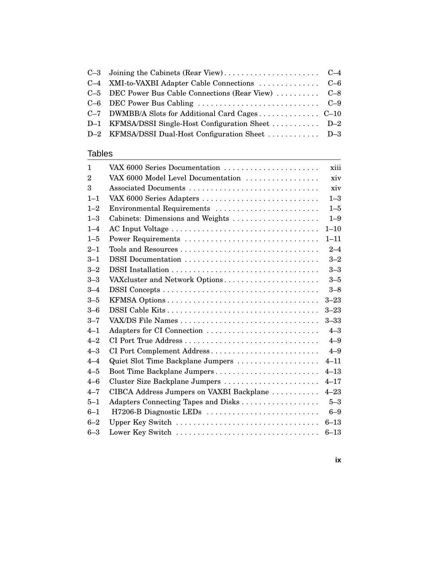| C-5 DEC Power Bus Cable Connections (Rear View) $\dots \dots \dots$ C-8 |  |
|-------------------------------------------------------------------------|--|
|                                                                         |  |
|                                                                         |  |
| D-1 KFMSA/DSSI Single-Host Configuration Sheet  D-2                     |  |
| D-2 KFMSA/DSSI Dual-Host Configuration Sheet  D-3                       |  |

### Tables

| $\mathbf{1}$   | VAX 6000 Series Documentation            | xiii     |
|----------------|------------------------------------------|----------|
| $\overline{2}$ | VAX 6000 Model Level Documentation       | xiv      |
| 3              |                                          | xiv      |
| $1 - 1$        | VAX 6000 Series Adapters                 | $1 - 3$  |
| $1 - 2$        | Environmental Requirements               | $1 - 5$  |
| $1 - 3$        | Cabinets: Dimensions and Weights         | $1 - 9$  |
| $1 - 4$        |                                          | $1 - 10$ |
| $1 - 5$        |                                          | $1 - 11$ |
| $2 - 1$        |                                          | $2 - 4$  |
| $3 - 1$        |                                          | $3 - 2$  |
| $3 - 2$        |                                          | $3 - 3$  |
| $3 - 3$        | VAXcluster and Network Options           | $3 - 5$  |
| $3 - 4$        |                                          | $3 - 8$  |
| $3 - 5$        |                                          | $3 - 23$ |
| $3 - 6$        | DSSI Cable Kits                          | $3 - 23$ |
| $3 - 7$        |                                          | $3 - 33$ |
| $4 - 1$        | Adapters for CI Connection               | $4 - 3$  |
| $4 - 2$        |                                          | $4 - 9$  |
| $4 - 3$        |                                          | $4 - 9$  |
| $4 - 4$        | Quiet Slot Time Backplane Jumpers        | $4 - 11$ |
| $4 - 5$        | Boot Time Backplane Jumpers              | $4 - 13$ |
| $4 - 6$        | Cluster Size Backplane Jumpers           | $4 - 17$ |
| $4 - 7$        | CIBCA Address Jumpers on VAXBI Backplane | $4 - 23$ |
| $5 - 1$        |                                          | $5 - 3$  |
| $6 - 1$        | H7206-B Diagnostic LEDs                  | $6 - 9$  |
| $6 - 2$        | Upper Key Switch                         | $6 - 13$ |
| $6 - 3$        | Lower Key Switch                         | $6 - 13$ |

**ix**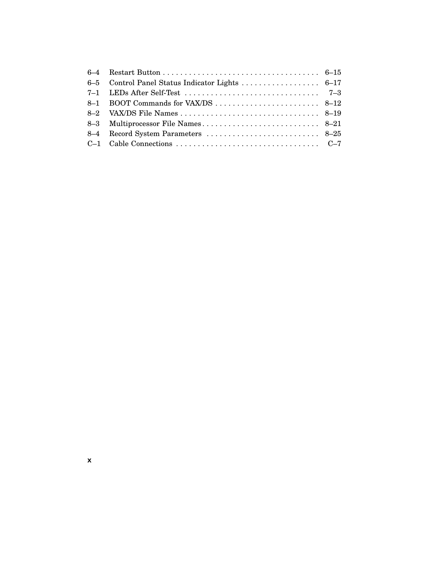**x**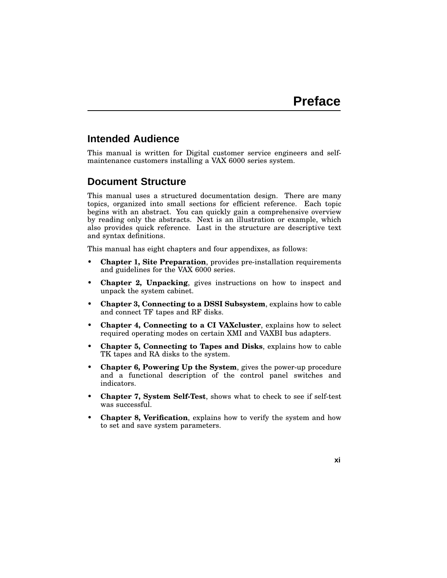#### **Intended Audience**

This manual is written for Digital customer service engineers and selfmaintenance customers installing a VAX 6000 series system.

#### **Document Structure**

This manual uses a structured documentation design. There are many topics, organized into small sections for efficient reference. Each topic begins with an abstract. You can quickly gain a comprehensive overview by reading only the abstracts. Next is an illustration or example, which also provides quick reference. Last in the structure are descriptive text and syntax definitions.

This manual has eight chapters and four appendixes, as follows:

- **Chapter 1, Site Preparation**, provides pre-installation requirements and guidelines for the VAX 6000 series.
- **Chapter 2, Unpacking**, gives instructions on how to inspect and unpack the system cabinet.
- **Chapter 3, Connecting to a DSSI Subsystem**, explains how to cable and connect TF tapes and RF disks.
- **Chapter 4, Connecting to a CI VAXcluster**, explains how to select required operating modes on certain XMI and VAXBI bus adapters.
- **Chapter 5, Connecting to Tapes and Disks**, explains how to cable TK tapes and RA disks to the system.
- **Chapter 6, Powering Up the System**, gives the power-up procedure and a functional description of the control panel switches and indicators.
- **Chapter 7, System Self-Test**, shows what to check to see if self-test was successful.
- **Chapter 8, Verification**, explains how to verify the system and how to set and save system parameters.

**xi**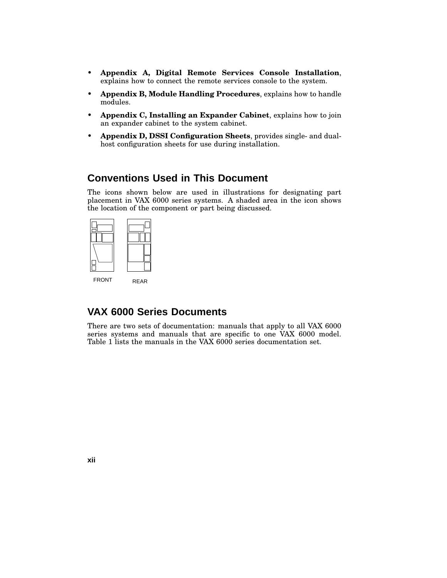- **Appendix A, Digital Remote Services Console Installation**, explains how to connect the remote services console to the system.
- **Appendix B, Module Handling Procedures**, explains how to handle modules.
- **Appendix C, Installing an Expander Cabinet**, explains how to join an expander cabinet to the system cabinet.
- **Appendix D, DSSI Configuration Sheets**, provides single- and dualhost configuration sheets for use during installation.

### **Conventions Used in This Document**

The icons shown below are used in illustrations for designating part placement in VAX 6000 series systems. A shaded area in the icon shows the location of the component or part being discussed.



### **VAX 6000 Series Documents**

There are two sets of documentation: manuals that apply to all VAX 6000 series systems and manuals that are specific to one VAX 6000 model. Table 1 lists the manuals in the VAX 6000 series documentation set.

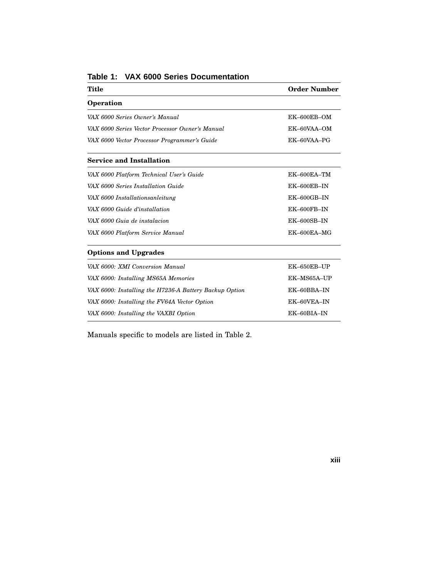| Title                                                  | <b>Order Number</b> |
|--------------------------------------------------------|---------------------|
| Operation                                              |                     |
| VAX 6000 Series Owner's Manual                         | $EK-600EB-OM$       |
| VAX 6000 Series Vector Processor Owner's Manual        | EK-60VAA-OM         |
| VAX 6000 Vector Processor Programmer's Guide           | EK-60VAA-PG         |
| <b>Service and Installation</b>                        |                     |
| VAX 6000 Platform Technical User's Guide               | EK-600EA-TM         |
| VAX 6000 Series Installation Guide                     | EK-600EB-IN         |
| VAX 6000 Installationsanleitung                        | $EK-600GB-IN$       |
| VAX 6000 Guide d'installation                          | EK-600FB-IN         |
| VAX 6000 Guia de instalacion                           | $EK$ -600SB-IN      |
| VAX 6000 Platform Service Manual                       | $EK-600EA-MG$       |
| <b>Options and Upgrades</b>                            |                     |
| VAX 6000: XMI Conversion Manual                        | EK-650EB-UP         |
| VAX 6000: Installing MS65A Memories                    | EK-MS65A-UP         |
| VAX 6000: Installing the H7236-A Battery Backup Option | EK-60BBA-IN         |
| VAX 6000: Installing the FV64A Vector Option           | EK-60VEA-IN         |
| VAX 6000: Installing the VAXBI Option                  | EK-60BIA-IN         |

**Table 1: VAX 6000 Series Documentation**

Manuals specific to models are listed in Table 2.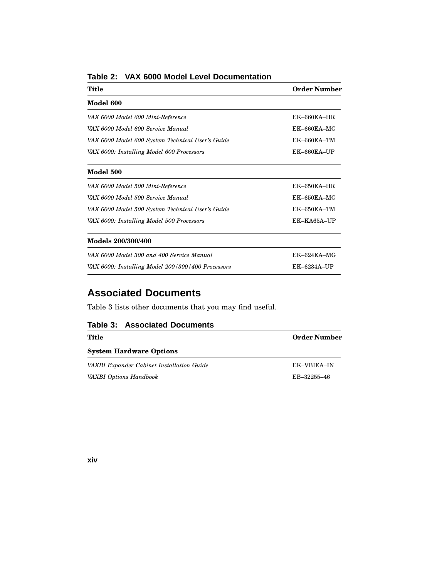| Title                                             | <b>Order Number</b> |
|---------------------------------------------------|---------------------|
| Model 600                                         |                     |
| VAX 6000 Model 600 Mini-Reference                 | EK-660EA-HR         |
| VAX 6000 Model 600 Service Manual                 | $EK-660EA-MG$       |
| VAX 6000 Model 600 System Technical User's Guide  | $EK-660EA-TM$       |
| VAX 6000: Installing Model 600 Processors         | EK-660EA-UP         |
| Model 500                                         |                     |
| VAX 6000 Model 500 Mini-Reference                 | $EK-650EA-HR$       |
| VAX 6000 Model 500 Service Manual                 | $EK-650EA-MG$       |
| VAX 6000 Model 500 System Technical User's Guide  | $EK-650EA-TM$       |
| VAX 6000: Installing Model 500 Processors         | EK-KA65A-UP         |
| Models 200/300/400                                |                     |
| VAX 6000 Model 300 and 400 Service Manual         | $EK-624EA-MG$       |
| VAX 6000: Installing Model 200/300/400 Processors | EK-6234A-UP         |

**Table 2: VAX 6000 Model Level Documentation**

### **Associated Documents**

Table 3 lists other documents that you may find useful.

|  | <b>Table 3: Associated Documents</b> |  |
|--|--------------------------------------|--|
|--|--------------------------------------|--|

| Title                                     | <b>Order Number</b> |
|-------------------------------------------|---------------------|
| <b>System Hardware Options</b>            |                     |
| VAXBI Expander Cabinet Installation Guide | EK-VBIEA-IN         |
| VAXBI Options Handbook                    | EB-32255-46         |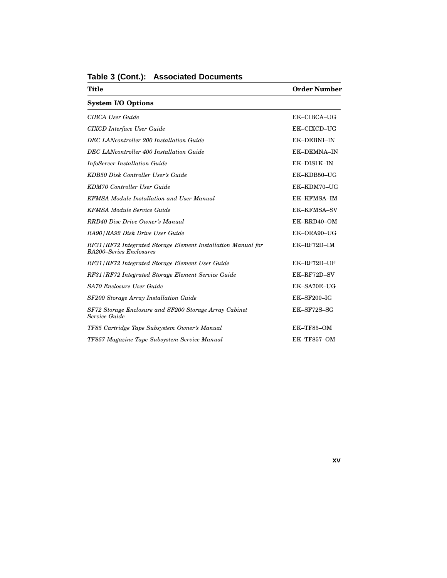| Title                                                                                          | <b>Order Number</b> |  |
|------------------------------------------------------------------------------------------------|---------------------|--|
| <b>System I/O Options</b>                                                                      |                     |  |
| <b>CIBCA</b> User Guide                                                                        | EK-CIBCA-UG         |  |
| CIXCD Interface User Guide                                                                     | EK-CIXCD-UG         |  |
| DEC LANcontroller 200 Installation Guide                                                       | EK-DEBNI-IN         |  |
| DEC LANcontroller 400 Installation Guide                                                       | EK-DEMNA-IN         |  |
| <b>InfoServer Installation Guide</b>                                                           | EK-DIS1K-IN         |  |
| KDB50 Disk Controller User's Guide                                                             | EK-KDB50-UG         |  |
| KDM70 Controller User Guide                                                                    | EK-KDM70-UG         |  |
| <b>KFMSA Module Installation and User Manual</b>                                               | EK-KFMSA-IM         |  |
| <b>KFMSA Module Service Guide</b>                                                              | EK-KFMSA-SV         |  |
| RRD40 Disc Drive Owner's Manual                                                                | EK-RRD40-OM         |  |
| RA90/RA92 Disk Drive User Guide                                                                | EK-ORA90-UG         |  |
| RF31/RF72 Integrated Storage Element Installation Manual for<br><b>BA200-Series Enclosures</b> | EK-RF72D-IM         |  |
| RF31/RF72 Integrated Storage Element User Guide                                                | EK-RF72D-UF         |  |
| RF31/RF72 Integrated Storage Element Service Guide                                             | EK-RF72D-SV         |  |
| <b>SA70 Enclosure User Guide</b>                                                               | EK-SA70E-UG         |  |
| SF200 Storage Array Installation Guide                                                         | $EK$ -SF200-IG      |  |
| SF72 Storage Enclosure and SF200 Storage Array Cabinet<br>Service Guide                        | EK-SF72S-SG         |  |
| TF85 Cartridge Tape Subsystem Owner's Manual                                                   | EK-TF85-OM          |  |
| TF857 Magazine Tape Subsystem Service Manual                                                   | EK-TF857-OM         |  |

**Table 3 (Cont.): Associated Documents**

**xv**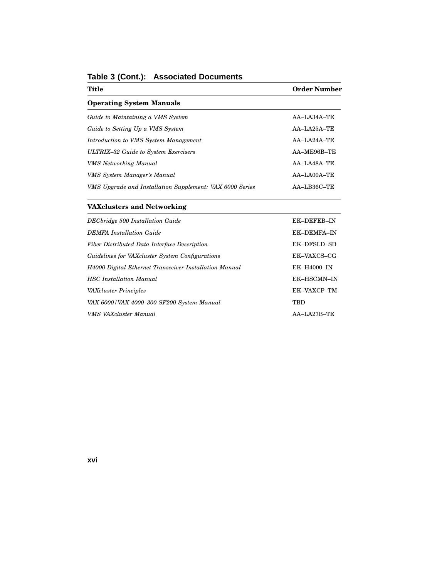| Title                                                    | <b>Order Number</b> |  |  |  |
|----------------------------------------------------------|---------------------|--|--|--|
| <b>Operating System Manuals</b>                          |                     |  |  |  |
| Guide to Maintaining a VMS System                        | $AA-LA34A-TE$       |  |  |  |
| Guide to Setting Up a VMS System                         | $AA-LA25A-TE$       |  |  |  |
| Introduction to VMS System Management                    | $AA-LA24A-TE$       |  |  |  |
| ULTRIX-32 Guide to System Exercisers                     | AA-ME96B-TE         |  |  |  |
| <b>VMS</b> Networking Manual                             | $AA-LA48A-TE$       |  |  |  |
| VMS System Manager's Manual                              | $AA-LAO0A-TE$       |  |  |  |
| VMS Upgrade and Installation Supplement: VAX 6000 Series | AA-LB36C-TE         |  |  |  |
| VAXclusters and Networking                               |                     |  |  |  |
| DECbridge 500 Installation Guide                         | EK-DEFEB-IN         |  |  |  |
| <b>DEMFA</b> Installation Guide                          | <b>EK-DEMFA-IN</b>  |  |  |  |
| Fiber Distributed Data Interface Description             | EK-DFSLD-SD         |  |  |  |
| Guidelines for VAXcluster System Configurations          | EK-VAXCS-CG         |  |  |  |
| H4000 Digital Ethernet Transceiver Installation Manual   | EK-H4000-IN         |  |  |  |
| <b>HSC</b> Installation Manual                           | EK-HSCMN-IN         |  |  |  |
| VAXcluster Principles                                    | EK-VAXCP-TM         |  |  |  |
| VAX 6000/VAX 4000-300 SF200 System Manual                | TBD                 |  |  |  |
| VMS VAXcluster Manual                                    | $AA-LA27B-TE$       |  |  |  |

**Table 3 (Cont.): Associated Documents**

**xvi**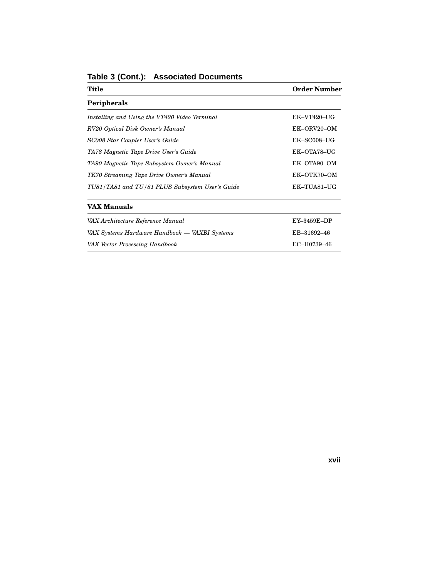| Title                                           | <b>Order Number</b> |  |
|-------------------------------------------------|---------------------|--|
| <b>Peripherals</b>                              |                     |  |
| Installing and Using the VT420 Video Terminal   | $EK-VT420-UG$       |  |
| RV20 Optical Disk Owner's Manual                | EK-ORV20-OM         |  |
| SC008 Star Coupler User's Guide                 | $EK$ -SC008-UG      |  |
| TA78 Magnetic Tape Drive User's Guide           | EK-OTA78-UG         |  |
| TA90 Magnetic Tape Subsystem Owner's Manual     | EK-OTA90-OM         |  |
| TK70 Streaming Tape Drive Owner's Manual        | EK-OTK70-OM         |  |
| TU81/TA81 and TU/81 PLUS Subsystem User's Guide | EK-TUA81-UG         |  |
| <b>VAX Manuals</b>                              |                     |  |
| VAX Architecture Reference Manual               | EY-3459E-DP         |  |
| VAX Systems Hardware Handbook — VAXBI Systems   | EB-31692-46         |  |
| VAX Vector Processing Handbook                  | EC-H0739-46         |  |

**Table 3 (Cont.): Associated Documents**

**xvii**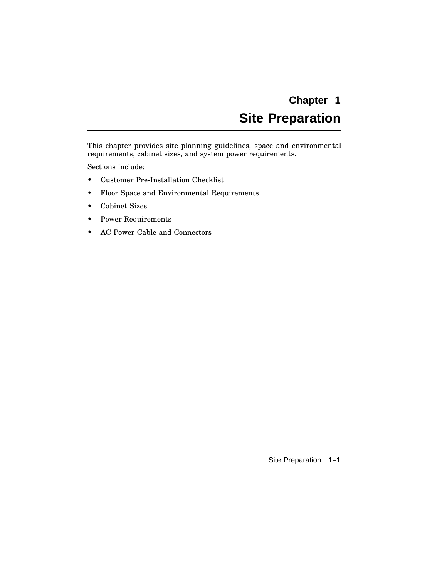# **Chapter 1 Site Preparation**

This chapter provides site planning guidelines, space and environmental requirements, cabinet sizes, and system power requirements.

Sections include:

- Customer Pre-Installation Checklist
- Floor Space and Environmental Requirements
- Cabinet Sizes
- Power Requirements
- AC Power Cable and Connectors

Site Preparation **1–1**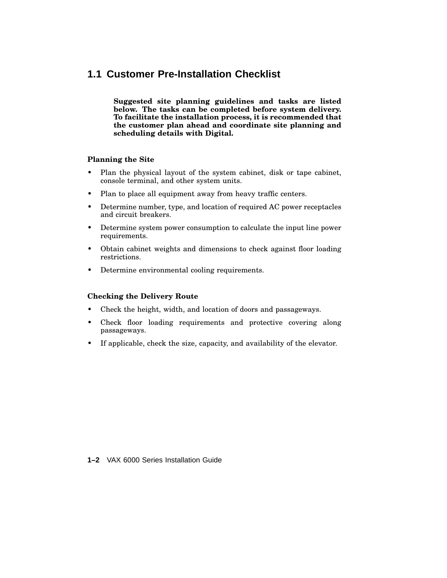### **1.1 Customer Pre-Installation Checklist**

**Suggested site planning guidelines and tasks are listed below. The tasks can be completed before system delivery. To facilitate the installation process, it is recommended that the customer plan ahead and coordinate site planning and scheduling details with Digital.**

#### **Planning the Site**

- Plan the physical layout of the system cabinet, disk or tape cabinet, console terminal, and other system units.
- Plan to place all equipment away from heavy traffic centers.
- Determine number, type, and location of required AC power receptacles and circuit breakers.
- Determine system power consumption to calculate the input line power requirements.
- Obtain cabinet weights and dimensions to check against floor loading restrictions.
- Determine environmental cooling requirements.

#### **Checking the Delivery Route**

- Check the height, width, and location of doors and passageways.
- Check floor loading requirements and protective covering along passageways.
- If applicable, check the size, capacity, and availability of the elevator.

**1–2** VAX 6000 Series Installation Guide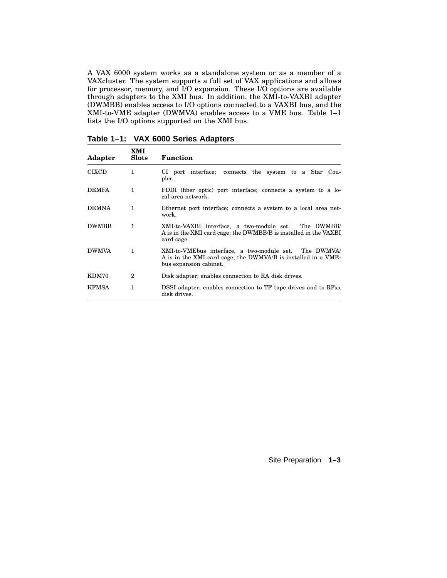A VAX 6000 system works as a standalone system or as a member of a VAXcluster. The system supports a full set of VAX applications and allows for processor, memory, and I/O expansion. These I/O options are available through adapters to the XMI bus. In addition, the XMI-to-VAXBI adapter (DWMBB) enables access to I/O options connected to a VAXBI bus, and the XMI-to-VME adapter (DWMVA) enables access to a VME bus. Table 1–1 lists the I/O options supported on the XMI bus.

**Adapter XMI Function** CIXCD 1 CI port interface; connects the system to a Star Coupler. DEMFA 1 FDDI (fiber optic) port interface; connects a system to a local area network. DEMNA 1 Ethernet port interface; connects a system to a local area network. DWMBB 1 XMI-to-VAXBI interface, a two-module set. The DWMBB/ A is in the XMI card cage; the DWMBB/B is installed in the VAXBI card cage. DWMVA 1 XMI-to-VMEbus interface, a two-module set. The DWMVA/ A is in the XMI card cage; the DWMVA/B is installed in a VMEbus expansion cabinet. KDM70 2 Disk adapter; enables connection to RA disk drives. KFMSA 1 DSSI adapter; enables connection to TF tape drives and to RFxx disk drives.

**Table 1–1: VAX 6000 Series Adapters**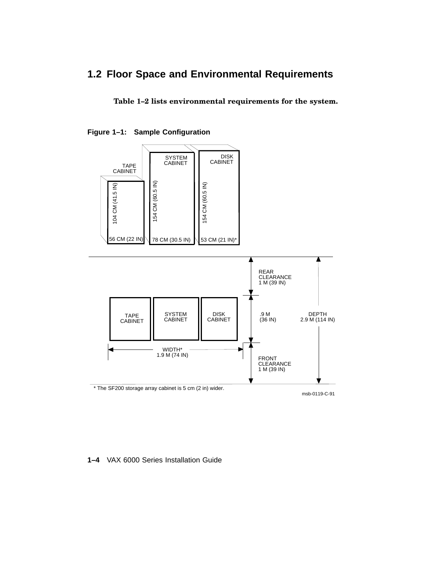## **1.2 Floor Space and Environmental Requirements**

**Table 1–2 lists environmental requirements for the system.**



**Figure 1–1: Sample Configuration**

**1–4** VAX 6000 Series Installation Guide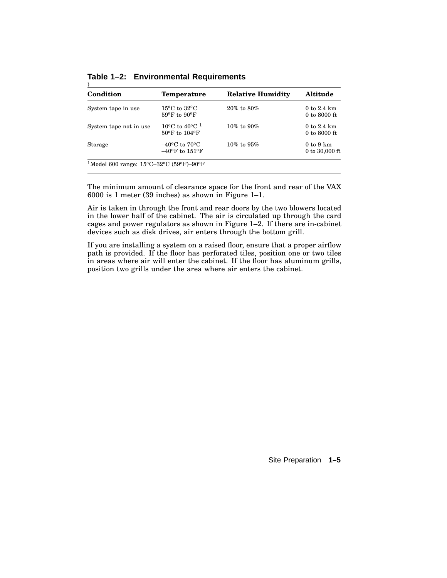| Condition                                                                                            | <b>Temperature</b>                                                                 | <b>Relative Humidity</b> | Altitude                                         |
|------------------------------------------------------------------------------------------------------|------------------------------------------------------------------------------------|--------------------------|--------------------------------------------------|
| System tape in use                                                                                   | $15^{\circ}$ C to $32^{\circ}$ C<br>$59^{\circ}$ F to $90^{\circ}$ F               | $20\%$ to $80\%$         | $0$ to 2.4 km<br>0 to 8000 $ft$                  |
| System tape not in use.                                                                              | $10^{\circ}$ C to $40^{\circ}$ C <sup>1</sup><br>$50^{\circ}$ F to $104^{\circ}$ F | 10\% to 90\%             | $0 \text{ to } 2.4 \text{ km}$<br>$0$ to 8000 ft |
| Storage                                                                                              | $-40^{\circ}$ C to $70^{\circ}$ C<br>$-40^{\circ}$ F to 151°F                      | 10% to 95%               | 0 to 9 km<br>0 to $30,000$ ft                    |
| <sup>1</sup> Model 600 range: $15^{\circ}$ C-32 <sup>o</sup> C (59 <sup>o</sup> F)-90 <sup>o</sup> F |                                                                                    |                          |                                                  |

**Table 1–2: Environmental Requirements**

 $\lambda$ 

The minimum amount of clearance space for the front and rear of the VAX 6000 is 1 meter (39 inches) as shown in Figure 1–1.

Air is taken in through the front and rear doors by the two blowers located in the lower half of the cabinet. The air is circulated up through the card cages and power regulators as shown in Figure 1–2. If there are in-cabinet devices such as disk drives, air enters through the bottom grill.

If you are installing a system on a raised floor, ensure that a proper airflow path is provided. If the floor has perforated tiles, position one or two tiles in areas where air will enter the cabinet. If the floor has aluminum grills, position two grills under the area where air enters the cabinet.

Site Preparation **1–5**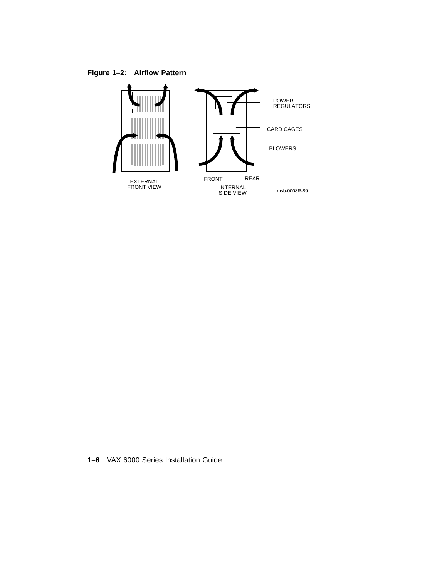#### **Figure 1–2: Airflow Pattern**



**1–6** VAX 6000 Series Installation Guide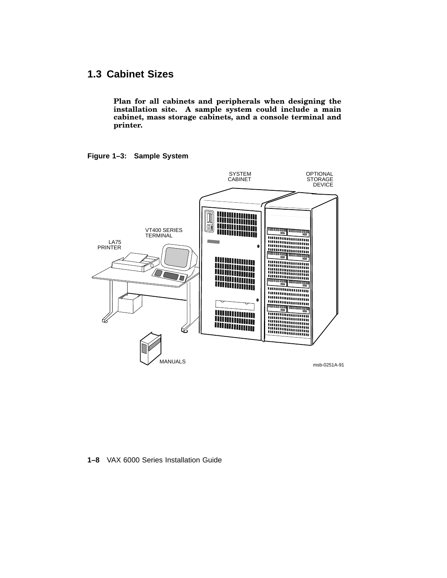#### **1.3 Cabinet Sizes**

**Plan for all cabinets and peripherals when designing the installation site. A sample system could include a main cabinet, mass storage cabinets, and a console terminal and printer.**



**Figure 1–3: Sample System**

#### **1–8** VAX 6000 Series Installation Guide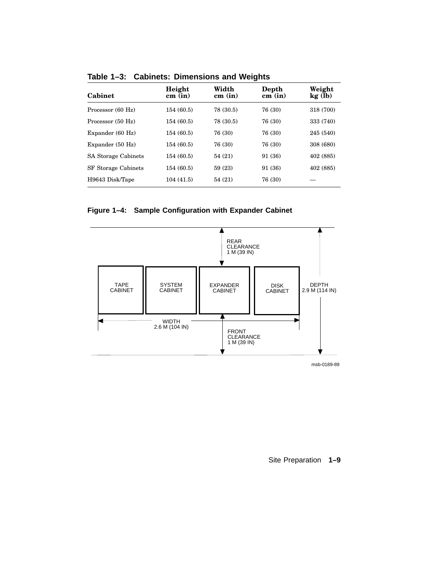| Cabinet                    | Height<br>cm (in) | Width<br>cm (in) | Depth<br>cm (in) | Weight<br>kg(h) |
|----------------------------|-------------------|------------------|------------------|-----------------|
| Processor (60 Hz)          | 154 (60.5)        | 78 (30.5)        | 76 (30)          | 318 (700)       |
| Processor (50 Hz)          | 154 (60.5)        | 78 (30.5)        | 76 (30)          | 333 (740)       |
| Expander (60 Hz)           | 154 (60.5)        | 76 (30)          | 76 (30)          | 245 (540)       |
| Expander (50 Hz)           | 154 (60.5)        | 76 (30)          | 76 (30)          | 308 (680)       |
| SA Storage Cabinets        | 154 (60.5)        | 54 (21)          | 91 (36)          | 402 (885)       |
| <b>SF</b> Storage Cabinets | 154 (60.5)        | 59 (23)          | 91 (36)          | 402 (885)       |
| H9643 Disk/Tape            | 104 (41.5)        | 54 (21)          | 76 (30)          |                 |

**Table 1–3: Cabinets: Dimensions and Weights**

**Figure 1–4: Sample Configuration with Expander Cabinet**



msb-0189-89

Site Preparation **1–9**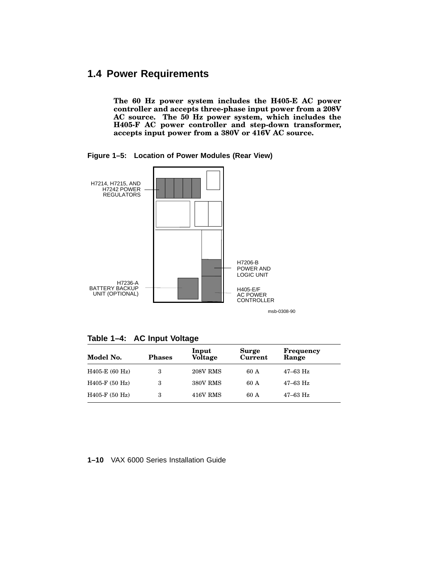### **1.4 Power Requirements**

**The 60 Hz power system includes the H405-E AC power controller and accepts three-phase input power from a 208V AC source. The 50 Hz power system, which includes the H405-F AC power controller and step-down transformer, accepts input power from a 380V or 416V AC source.**



**Figure 1–5: Location of Power Modules (Rear View)**

|  |  |  |  | Table 1-4: AC Input Voltage |
|--|--|--|--|-----------------------------|
|--|--|--|--|-----------------------------|

| Model No.       | <b>Phases</b> | Input<br><b>Voltage</b> | Surge<br>Current | <b>Frequency</b><br>Range |
|-----------------|---------------|-------------------------|------------------|---------------------------|
| $H405-E(60 Hz)$ | 3             | <b>208V RMS</b>         | 60 A             | $47 - 63$ Hz              |
| $H405-F(50 Hz)$ | 3             | 380V RMS                | 60 A             | $47 - 63$ Hz              |
| $H405-F(50 Hz)$ | 3             | <b>416V RMS</b>         | 60 A             | $47 - 63$ Hz              |

**1–10** VAX 6000 Series Installation Guide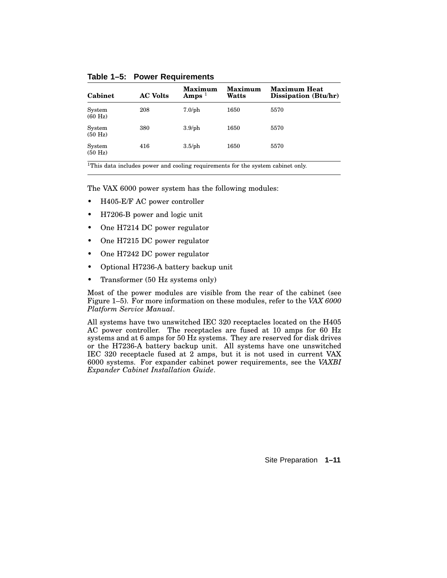| Cabinet           | <b>AC Volts</b> | <b>Maximum</b><br>Amps $1$ | Maximum<br>Watts | <b>Maximum Heat</b><br>Dissipation (Btu/hr) |
|-------------------|-----------------|----------------------------|------------------|---------------------------------------------|
| System<br>(60 Hz) | 208             | $7.0$ /ph                  | 1650             | 5570                                        |
| System<br>(50 Hz) | 380             | $3.9$ /ph                  | 1650             | 5570                                        |
| System<br>(50 Hz) | 416             | $3.5/\text{ph}$            | 1650             | 5570                                        |

**Table 1–5: Power Requirements**

<sup>1</sup>This data includes power and cooling requirements for the system cabinet only.

The VAX 6000 power system has the following modules:

- H405-E/F AC power controller
- H7206-B power and logic unit
- One H7214 DC power regulator
- One H7215 DC power regulator
- One H7242 DC power regulator
- Optional H7236-A battery backup unit
- Transformer (50 Hz systems only)

Most of the power modules are visible from the rear of the cabinet (see Figure 1–5). For more information on these modules, refer to the *VAX 6000 Platform Service Manual*.

All systems have two unswitched IEC 320 receptacles located on the H405 AC power controller. The receptacles are fused at 10 amps for 60 Hz systems and at 6 amps for 50 Hz systems. They are reserved for disk drives or the H7236-A battery backup unit. All systems have one unswitched IEC 320 receptacle fused at 2 amps, but it is not used in current VAX 6000 systems. For expander cabinet power requirements, see the *VAXBI Expander Cabinet Installation Guide*.

Site Preparation **1–11**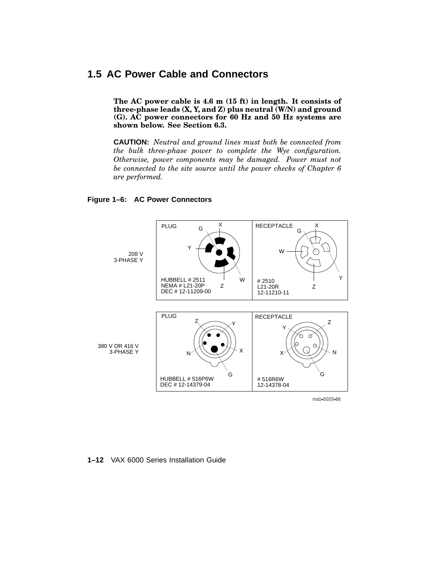#### **1.5 AC Power Cable and Connectors**

**The AC power cable is 4.6 m (15 ft) in length. It consists of three-phase leads (X, Y, and Z) plus neutral (W/N) and ground (G). AC power connectors for 60 Hz and 50 Hz systems are shown below. See Section 6.3.**

**CAUTION:** *Neutral and ground lines must both be connected from the bulk three-phase power to complete the Wye configuration. Otherwise, power components may be damaged. Power must not be connected to the site source until the power checks of Chapter 6 are performed.*

#### **Figure 1–6: AC Power Connectors**



**1–12** VAX 6000 Series Installation Guide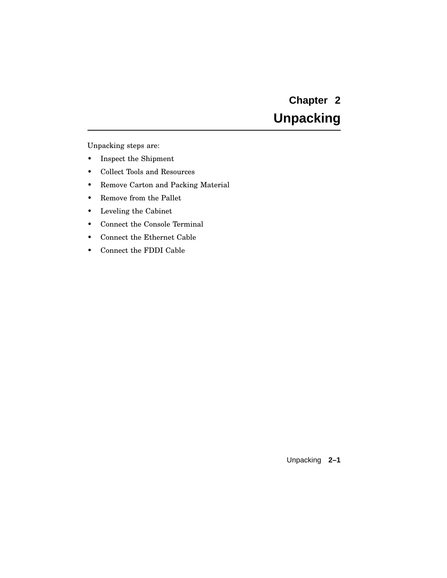# **Chapter 2 Unpacking**

Unpacking steps are:

- Inspect the Shipment
- Collect Tools and Resources
- Remove Carton and Packing Material
- Remove from the Pallet
- Leveling the Cabinet
- Connect the Console Terminal
- Connect the Ethernet Cable
- Connect the FDDI Cable

Unpacking **2–1**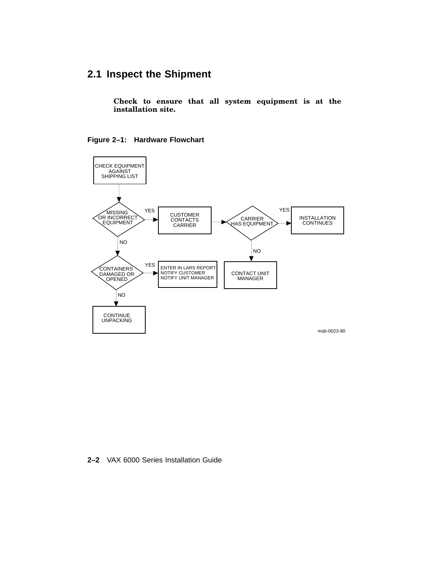## **2.1 Inspect the Shipment**

**Check to ensure that all system equipment is at the installation site.**

**Figure 2–1: Hardware Flowchart**



**2–2** VAX 6000 Series Installation Guide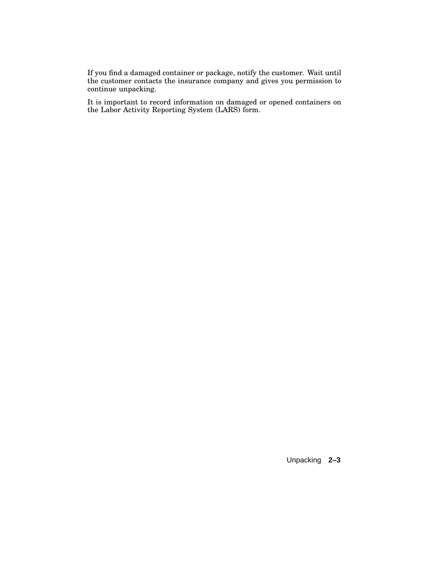If you find a damaged container or package, notify the customer. Wait until the customer contacts the insurance company and gives you permission to continue unpacking.

It is important to record information on damaged or opened containers on the Labor Activity Reporting System (LARS) form.

Unpacking **2–3**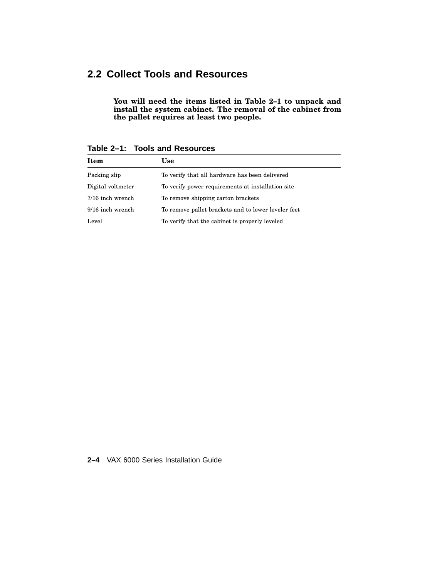### **2.2 Collect Tools and Resources**

**You will need the items listed in Table 2–1 to unpack and install the system cabinet. The removal of the cabinet from the pallet requires at least two people.**

| Item               | Use                                                 |
|--------------------|-----------------------------------------------------|
| Packing slip       | To verify that all hardware has been delivered      |
| Digital voltmeter  | To verify power requirements at installation site   |
| 7/16 inch wrench   | To remove shipping carton brackets                  |
| $9/16$ inch wrench | To remove pallet brackets and to lower leveler feet |
| Level              | To verify that the cabinet is properly leveled      |

**Table 2–1: Tools and Resources**

**2–4** VAX 6000 Series Installation Guide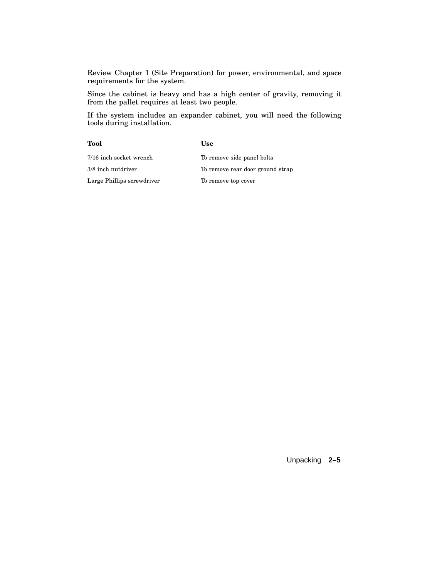Review Chapter 1 (Site Preparation) for power, environmental, and space requirements for the system.

Since the cabinet is heavy and has a high center of gravity, removing it from the pallet requires at least two people.

If the system includes an expander cabinet, you will need the following tools during installation.

| <b>Tool</b>                | Use                              |
|----------------------------|----------------------------------|
| 7/16 inch socket wrench    | To remove side panel bolts       |
| 3/8 inch nutdriver         | To remove rear door ground strap |
| Large Phillips screwdriver | To remove top cover              |

Unpacking **2–5**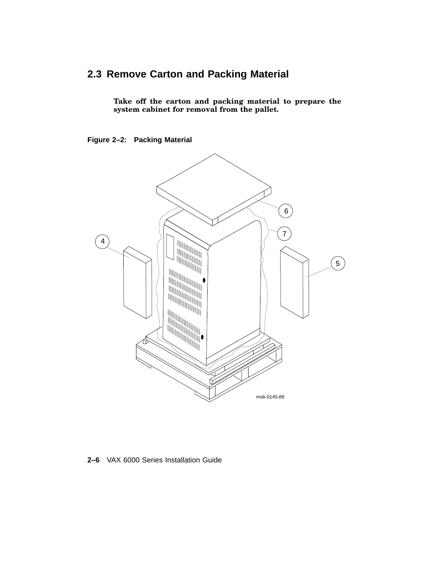## **2.3 Remove Carton and Packing Material**

**Take off the carton and packing material to prepare the system cabinet for removal from the pallet.**

**Figure 2–2: Packing Material**



**2–6** VAX 6000 Series Installation Guide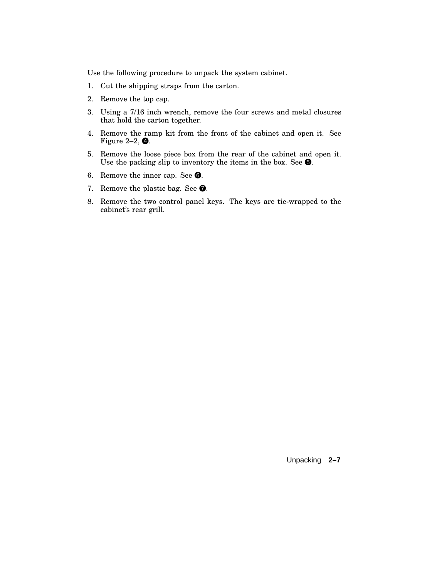Use the following procedure to unpack the system cabinet.

- 1. Cut the shipping straps from the carton.
- 2. Remove the top cap.
- 3. Using a 7/16 inch wrench, remove the four screws and metal closures that hold the carton together.
- 4. Remove the ramp kit from the front of the cabinet and open it. See Figure 2–2,  $\bullet$ .
- 5. Remove the loose piece box from the rear of the cabinet and open it. Use the packing slip to inventory the items in the box. See  $\bullet$ .
- 6. Remove the inner cap. See  $\odot$ .
- 7. Remove the plastic bag. See  $\bullet$ .
- 8. Remove the two control panel keys. The keys are tie-wrapped to the cabinet's rear grill.

Unpacking **2–7**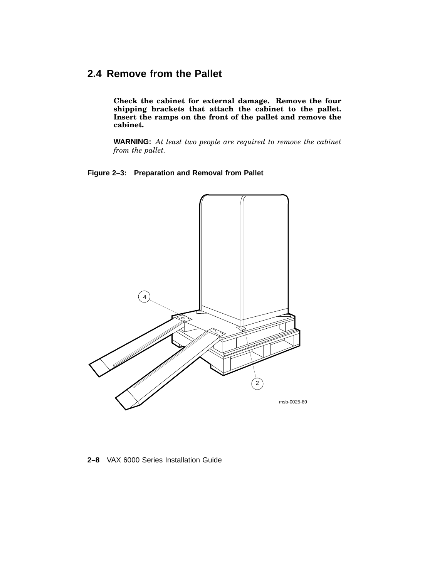### **2.4 Remove from the Pallet**

**Check the cabinet for external damage. Remove the four shipping brackets that attach the cabinet to the pallet. Insert the ramps on the front of the pallet and remove the cabinet.**

**WARNING:** *At least two people are required to remove the cabinet from the pallet.*





**2–8** VAX 6000 Series Installation Guide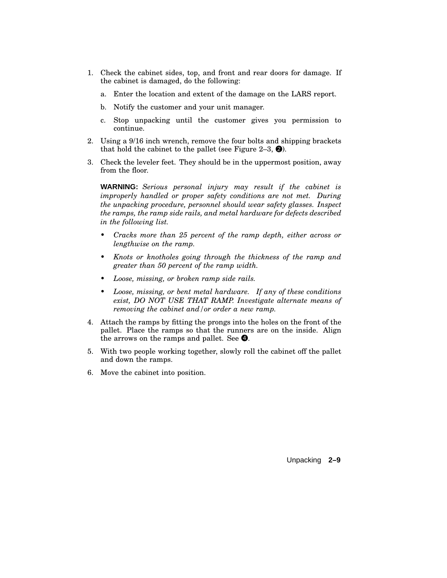- 1. Check the cabinet sides, top, and front and rear doors for damage. If the cabinet is damaged, do the following:
	- a. Enter the location and extent of the damage on the LARS report.
	- b. Notify the customer and your unit manager.
	- c. Stop unpacking until the customer gives you permission to continue.
- 2. Using a 9/16 inch wrench, remove the four bolts and shipping brackets that hold the cabinet to the pallet (see Figure 2–3,  $\bullet$ ).
- 3. Check the leveler feet. They should be in the uppermost position, away from the floor.

**WARNING:** *Serious personal injury may result if the cabinet is improperly handled or proper safety conditions are not met. During the unpacking procedure, personnel should wear safety glasses. Inspect the ramps, the ramp side rails, and metal hardware for defects described in the following list.*

- *• Cracks more than 25 percent of the ramp depth, either across or lengthwise on the ramp.*
- *• Knots or knotholes going through the thickness of the ramp and greater than 50 percent of the ramp width.*
- *• Loose, missing, or broken ramp side rails.*
- *• Loose, missing, or bent metal hardware. If any of these conditions exist, DO NOT USE THAT RAMP. Investigate alternate means of removing the cabinet and/or order a new ramp.*
- 4. Attach the ramps by fitting the prongs into the holes on the front of the pallet. Place the ramps so that the runners are on the inside. Align the arrows on the ramps and pallet. See  $\bullet$ .
- 5. With two people working together, slowly roll the cabinet off the pallet and down the ramps.
- 6. Move the cabinet into position.

Unpacking **2–9**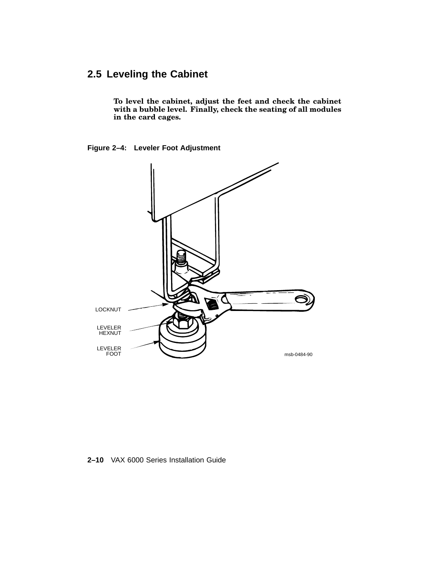# **2.5 Leveling the Cabinet**

**To level the cabinet, adjust the feet and check the cabinet with a bubble level. Finally, check the seating of all modules in the card cages.**

**Figure 2–4: Leveler Foot Adjustment**



### **2–10** VAX 6000 Series Installation Guide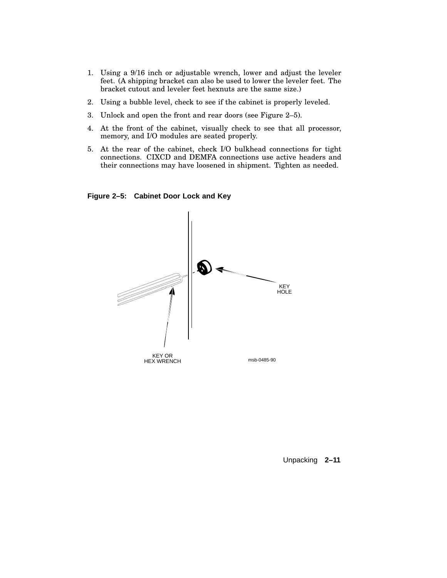- 1. Using a 9/16 inch or adjustable wrench, lower and adjust the leveler feet. (A shipping bracket can also be used to lower the leveler feet. The bracket cutout and leveler feet hexnuts are the same size.)
- 2. Using a bubble level, check to see if the cabinet is properly leveled.
- 3. Unlock and open the front and rear doors (see Figure 2–5).
- 4. At the front of the cabinet, visually check to see that all processor, memory, and I/O modules are seated properly.
- 5. At the rear of the cabinet, check I/O bulkhead connections for tight connections. CIXCD and DEMFA connections use active headers and their connections may have loosened in shipment. Tighten as needed.

msb-0485-90 KEY OR HEX WRENCH KEY HOLE

**Figure 2–5: Cabinet Door Lock and Key**

Unpacking **2–11**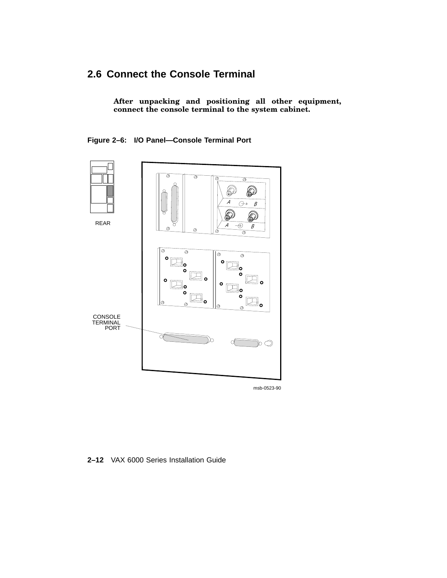# **2.6 Connect the Console Terminal**

**After unpacking and positioning all other equipment, connect the console terminal to the system cabinet.**

**Figure 2–6: I/O Panel—Console Terminal Port**



**2–12** VAX 6000 Series Installation Guide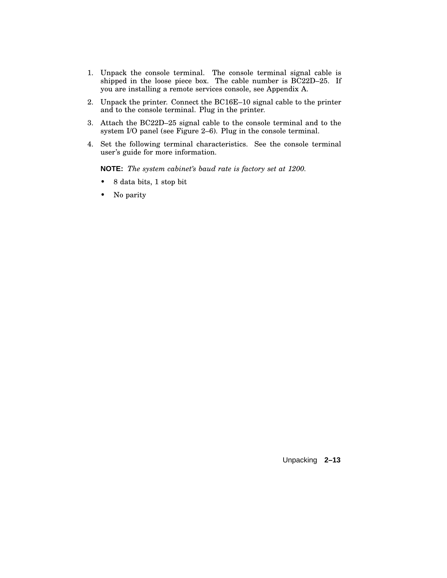- 1. Unpack the console terminal. The console terminal signal cable is shipped in the loose piece box. The cable number is BC22D–25. If you are installing a remote services console, see Appendix A.
- 2. Unpack the printer. Connect the BC16E–10 signal cable to the printer and to the console terminal. Plug in the printer.
- 3. Attach the BC22D–25 signal cable to the console terminal and to the system I/O panel (see Figure 2–6). Plug in the console terminal.
- 4. Set the following terminal characteristics. See the console terminal user's guide for more information.

**NOTE:** *The system cabinet's baud rate is factory set at 1200.*

- 8 data bits, 1 stop bit
- No parity

Unpacking **2–13**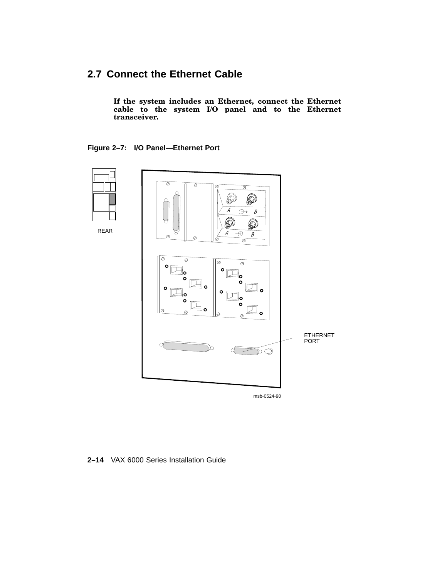# **2.7 Connect the Ethernet Cable**

**If the system includes an Ethernet, connect the Ethernet cable to the system I/O panel and to the Ethernet transceiver.**

### **Figure 2–7: I/O Panel—Ethernet Port**



**2–14** VAX 6000 Series Installation Guide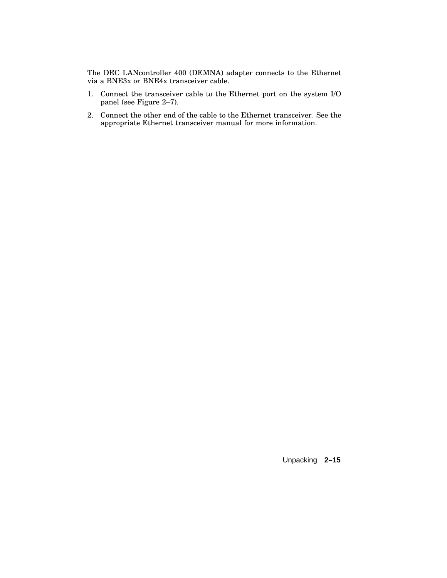The DEC LANcontroller 400 (DEMNA) adapter connects to the Ethernet via a BNE3x or BNE4x transceiver cable.

- 1. Connect the transceiver cable to the Ethernet port on the system I/O panel (see Figure 2–7).
- 2. Connect the other end of the cable to the Ethernet transceiver. See the appropriate Ethernet transceiver manual for more information.

Unpacking **2–15**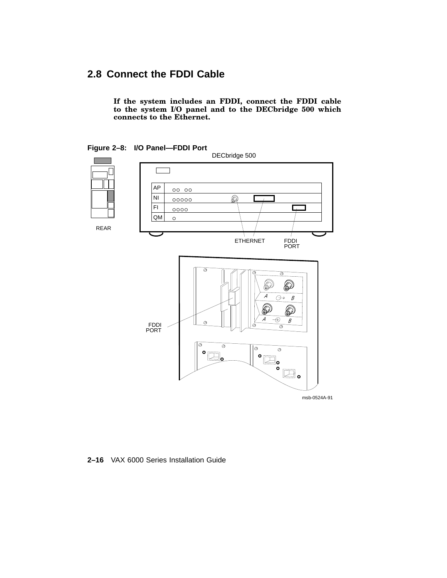# **2.8 Connect the FDDI Cable**

**If the system includes an FDDI, connect the FDDI cable to the system I/O panel and to the DECbridge 500 which connects to the Ethernet.**

### **Figure 2–8: I/O Panel—FDDI Port**



**2–16** VAX 6000 Series Installation Guide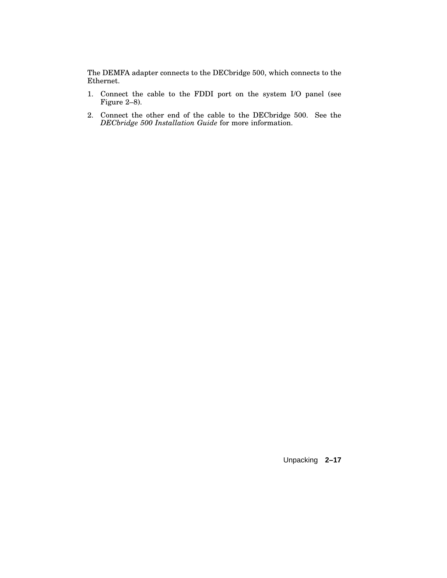The DEMFA adapter connects to the DECbridge 500, which connects to the Ethernet.

- 1. Connect the cable to the FDDI port on the system I/O panel (see Figure 2–8).
- 2. Connect the other end of the cable to the DECbridge 500. See the *DECbridge 500 Installation Guide* for more information.

Unpacking **2–17**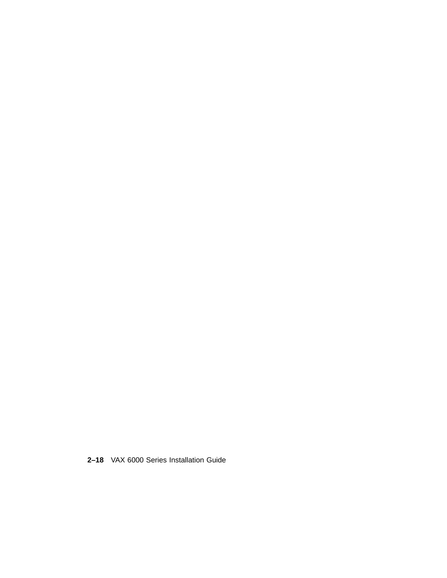**2–18** VAX 6000 Series Installation Guide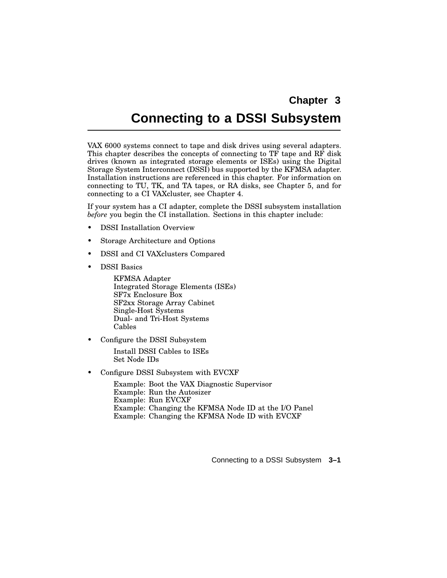# **Chapter 3**

# **Connecting to a DSSI Subsystem**

VAX 6000 systems connect to tape and disk drives using several adapters. This chapter describes the concepts of connecting to TF tape and RF disk drives (known as integrated storage elements or ISEs) using the Digital Storage System Interconnect (DSSI) bus supported by the KFMSA adapter. Installation instructions are referenced in this chapter. For information on connecting to TU, TK, and TA tapes, or RA disks, see Chapter 5, and for connecting to a CI VAXcluster, see Chapter 4.

If your system has a CI adapter, complete the DSSI subsystem installation *before* you begin the CI installation. Sections in this chapter include:

- DSSI Installation Overview
- Storage Architecture and Options
- DSSI and CI VAXclusters Compared
- DSSI Basics

KFMSA Adapter Integrated Storage Elements (ISEs) SF7x Enclosure Box SF2xx Storage Array Cabinet Single-Host Systems Dual- and Tri-Host Systems Cables

• Configure the DSSI Subsystem

Install DSSI Cables to ISEs Set Node IDs

• Configure DSSI Subsystem with EVCXF

Example: Boot the VAX Diagnostic Supervisor Example: Run the Autosizer Example: Run EVCXF Example: Changing the KFMSA Node ID at the I/O Panel Example: Changing the KFMSA Node ID with EVCXF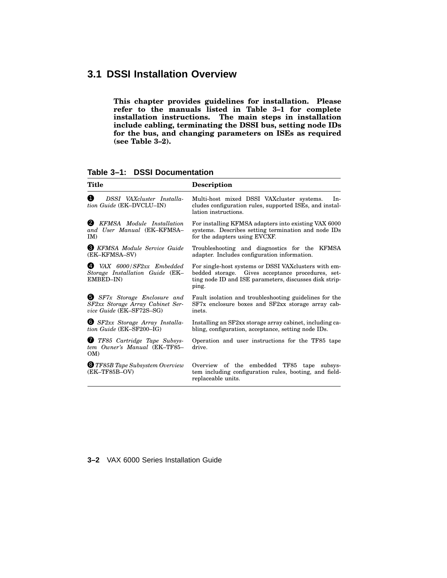# **3.1 DSSI Installation Overview**

**This chapter provides guidelines for installation. Please refer to the manuals listed in Table 3–1 for complete installation instructions. The main steps in installation include cabling, terminating the DSSI bus, setting node IDs for the bus, and changing parameters on ISEs as required (see Table 3–2).**

**Table 3–1: DSSI Documentation**

| Title                                                                                      | Description                                                                                                                                                                   |
|--------------------------------------------------------------------------------------------|-------------------------------------------------------------------------------------------------------------------------------------------------------------------------------|
| O<br>DSSI VAXcluster Installa-<br>tion Guide (EK-DVCLU-IN)                                 | Multi-host mixed DSSI VAXcluster systems.<br>In-<br>cludes configuration rules, supported ISEs, and instal-<br>lation instructions.                                           |
| <b>2</b> KFMSA Module Installation<br>and User Manual (EK-KFMSA-<br>IM)                    | For installing KFMSA adapters into existing VAX 6000<br>systems. Describes setting termination and node IDs<br>for the adapters using EVCXF.                                  |
| <b>S</b> KFMSA Module Service Guide<br>(EK-KFMSA-SV)                                       | Troubleshooting and diagnostics for the KFMSA<br>adapter. Includes configuration information.                                                                                 |
| $\bullet$ VAX 6000/SF2xx Embedded<br>Storage Installation Guide (EK–<br>EMBED-IN)          | For single-host systems or DSSI VAX clusters with em-<br>bedded storage. Gives acceptance procedures, set-<br>ting node ID and ISE parameters, discusses disk strip-<br>ping. |
| SF7x Storage Enclosure and<br>SF2xx Storage Array Cabinet Ser-<br>vice Guide (EK-SF72S-SG) | Fault isolation and troubleshooting guidelines for the<br>SF7x enclosure boxes and SF2xx storage array cab-<br>inets.                                                         |
| SF2xx Storage Array Installa-<br>tion Guide (EK-SF200-IG)                                  | Installing an SF2xx storage array cabinet, including ca-<br>bling, configuration, acceptance, setting node IDs.                                                               |
| <b>T</b> TF85 Cartridge Tape Subsys-<br>tem Owner's Manual (EK-TF85-<br>OM)                | Operation and user instructions for the TF85 tape<br>drive.                                                                                                                   |
| <b>TF85B Tape Subsystem Overview</b><br>(EK-TF85B-OV)                                      | Overview of the embedded TF85 tape subsys-<br>tem including configuration rules, booting, and field-<br>replaceable units.                                                    |

**3–2** VAX 6000 Series Installation Guide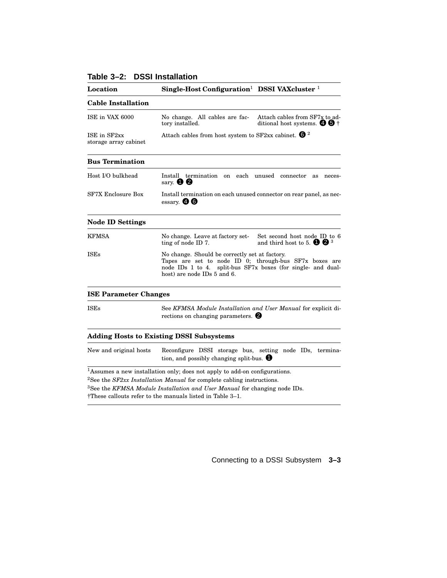|  |  | Table 3-2: DSSI Installation |
|--|--|------------------------------|
|--|--|------------------------------|

| Location                              | Single-Host Configuration <sup>1</sup> DSSI VAXcluster <sup>1</sup>                                                                                                                                                                                                                                                                                    |                                                                                      |
|---------------------------------------|--------------------------------------------------------------------------------------------------------------------------------------------------------------------------------------------------------------------------------------------------------------------------------------------------------------------------------------------------------|--------------------------------------------------------------------------------------|
| <b>Cable Installation</b>             |                                                                                                                                                                                                                                                                                                                                                        |                                                                                      |
| ISE in VAX 6000                       | No change. All cables are fac-<br>tory installed.                                                                                                                                                                                                                                                                                                      | Attach cables from SF7x to ad-<br>ditional host systems. $\mathbf{\Theta}$ $\dagger$ |
| ISE in SF2xx<br>storage array cabinet | Attach cables from host system to SF2xx cabinet. $\bigcirc$ <sup>2</sup>                                                                                                                                                                                                                                                                               |                                                                                      |
| <b>Bus Termination</b>                |                                                                                                                                                                                                                                                                                                                                                        |                                                                                      |
| Host I/O bulkhead                     | Install termination on each unused connector<br>sary. $\bullet$ $\bullet$                                                                                                                                                                                                                                                                              | as<br>neces-                                                                         |
| <b>SF7X Enclosure Box</b>             | Install termination on each unused connector on rear panel, as nec-<br>essary. $\mathbf{\Theta}$ $\mathbf{\Theta}$                                                                                                                                                                                                                                     |                                                                                      |
| <b>Node ID Settings</b>               |                                                                                                                                                                                                                                                                                                                                                        |                                                                                      |
| <b>KFMSA</b>                          | No change. Leave at factory set-<br>ting of node ID 7.                                                                                                                                                                                                                                                                                                 | Set second host node ID to 6<br>and third host to 5. $\mathbf{0} \otimes$ 3          |
| <b>ISEs</b>                           | No change. Should be correctly set at factory.<br>Tapes are set to node ID 0; through-bus SF7x boxes are<br>node IDs $1$ to $4$ .<br>host) are node IDs 5 and 6.                                                                                                                                                                                       | split-bus SF7x boxes (for single- and dual-                                          |
| <b>ISE Parameter Changes</b>          |                                                                                                                                                                                                                                                                                                                                                        |                                                                                      |
| <b>ISEs</b>                           | See KFMSA Module Installation and User Manual for explicit di-<br>rections on changing parameters. $\bullet$                                                                                                                                                                                                                                           |                                                                                      |
|                                       | <b>Adding Hosts to Existing DSSI Subsystems</b>                                                                                                                                                                                                                                                                                                        |                                                                                      |
| New and original hosts                | Reconfigure DSSI storage bus, setting node IDs, termina-<br>tion, and possibly changing split-bus. $\bullet$                                                                                                                                                                                                                                           |                                                                                      |
|                                       | <sup>1</sup> Assumes a new installation only; does not apply to add-on configurations.<br><sup>2</sup> See the <i>SF2xx Installation Manual</i> for complete cabling instructions.<br><sup>3</sup> See the <i>KFMSA Module Installation and User Manual</i> for changing node IDs.<br><i>†These callouts refer to the manuals listed in Table 3–1.</i> |                                                                                      |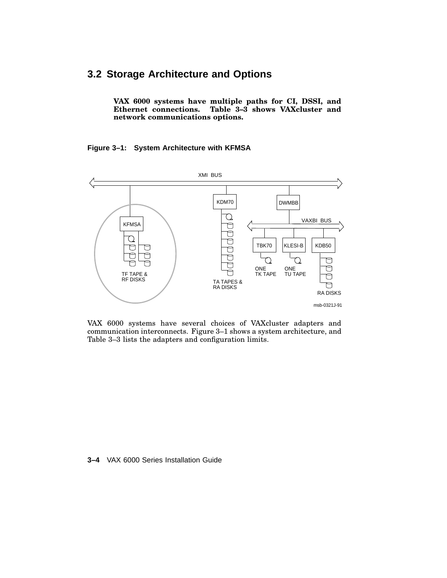# **3.2 Storage Architecture and Options**

**VAX 6000 systems have multiple paths for CI, DSSI, and Ethernet connections. Table 3–3 shows VAXcluster and network communications options.**

### **Figure 3–1: System Architecture with KFMSA**



VAX 6000 systems have several choices of VAXcluster adapters and communication interconnects. Figure 3–1 shows a system architecture, and Table 3–3 lists the adapters and configuration limits.

#### **3–4** VAX 6000 Series Installation Guide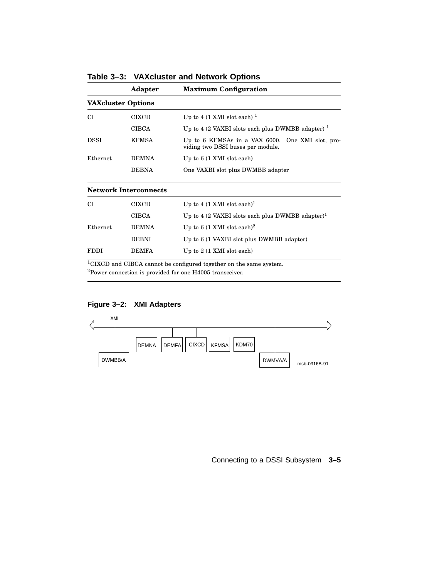**Adapter Maximum Configuration VAXcluster Options** CI CIXCD Up to 4 (1 XMI slot each)  $^1$ CIBCA Up to 4 (2 VAXBI slots each plus DWMBB adapter)  $^{\rm 1}$ DSSI KFMSA Up to 6 KFMSAs in a VAX 6000. One XMI slot, providing two DSSI buses per module. Ethernet DEMNA Up to 6 (1 XMI slot each) DEBNA One VAXBI slot plus DWMBB adapter

**Table 3–3: VAXcluster and Network Options**

| <b>Network Interconnects</b> |              |                                                              |
|------------------------------|--------------|--------------------------------------------------------------|
| СI                           | <b>CIXCD</b> | Up to 4 $(1 \text{ XML slot each})^1$                        |
|                              | <b>CIBCA</b> | Up to 4 (2 VAXBI slots each plus DWMBB adapter) <sup>1</sup> |
| Ethernet                     | <b>DEMNA</b> | Up to 6 (1 XMI slot each) <sup>2</sup>                       |
|                              | <b>DEBNI</b> | Up to 6 (1 VAXBI slot plus DWMBB adapter)                    |
| FDDI                         | <b>DEMFA</b> | Up to $2(1 \text{ XML slot each})$                           |

 $\rm ^1CIXCD$  and CIBCA cannot be configured together on the same system. <sup>2</sup>Power connection is provided for one H4005 transceiver.

### **Figure 3–2: XMI Adapters**

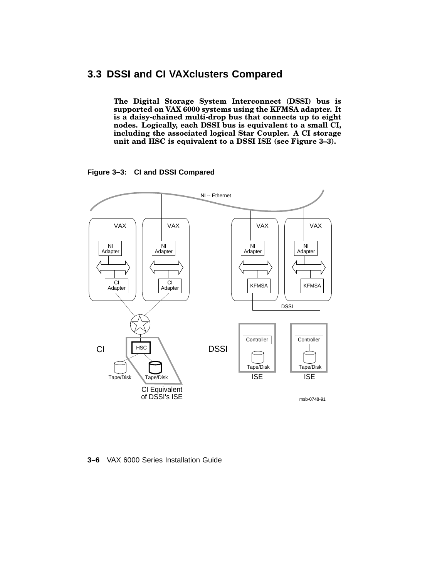# **3.3 DSSI and CI VAXclusters Compared**

**The Digital Storage System Interconnect (DSSI) bus is supported on VAX 6000 systems using the KFMSA adapter. It is a daisy-chained multi-drop bus that connects up to eight nodes. Logically, each DSSI bus is equivalent to a small CI, including the associated logical Star Coupler. A CI storage unit and HSC is equivalent to a DSSI ISE (see Figure 3–3).**

**Figure 3–3: CI and DSSI Compared**



**3–6** VAX 6000 Series Installation Guide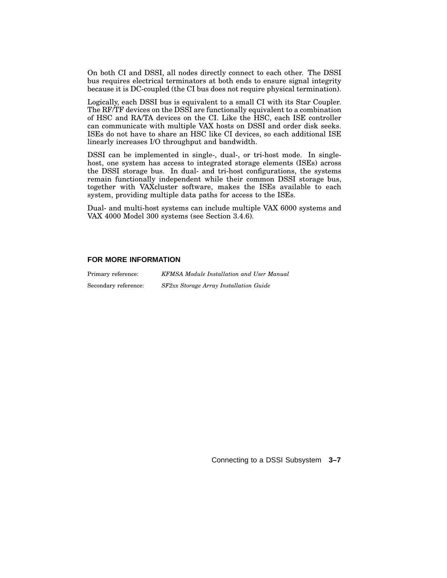On both CI and DSSI, all nodes directly connect to each other. The DSSI bus requires electrical terminators at both ends to ensure signal integrity because it is DC-coupled (the CI bus does not require physical termination).

Logically, each DSSI bus is equivalent to a small CI with its Star Coupler. The RF/TF devices on the DSSI are functionally equivalent to a combination of HSC and RA/TA devices on the CI. Like the HSC, each ISE controller can communicate with multiple VAX hosts on DSSI and order disk seeks. ISEs do not have to share an HSC like CI devices, so each additional ISE linearly increases I/O throughput and bandwidth.

DSSI can be implemented in single-, dual-, or tri-host mode. In singlehost, one system has access to integrated storage elements (ISEs) across the DSSI storage bus. In dual- and tri-host configurations, the systems remain functionally independent while their common DSSI storage bus, together with VAXcluster software, makes the ISEs available to each system, providing multiple data paths for access to the ISEs.

Dual- and multi-host systems can include multiple VAX 6000 systems and VAX 4000 Model 300 systems (see Section 3.4.6).

#### **FOR MORE INFORMATION**

Primary reference: *KFMSA Module Installation and User Manual* Secondary reference: *SF2xx Storage Array Installation Guide*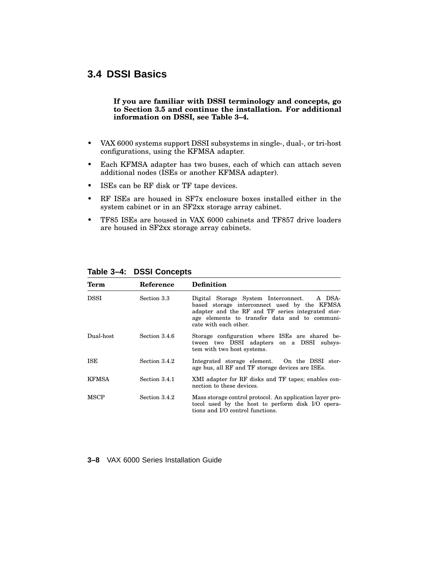# **3.4 DSSI Basics**

**If you are familiar with DSSI terminology and concepts, go to Section 3.5 and continue the installation. For additional information on DSSI, see Table 3–4.**

- VAX 6000 systems support DSSI subsystems in single-, dual-, or tri-host configurations, using the KFMSA adapter.
- Each KFMSA adapter has two buses, each of which can attach seven additional nodes (ISEs or another KFMSA adapter).
- ISEs can be RF disk or TF tape devices.
- RF ISEs are housed in SF7x enclosure boxes installed either in the system cabinet or in an SF2xx storage array cabinet.
- TF85 ISEs are housed in VAX 6000 cabinets and TF857 drive loaders are housed in SF2xx storage array cabinets.

| Term         | Reference     | <b>Definition</b>                                                                                                                                                                                                          |
|--------------|---------------|----------------------------------------------------------------------------------------------------------------------------------------------------------------------------------------------------------------------------|
| DSSI         | Section 3.3   | Digital Storage System Interconnect. A DSA-<br>based storage interconnect used by the KFMSA<br>adapter and the RF and TF series integrated stor-<br>age elements to transfer data and to communi-<br>cate with each other. |
| Dual-host    | Section 3.4.6 | Storage configuration where ISEs are shared be-<br>tween two DSSI adapters on a DSSI subsys-<br>tem with two host systems.                                                                                                 |
| ISE          | Section 3.4.2 | Integrated storage element. On the DSSI stor-<br>age bus, all RF and TF storage devices are ISEs.                                                                                                                          |
| <b>KFMSA</b> | Section 3.4.1 | XMI adapter for RF disks and TF tapes; enables con-<br>nection to these devices.                                                                                                                                           |
| MSCP         | Section 3.4.2 | Mass storage control protocol. An application layer pro-<br>tocol used by the host to perform disk I/O opera-<br>tions and I/O control functions.                                                                          |

#### **Table 3–4: DSSI Concepts**

**3–8** VAX 6000 Series Installation Guide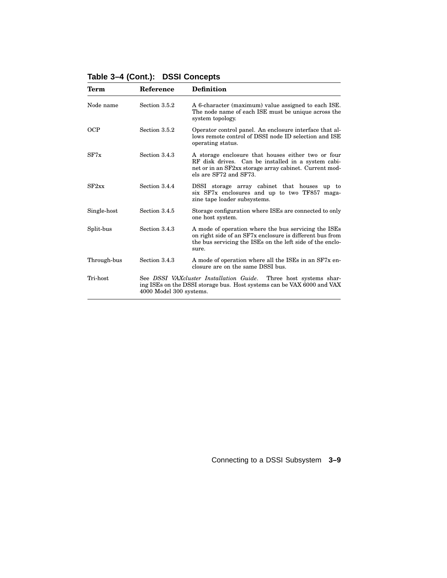# **Table 3–4 (Cont.): DSSI Concepts**

| Term        | Reference                                                                                                                                                             | <b>Definition</b>                                                                                                                                                                            |
|-------------|-----------------------------------------------------------------------------------------------------------------------------------------------------------------------|----------------------------------------------------------------------------------------------------------------------------------------------------------------------------------------------|
| Node name   | Section 3.5.2                                                                                                                                                         | A 6-character (maximum) value assigned to each ISE.<br>The node name of each ISE must be unique across the<br>system topology.                                                               |
| <b>OCP</b>  | Section 3.5.2                                                                                                                                                         | Operator control panel. An enclosure interface that al-<br>lows remote control of DSSI node ID selection and ISE<br>operating status.                                                        |
| SF7x        | Section 3.4.3                                                                                                                                                         | A storage enclosure that houses either two or four<br>RF disk drives. Can be installed in a system cabi-<br>net or in an SF2xx storage array cabinet. Current mod-<br>els are SF72 and SF73. |
| SF2xx       | Section 3.4.4                                                                                                                                                         | DSSI storage array cabinet that houses up to<br>six SF7x enclosures and up to two TF857 maga-<br>zine tape loader subsystems.                                                                |
| Single-host | Section 3.4.5                                                                                                                                                         | Storage configuration where ISEs are connected to only<br>one host system.                                                                                                                   |
| Split-bus   | Section 3.4.3                                                                                                                                                         | A mode of operation where the bus servicing the ISEs<br>on right side of an SF7x enclosure is different bus from<br>the bus servicing the ISEs on the left side of the enclo-<br>sure.       |
| Through-bus | Section 3.4.3                                                                                                                                                         | A mode of operation where all the ISEs in an SF7x en-<br>closure are on the same DSSI bus.                                                                                                   |
| Tri-host    | See DSSI VAXcluster Installation Guide. Three host systems shar-<br>ing ISEs on the DSSI storage bus. Host systems can be VAX 6000 and VAX<br>4000 Model 300 systems. |                                                                                                                                                                                              |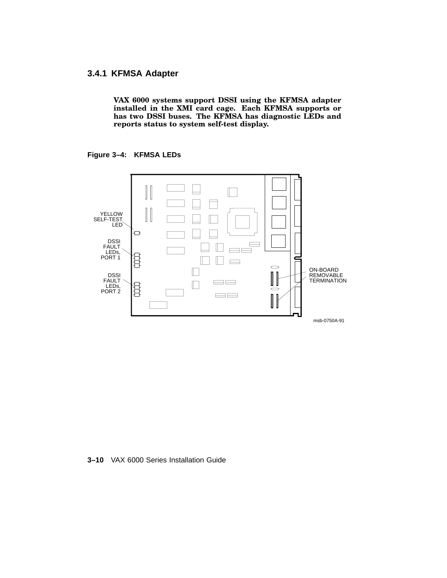# **3.4.1 KFMSA Adapter**

**VAX 6000 systems support DSSI using the KFMSA adapter installed in the XMI card cage. Each KFMSA supports or has two DSSI buses. The KFMSA has diagnostic LEDs and reports status to system self-test display.**

**Figure 3–4: KFMSA LEDs**



**3–10** VAX 6000 Series Installation Guide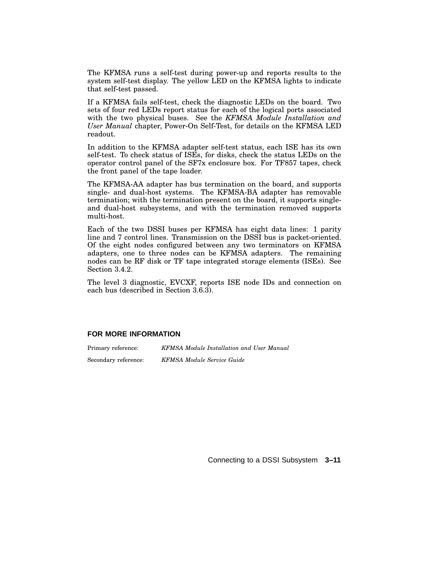The KFMSA runs a self-test during power-up and reports results to the system self-test display. The yellow LED on the KFMSA lights to indicate that self-test passed.

If a KFMSA fails self-test, check the diagnostic LEDs on the board. Two sets of four red LEDs report status for each of the logical ports associated with the two physical buses. See the *KFMSA Module Installation and User Manual* chapter, Power-On Self-Test, for details on the KFMSA LED readout.

In addition to the KFMSA adapter self-test status, each ISE has its own self-test. To check status of ISEs, for disks, check the status LEDs on the operator control panel of the SF7x enclosure box. For TF857 tapes, check the front panel of the tape loader.

The KFMSA-AA adapter has bus termination on the board, and supports single- and dual-host systems. The KFMSA-BA adapter has removable termination; with the termination present on the board, it supports singleand dual-host subsystems, and with the termination removed supports multi-host.

Each of the two DSSI buses per KFMSA has eight data lines: 1 parity line and 7 control lines. Transmission on the DSSI bus is packet-oriented. Of the eight nodes configured between any two terminators on KFMSA adapters, one to three nodes can be KFMSA adapters. The remaining nodes can be RF disk or TF tape integrated storage elements (ISEs). See Section 3.4.2.

The level 3 diagnostic, EVCXF, reports ISE node IDs and connection on each bus (described in Section 3.6.3).

#### **FOR MORE INFORMATION**

Primary reference: *KFMSA Module Installation and User Manual* Secondary reference: *KFMSA Module Service Guide*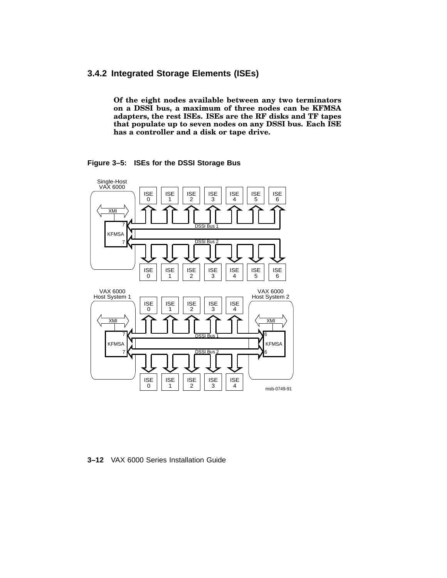### **3.4.2 Integrated Storage Elements (ISEs)**

**Of the eight nodes available between any two terminators on a DSSI bus, a maximum of three nodes can be KFMSA adapters, the rest ISEs. ISEs are the RF disks and TF tapes that populate up to seven nodes on any DSSI bus. Each ISE has a controller and a disk or tape drive.**



**Figure 3–5: ISEs for the DSSI Storage Bus**

**3–12** VAX 6000 Series Installation Guide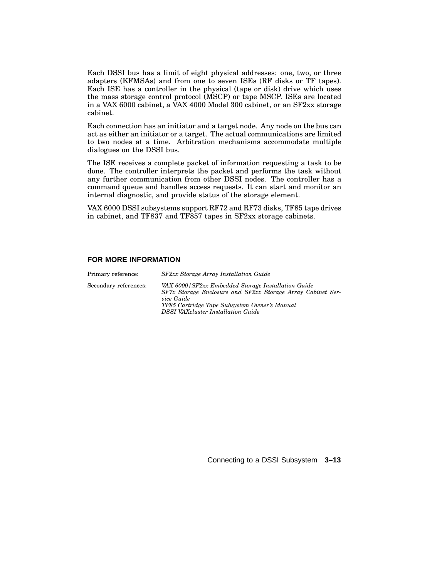Each DSSI bus has a limit of eight physical addresses: one, two, or three adapters (KFMSAs) and from one to seven ISEs (RF disks or TF tapes). Each ISE has a controller in the physical (tape or disk) drive which uses the mass storage control protocol (MSCP) or tape MSCP. ISEs are located in a VAX 6000 cabinet, a VAX 4000 Model 300 cabinet, or an SF2xx storage cabinet.

Each connection has an initiator and a target node. Any node on the bus can act as either an initiator or a target. The actual communications are limited to two nodes at a time. Arbitration mechanisms accommodate multiple dialogues on the DSSI bus.

The ISE receives a complete packet of information requesting a task to be done. The controller interprets the packet and performs the task without any further communication from other DSSI nodes. The controller has a command queue and handles access requests. It can start and monitor an internal diagnostic, and provide status of the storage element.

VAX 6000 DSSI subsystems support RF72 and RF73 disks, TF85 tape drives in cabinet, and TF837 and TF857 tapes in SF2xx storage cabinets.

#### **FOR MORE INFORMATION**

| Primary reference:    | SF2xx Storage Array Installation Guide                                                                                                                                                                                       |
|-----------------------|------------------------------------------------------------------------------------------------------------------------------------------------------------------------------------------------------------------------------|
| Secondary references: | VAX 6000/SF2xx Embedded Storage Installation Guide<br>SF7x Storage Enclosure and SF2xx Storage Array Cabinet Ser-<br>vice Guide<br>TF85 Cartridge Tape Subsystem Owner's Manual<br><b>DSSI</b> VAXcluster Installation Guide |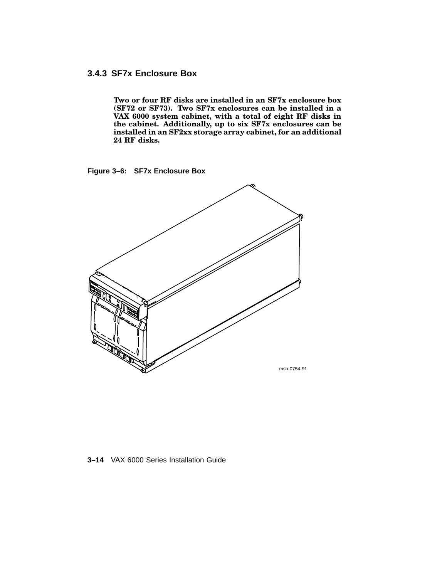### **3.4.3 SF7x Enclosure Box**

**Two or four RF disks are installed in an SF7x enclosure box (SF72 or SF73). Two SF7x enclosures can be installed in a VAX 6000 system cabinet, with a total of eight RF disks in the cabinet. Additionally, up to six SF7x enclosures can be installed in an SF2xx storage array cabinet, for an additional 24 RF disks.**

**Figure 3–6: SF7x Enclosure Box**



**3–14** VAX 6000 Series Installation Guide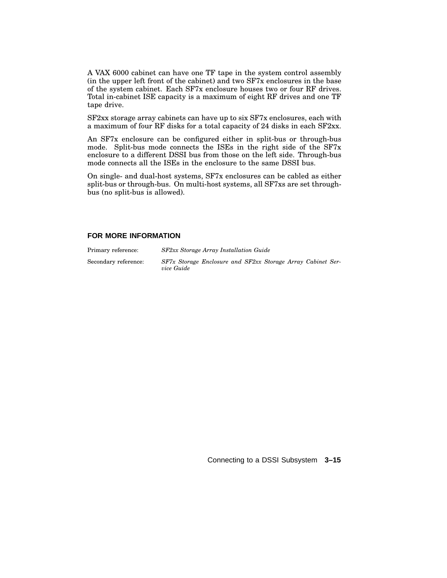A VAX 6000 cabinet can have one TF tape in the system control assembly (in the upper left front of the cabinet) and two SF7x enclosures in the base of the system cabinet. Each SF7x enclosure houses two or four RF drives. Total in-cabinet ISE capacity is a maximum of eight RF drives and one TF tape drive.

SF2xx storage array cabinets can have up to six SF7x enclosures, each with a maximum of four RF disks for a total capacity of 24 disks in each SF2xx.

An SF7x enclosure can be configured either in split-bus or through-bus mode. Split-bus mode connects the ISEs in the right side of the SF7x enclosure to a different DSSI bus from those on the left side. Through-bus mode connects all the ISEs in the enclosure to the same DSSI bus.

On single- and dual-host systems, SF7x enclosures can be cabled as either split-bus or through-bus. On multi-host systems, all SF7xs are set throughbus (no split-bus is allowed).

#### **FOR MORE INFORMATION**

| Primary reference:   | SF2xx Storage Array Installation Guide                                    |
|----------------------|---------------------------------------------------------------------------|
| Secondary reference: | SF7x Storage Enclosure and SF2xx Storage Array Cabinet Ser-<br>vice Guide |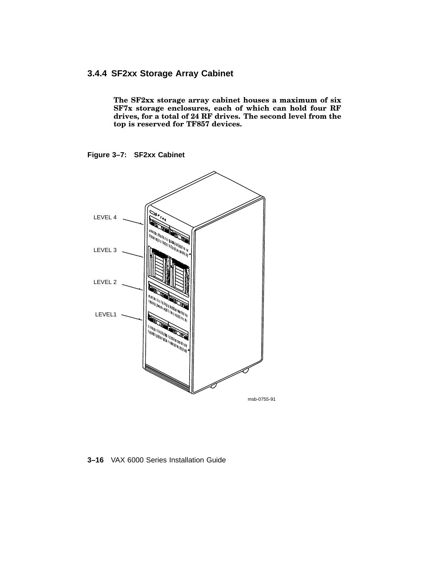# **3.4.4 SF2xx Storage Array Cabinet**

**The SF2xx storage array cabinet houses a maximum of six SF7x storage enclosures, each of which can hold four RF drives, for a total of 24 RF drives. The second level from the top is reserved for TF857 devices.**

**Figure 3–7: SF2xx Cabinet**



**3–16** VAX 6000 Series Installation Guide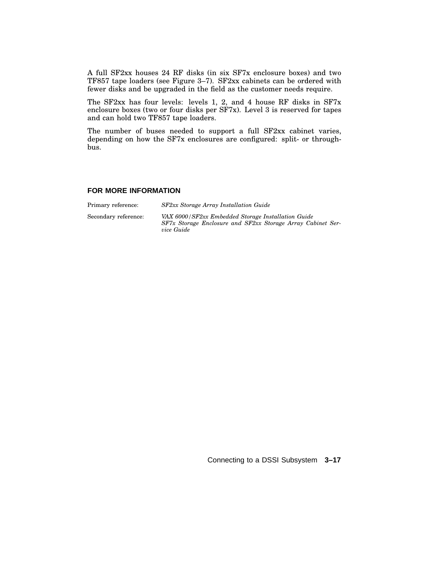A full SF2xx houses 24 RF disks (in six SF7x enclosure boxes) and two TF857 tape loaders (see Figure 3–7). SF2xx cabinets can be ordered with fewer disks and be upgraded in the field as the customer needs require.

The SF2xx has four levels: levels 1, 2, and 4 house RF disks in SF7x enclosure boxes (two or four disks per SF7x). Level 3 is reserved for tapes and can hold two TF857 tape loaders.

The number of buses needed to support a full SF2xx cabinet varies, depending on how the SF7x enclosures are configured: split- or throughbus.

### **FOR MORE INFORMATION**

| Primary reference:   | SF2xx Storage Array Installation Guide                                                                                          |
|----------------------|---------------------------------------------------------------------------------------------------------------------------------|
| Secondary reference: | VAX 6000/SF2xx Embedded Storage Installation Guide<br>SF7x Storage Enclosure and SF2xx Storage Array Cabinet Ser-<br>vice Guide |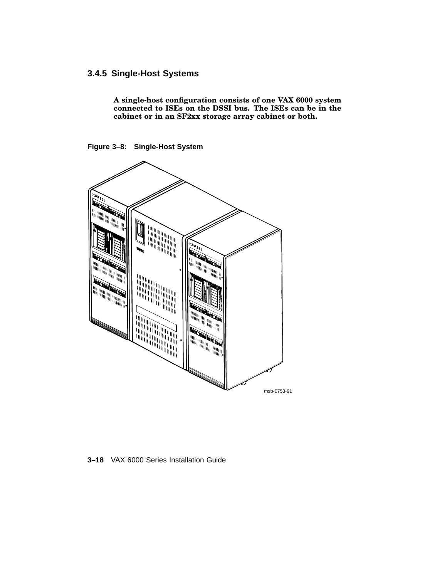# **3.4.5 Single-Host Systems**

**A single-host configuration consists of one VAX 6000 system connected to ISEs on the DSSI bus. The ISEs can be in the cabinet or in an SF2xx storage array cabinet or both.**

**Figure 3–8: Single-Host System**



**3–18** VAX 6000 Series Installation Guide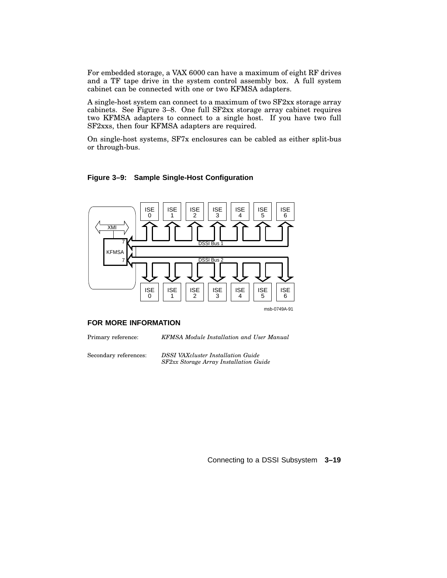For embedded storage, a VAX 6000 can have a maximum of eight RF drives and a TF tape drive in the system control assembly box. A full system cabinet can be connected with one or two KFMSA adapters.

A single-host system can connect to a maximum of two SF2xx storage array cabinets. See Figure 3–8. One full SF2xx storage array cabinet requires two KFMSA adapters to connect to a single host. If you have two full SF2xxs, then four KFMSA adapters are required.

On single-host systems, SF7x enclosures can be cabled as either split-bus or through-bus.



### **Figure 3–9: Sample Single-Host Configuration**

### **FOR MORE INFORMATION**

Primary reference: *KFMSA Module Installation and User Manual* Secondary references: *DSSI VAXcluster Installation Guide SF2xx Storage Array Installation Guide*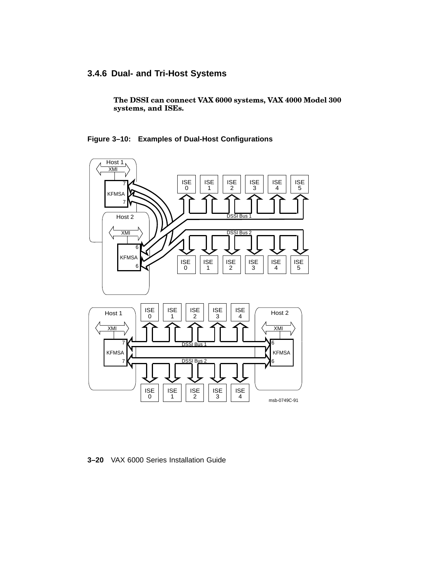# **3.4.6 Dual- and Tri-Host Systems**

**The DSSI can connect VAX 6000 systems, VAX 4000 Model 300 systems, and ISEs.**





**3–20** VAX 6000 Series Installation Guide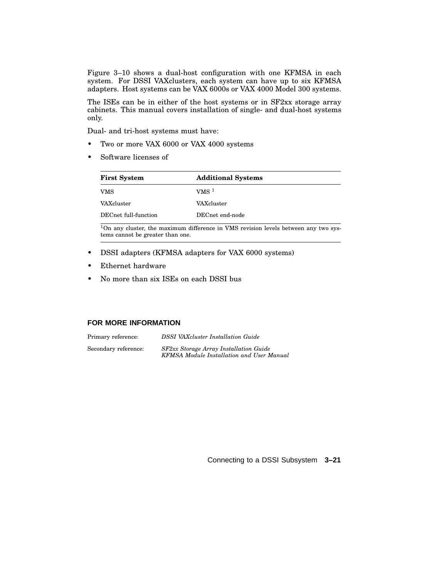Figure 3–10 shows a dual-host configuration with one KFMSA in each system. For DSSI VAXclusters, each system can have up to six KFMSA adapters. Host systems can be VAX 6000s or VAX 4000 Model 300 systems.

The ISEs can be in either of the host systems or in SF2xx storage array cabinets. This manual covers installation of single- and dual-host systems only.

Dual- and tri-host systems must have:

- Two or more VAX 6000 or VAX 4000 systems
- Software licenses of

| <b>First System</b>  | <b>Additional Systems</b> |  |
|----------------------|---------------------------|--|
| <b>VMS</b>           | VMS <sup>1</sup>          |  |
| VAXcluster           | VAXcluster                |  |
| DECnet full-function | DECnet end-node           |  |

<sup>1</sup>On any cluster, the maximum difference in VMS revision levels between any two systems cannot be greater than one.

- DSSI adapters (KFMSA adapters for VAX 6000 systems)
- Ethernet hardware
- No more than six ISEs on each DSSI bus

### **FOR MORE INFORMATION**

| Primary reference:   | <b>DSSI</b> VAXcluster Installation Guide                                                  |
|----------------------|--------------------------------------------------------------------------------------------|
| Secondary reference: | SF2xx Storage Array Installation Guide<br><b>KFMSA Module Installation and User Manual</b> |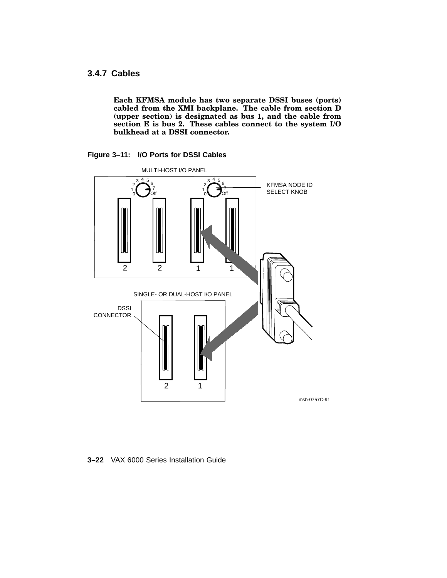### **3.4.7 Cables**

**Each KFMSA module has two separate DSSI buses (ports) cabled from the XMI backplane. The cable from section D (upper section) is designated as bus 1, and the cable from section E is bus 2. These cables connect to the system I/O bulkhead at a DSSI connector.**

### **Figure 3–11: I/O Ports for DSSI Cables**



**3–22** VAX 6000 Series Installation Guide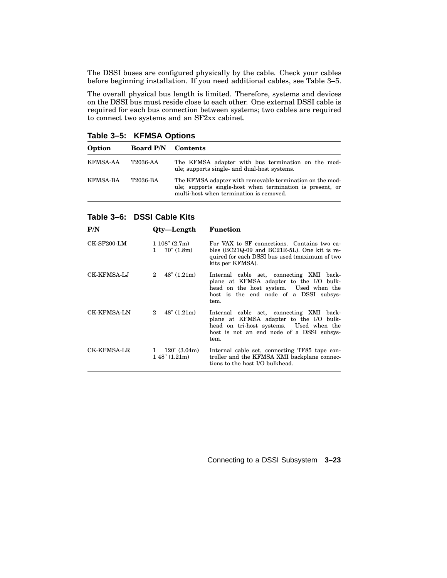The DSSI buses are configured physically by the cable. Check your cables before beginning installation. If you need additional cables, see Table 3–5.

The overall physical bus length is limited. Therefore, systems and devices on the DSSI bus must reside close to each other. One external DSSI cable is required for each bus connection between systems; two cables are required to connect two systems and an SF2xx cabinet.

| $1.4.71.71.71.71.71.71.77.71.77.71.77.71.77.71.77.71.77.71.77.71.77.71.77.71.77.71.77.71.77.71.77.71.77.71.77.71.77.71.77.71.77.71.77.71.77.71.77.71.77.71.77.71.77.71.77.71.77.71.77.71.77.71.77.71.77.71.77.71.77.71.77.71.$ |                           |                                                                                                                                                                  |
|--------------------------------------------------------------------------------------------------------------------------------------------------------------------------------------------------------------------------------|---------------------------|------------------------------------------------------------------------------------------------------------------------------------------------------------------|
| Option                                                                                                                                                                                                                         | <b>Board P/N</b> Contents |                                                                                                                                                                  |
| KFMSA-AA                                                                                                                                                                                                                       | T2036-AA                  | The KFMSA adapter with bus termination on the mod-<br>ule; supports single- and dual-host systems.                                                               |
| <b>KFMSA-BA</b>                                                                                                                                                                                                                | T2036-BA                  | The KFMSA adapter with removable termination on the mod-<br>ule; supports single-host when termination is present, or<br>multi-host when termination is removed. |

### **Table 3–5: KFMSA Options**

|  |  |  | Table 3–6: DSSI Cable Kits |  |  |
|--|--|--|----------------------------|--|--|
|--|--|--|----------------------------|--|--|

| P/N            | Qty—Length                                                  | <b>Function</b>                                                                                                                                                                     |
|----------------|-------------------------------------------------------------|-------------------------------------------------------------------------------------------------------------------------------------------------------------------------------------|
| $CK$ -SF200-LM | $1.108$ " (2.7m)<br>$70^{\circ}$ (1.8m)<br>1.               | For VAX to SF connections. Contains two ca-<br>bles $(BC21Q-09$ and $BC21R-5L)$ . One kit is re-<br>quired for each DSSI bus used (maximum of two<br>kits per KFMSA).               |
| CK-KFMSA-LJ    | $48^{\circ}$ (1.21m)<br>2                                   | Internal cable set, connecting XMI back-<br>plane at KFMSA adapter to the I/O bulk-<br>head on the host system. Used when the<br>host is the end node of a DSSI subsys-<br>tem.     |
| CK-KFMSA-LN    | $48^{\circ}$ (1.21m)<br>2                                   | Internal cable set, connecting XMI back-<br>plane at KFMSA adapter to the I/O bulk-<br>head on tri-host systems. Used when the<br>host is not an end node of a DSSI subsys-<br>tem. |
| CK-KFMSA-LR    | $120^{\circ}$ (3.04m)<br>$\mathbf{1}$<br>$1.48$ " $(1.21m)$ | Internal cable set, connecting TF85 tape con-<br>troller and the KFMSA XMI backplane connec-<br>tions to the host I/O bulkhead.                                                     |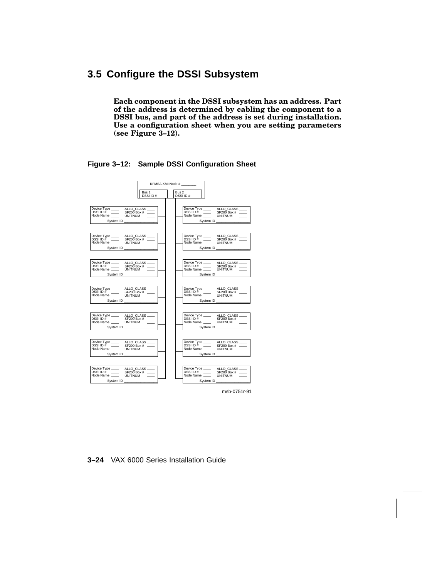# **3.5 Configure the DSSI Subsystem**

**Each component in the DSSI subsystem has an address. Part of the address is determined by cabling the component to a DSSI bus, and part of the address is set during installation. Use a configuration sheet when you are setting parameters (see Figure 3–12).**



**Figure 3–12: Sample DSSI Configuration Sheet**

**3–24** VAX 6000 Series Installation Guide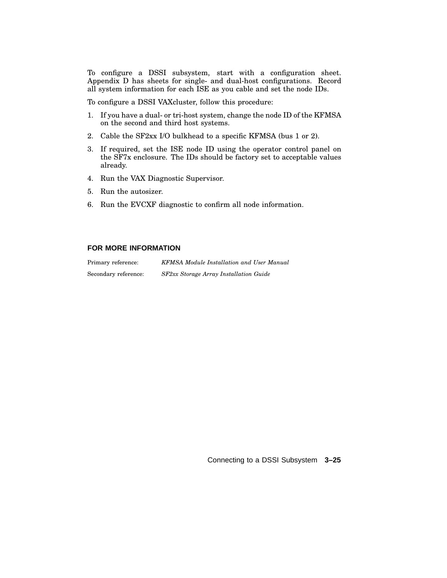To configure a DSSI subsystem, start with a configuration sheet. Appendix D has sheets for single- and dual-host configurations. Record all system information for each ISE as you cable and set the node IDs.

To configure a DSSI VAXcluster, follow this procedure:

- 1. If you have a dual- or tri-host system, change the node ID of the KFMSA on the second and third host systems.
- 2. Cable the SF2xx I/O bulkhead to a specific KFMSA (bus 1 or 2).
- 3. If required, set the ISE node ID using the operator control panel on the SF7x enclosure. The IDs should be factory set to acceptable values already.
- 4. Run the VAX Diagnostic Supervisor.
- 5. Run the autosizer.
- 6. Run the EVCXF diagnostic to confirm all node information.

#### **FOR MORE INFORMATION**

| Primary reference:   | KFMSA Module Installation and User Manual |
|----------------------|-------------------------------------------|
| Secondary reference: | SF2xx Storage Array Installation Guide    |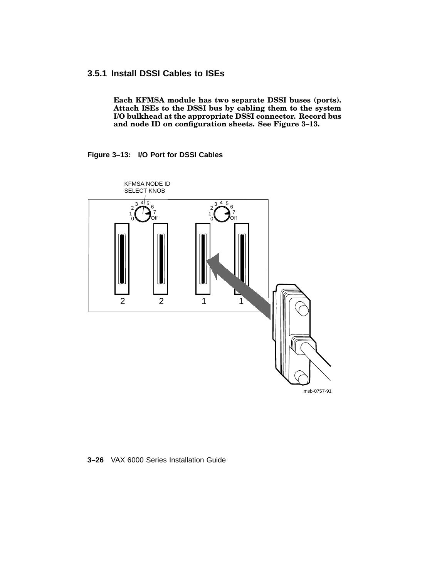# **3.5.1 Install DSSI Cables to ISEs**

**Each KFMSA module has two separate DSSI buses (ports). Attach ISEs to the DSSI bus by cabling them to the system I/O bulkhead at the appropriate DSSI connector. Record bus and node ID on configuration sheets. See Figure 3–13.**





### **3–26** VAX 6000 Series Installation Guide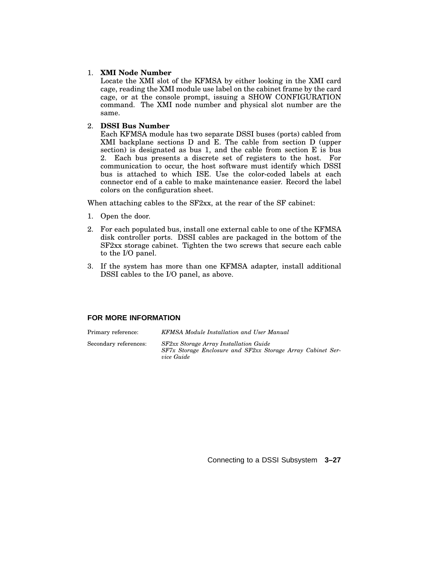### 1. **XMI Node Number**

Locate the XMI slot of the KFMSA by either looking in the XMI card cage, reading the XMI module use label on the cabinet frame by the card cage, or at the console prompt, issuing a SHOW CONFIGURATION command. The XMI node number and physical slot number are the same.

## 2. **DSSI Bus Number**

Each KFMSA module has two separate DSSI buses (ports) cabled from XMI backplane sections D and E. The cable from section D (upper section) is designated as bus 1, and the cable from section E is bus 2. Each bus presents a discrete set of registers to the host. For communication to occur, the host software must identify which DSSI bus is attached to which ISE. Use the color-coded labels at each connector end of a cable to make maintenance easier. Record the label colors on the configuration sheet.

When attaching cables to the SF2xx, at the rear of the SF cabinet:

- 1. Open the door.
- 2. For each populated bus, install one external cable to one of the KFMSA disk controller ports. DSSI cables are packaged in the bottom of the SF2xx storage cabinet. Tighten the two screws that secure each cable to the I/O panel.
- 3. If the system has more than one KFMSA adapter, install additional DSSI cables to the I/O panel, as above.

#### **FOR MORE INFORMATION**

Primary reference: *KFMSA Module Installation and User Manual* Secondary references: *SF2xx Storage Array Installation Guide SF7x Storage Enclosure and SF2xx Storage Array Cabinet Service Guide*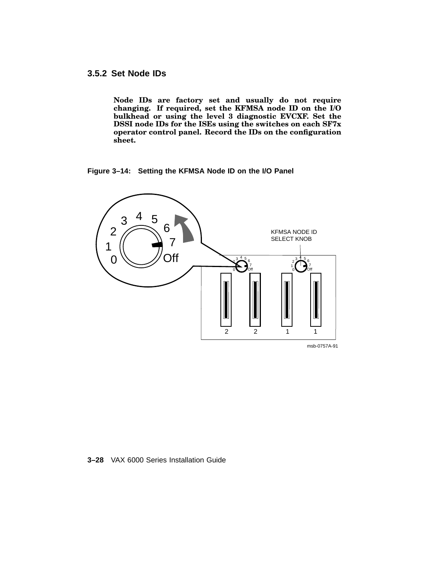# **3.5.2 Set Node IDs**

**Node IDs are factory set and usually do not require changing. If required, set the KFMSA node ID on the I/O bulkhead or using the level 3 diagnostic EVCXF. Set the DSSI node IDs for the ISEs using the switches on each SF7x operator control panel. Record the IDs on the configuration sheet.**

**Figure 3–14: Setting the KFMSA Node ID on the I/O Panel**



### **3–28** VAX 6000 Series Installation Guide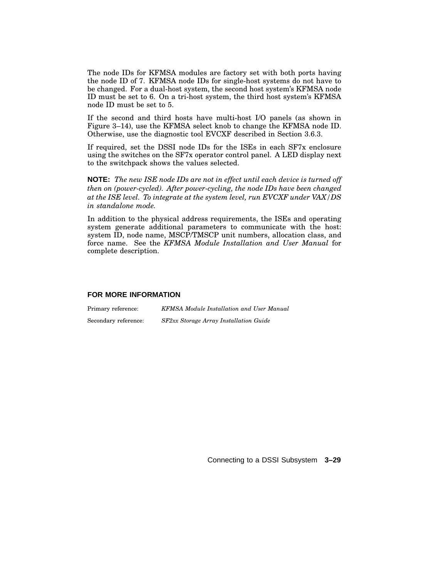The node IDs for KFMSA modules are factory set with both ports having the node ID of 7. KFMSA node IDs for single-host systems do not have to be changed. For a dual-host system, the second host system's KFMSA node ID must be set to 6. On a tri-host system, the third host system's KFMSA node ID must be set to 5.

If the second and third hosts have multi-host I/O panels (as shown in Figure 3–14), use the KFMSA select knob to change the KFMSA node ID. Otherwise, use the diagnostic tool EVCXF described in Section 3.6.3.

If required, set the DSSI node IDs for the ISEs in each SF7x enclosure using the switches on the SF7x operator control panel. A LED display next to the switchpack shows the values selected.

**NOTE:** *The new ISE node IDs are not in effect until each device is turned off then on (power-cycled). After power-cycling, the node IDs have been changed at the ISE level. To integrate at the system level, run EVCXF under VAX/DS in standalone mode.*

In addition to the physical address requirements, the ISEs and operating system generate additional parameters to communicate with the host: system ID, node name, MSCP/TMSCP unit numbers, allocation class, and force name. See the *KFMSA Module Installation and User Manual* for complete description.

## **FOR MORE INFORMATION**

| Primary reference:   | <b>KFMSA Module Installation and User Manual</b> |  |
|----------------------|--------------------------------------------------|--|
| Secondary reference: | SF2xx Storage Array Installation Guide           |  |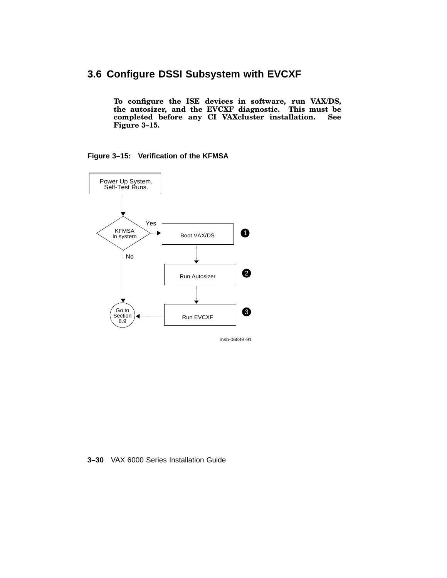# **3.6 Configure DSSI Subsystem with EVCXF**

**To configure the ISE devices in software, run VAX/DS, the autosizer, and the EVCXF diagnostic. This must be completed before any CI VAXcluster installation. See Figure 3–15.**

## **Figure 3–15: Verification of the KFMSA**



**3–30** VAX 6000 Series Installation Guide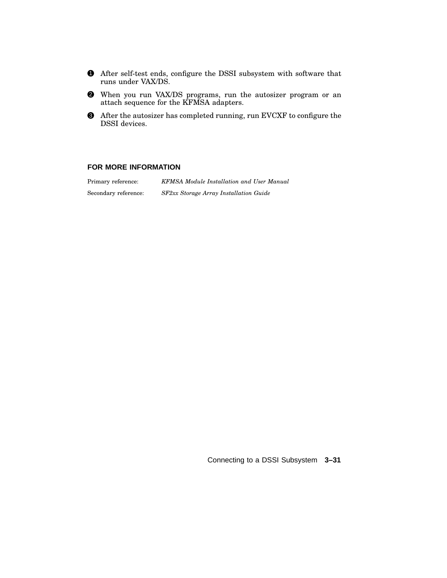- 1 After self-test ends, configure the DSSI subsystem with software that runs under VAX/DS.
- 2 When you run VAX/DS programs, run the autosizer program or an attach sequence for the KFMSA adapters.
- 3 After the autosizer has completed running, run EVCXF to configure the DSSI devices.

## **FOR MORE INFORMATION**

| Primary reference:   | <b>KFMSA Module Installation and User Manual</b> |
|----------------------|--------------------------------------------------|
| Secondary reference: | SF2xx Storage Array Installation Guide           |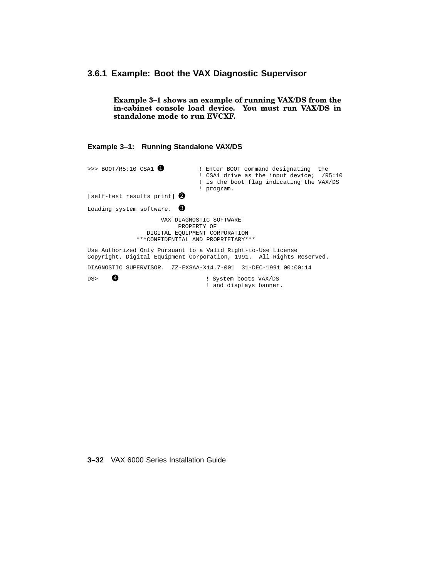# **3.6.1 Example: Boot the VAX Diagnostic Supervisor**

**Example 3–1 shows an example of running VAX/DS from the in-cabinet console load device. You must run VAX/DS in standalone mode to run EVCXF.**

**Example 3–1: Running Standalone VAX/DS**



**3–32** VAX 6000 Series Installation Guide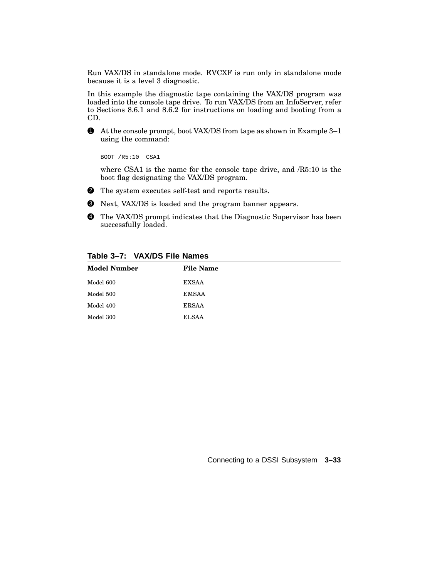Run VAX/DS in standalone mode. EVCXF is run only in standalone mode because it is a level 3 diagnostic.

In this example the diagnostic tape containing the VAX/DS program was loaded into the console tape drive. To run VAX/DS from an InfoServer, refer to Sections 8.6.1 and 8.6.2 for instructions on loading and booting from a CD.

 $\bullet$  At the console prompt, boot VAX/DS from tape as shown in Example 3–1 using the command:

BOOT /R5:10 CSA1

where CSA1 is the name for the console tape drive, and /R5:10 is the boot flag designating the VAX/DS program.

- 2 The system executes self-test and reports results.
- 3 Next, VAX/DS is loaded and the program banner appears.
- 4 The VAX/DS prompt indicates that the Diagnostic Supervisor has been successfully loaded.

| <b>Model Number</b> | <b>File Name</b> |  |
|---------------------|------------------|--|
| Model 600           | <b>EXSAA</b>     |  |
| Model 500           | <b>EMSAA</b>     |  |
| Model 400           | <b>ERSAA</b>     |  |
| Model 300           | <b>ELSAA</b>     |  |

**Table 3–7: VAX/DS File Names**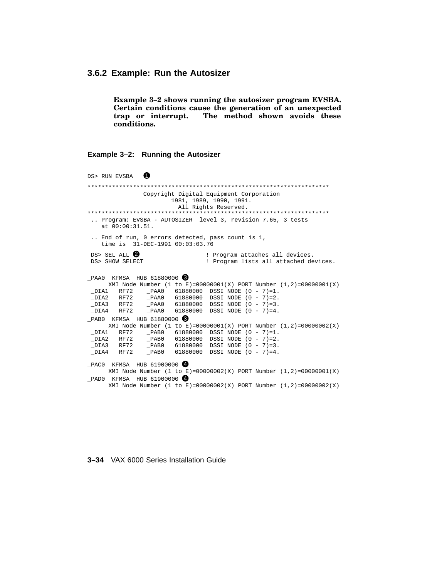### **3.6.2 Example: Run the Autosizer**

**Example 3–2 shows running the autosizer program EVSBA. Certain conditions cause the generation of an unexpected trap or interrupt. The method shown avoids these conditions.**

### **Example 3–2: Running the Autosizer**

DS> RUN EVSBA 0 \*\*\*\*\*\*\*\*\*\*\*\*\*\*\*\*\*\*\*\*\*\*\*\*\*\*\*\*\*\*\*\*\*\*\*\*\*\*\*\*\*\*\*\*\*\*\*\*\*\*\*\*\*\*\*\*\*\*\*\*\*\*\*\*\*\*\*\*\* Copyright Digital Equipment Corporation 1981, 1989, 1990, 1991. All Rights Reserved. \*\*\*\*\*\*\*\*\*\*\*\*\*\*\*\*\*\*\*\*\*\*\*\*\*\*\*\*\*\*\*\*\*\*\*\*\*\*\*\*\*\*\*\*\*\*\*\*\*\*\*\*\*\*\*\*\*\*\*\*\*\*\*\*\*\*\*\*\* .. Program: EVSBA - AUTOSIZER level 3, revision 7.65, 3 tests at 00:00:31.51. .. End of run, 0 errors detected, pass count is 1, time is 31-DEC-1991 00:03:03.76 DS> SEL ALL 2 : Program attaches all devices. DS> SHOW SELECT : Program lists all attached devices.  $_P$ AA0 KFMSA HUB 61880000  $\bigcirc$ XMI Node Number (1 to E)=00000001(X) PORT Number (1,2)=00000001(X) \_DIA1 RF72 \_PAA0 61880000 DSSI NODE (0 - 7)=1. \_DIA2 RF72 \_PAA0 61880000 DSSI NODE (0 - 7)=2. \_DIA3 RF72 \_PAA0 61880000 DSSI NODE (0 - 7)=3. \_DIA4 RF72 \_PAA0 61880000 DSSI NODE (0 - 7)=4.  $_{\text{PAB0}}$  KFMSA HUB 61880000  $\textcircled{\small{}}$ XMI Node Number (1 to E)=00000001(X) PORT Number  $(1, 2) = 00000002(X)$ \_DIA1 RF72 \_PAB0 61880000 DSSI NODE (0 - 7)=1. \_DIA2 RF72 \_PAB0 61880000 DSSI NODE (0 - 7)=2. \_DIA3 RF72 \_PAB0 61880000 DSSI NODE (0 - 7)=3. \_DIA4 RF72 \_PAB0 61880000 DSSI NODE (0 - 7)=4. \_PAC0 KFMSA HUB 61900000 4 XMI Node Number (1 to E)=00000002(X) PORT Number  $(1, 2)$ =00000001(X) \_PAD0 KFMSA HUB 61900000 4 XMI Node Number (1 to E)=00000002(X) PORT Number  $(1, 2) = 00000002(X)$ 

#### **3–34** VAX 6000 Series Installation Guide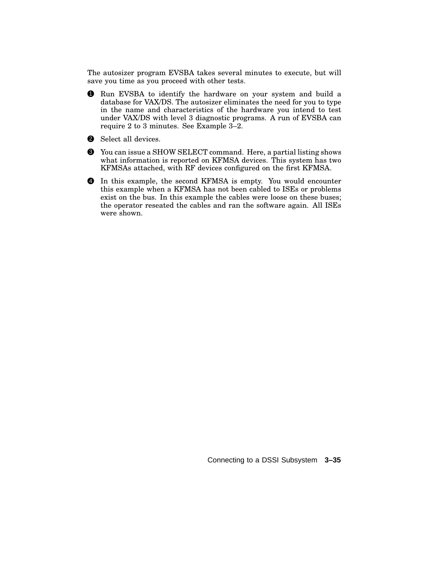The autosizer program EVSBA takes several minutes to execute, but will save you time as you proceed with other tests.

- 1 Run EVSBA to identify the hardware on your system and build a database for VAX/DS. The autosizer eliminates the need for you to type in the name and characteristics of the hardware you intend to test under VAX/DS with level 3 diagnostic programs. A run of EVSBA can require 2 to 3 minutes. See Example 3–2.
- **2** Select all devices.
- $\bullet$  You can issue a SHOW SELECT command. Here, a partial listing shows what information is reported on KFMSA devices. This system has two KFMSAs attached, with RF devices configured on the first KFMSA.
- 4 In this example, the second KFMSA is empty. You would encounter this example when a KFMSA has not been cabled to ISEs or problems exist on the bus. In this example the cables were loose on these buses; the operator reseated the cables and ran the software again. All ISEs were shown.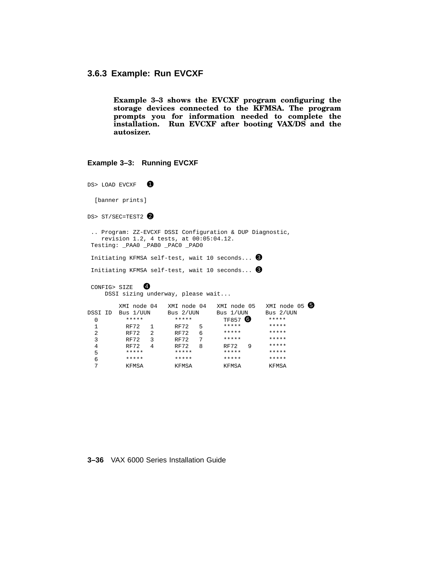# **3.6.3 Example: Run EVCXF**

**Example 3–3 shows the EVCXF program configuring the storage devices connected to the KFMSA. The program prompts you for information needed to complete the installation. Run EVCXF after booting VAX/DS and the autosizer.**

#### **Example 3–3: Running EVCXF**

DS> LOAD EVCXF <sup>1</sup> [banner prints] DS> ST/SEC=TEST2 .. Program: ZZ-EVCXF DSSI Configuration & DUP Diagnostic, revision 1.2, 4 tests, at 00:05:04.12. Testing: \_PAA0 \_PAB0 \_PAC0 \_PAD0 Initiating KFMSA self-test, wait 10 seconds...  $\bullet$ Initiating KFMSA self-test, wait 10 seconds...  $\bigcirc$ CONFIG> SIZE  $\bigcirc$ DSSI sizing underway, please wait... XMI node 04 XMI node 04 XMI node 05 XMI node 05  $\bigcirc$ <br>Bus 1/UUN Bus 2/UUN Bus 1/UUN Bus 2/UUN DSSI ID Bus 1/UUN Bus 2/UUN Bus 1/UUN Bus 2/UUN 0 \*\*\*\*\* \*\*\*\*\* TF857 **6** \*\*\*\*\* 1 RF72 1 RF72 5 \*\*\*\*\* \*\*\*\*\* 2 RF72 2 RF72 6 \*\*\*\*\* \*\*\*\*\* 3 RF72 3 RF72 7 \*\*\*\*\* \*\*\*\*\* 4 RF72 4 RF72 8 RF72 9 \*\*\*\*\* 5 \*\*\*\*\* \*\*\*\*\* \*\*\*\*\* \*\*\*\*\* 6 \*\*\*\*\* \*\*\*\*\* \*\*\*\*\* \*\*\*\*\* \*\*\*\*\*<br>7 KFMSA KFMSA KFMSA KFMSA KFMSA KFMSA

#### **3–36** VAX 6000 Series Installation Guide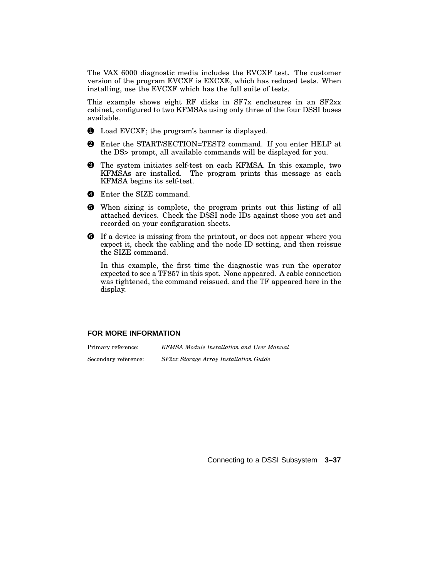The VAX 6000 diagnostic media includes the EVCXF test. The customer version of the program EVCXF is EXCXE, which has reduced tests. When installing, use the EVCXF which has the full suite of tests.

This example shows eight RF disks in SF7x enclosures in an SF2xx cabinet, configured to two KFMSAs using only three of the four DSSI buses available.

- **1** Load EVCXF; the program's banner is displayed.
- 2 Enter the START/SECTION=TEST2 command. If you enter HELP at the DS> prompt, all available commands will be displayed for you.
- 3 The system initiates self-test on each KFMSA. In this example, two KFMSAs are installed. The program prints this message as each KFMSA begins its self-test.
- 4 Enter the SIZE command.
- 5 When sizing is complete, the program prints out this listing of all attached devices. Check the DSSI node IDs against those you set and recorded on your configuration sheets.
- 6 If a device is missing from the printout, or does not appear where you expect it, check the cabling and the node ID setting, and then reissue the SIZE command.

In this example, the first time the diagnostic was run the operator expected to see a TF857 in this spot. None appeared. A cable connection was tightened, the command reissued, and the TF appeared here in the display.

### **FOR MORE INFORMATION**

Primary reference: *KFMSA Module Installation and User Manual* Secondary reference: *SF2xx Storage Array Installation Guide*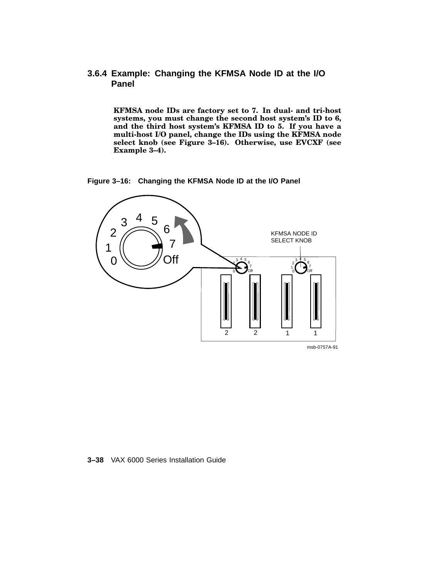# **3.6.4 Example: Changing the KFMSA Node ID at the I/O Panel**

**KFMSA node IDs are factory set to 7. In dual- and tri-host systems, you must change the second host system's ID to 6, and the third host system's KFMSA ID to 5. If you have a multi-host I/O panel, change the IDs using the KFMSA node select knob (see Figure 3–16). Otherwise, use EVCXF (see Example 3–4).**

**Figure 3–16: Changing the KFMSA Node ID at the I/O Panel**



### **3–38** VAX 6000 Series Installation Guide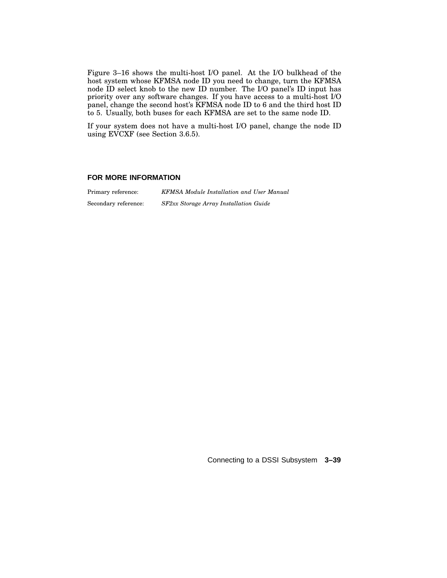Figure 3–16 shows the multi-host I/O panel. At the I/O bulkhead of the host system whose KFMSA node ID you need to change, turn the KFMSA node ID select knob to the new ID number. The I/O panel's ID input has priority over any software changes. If you have access to a multi-host I/O panel, change the second host's KFMSA node ID to 6 and the third host ID to 5. Usually, both buses for each KFMSA are set to the same node ID.

If your system does not have a multi-host I/O panel, change the node ID using EVCXF (see Section 3.6.5).

## **FOR MORE INFORMATION**

| Primary reference:   | <b>KFMSA Module Installation and User Manual</b> |  |
|----------------------|--------------------------------------------------|--|
| Secondary reference: | SF2xx Storage Array Installation Guide           |  |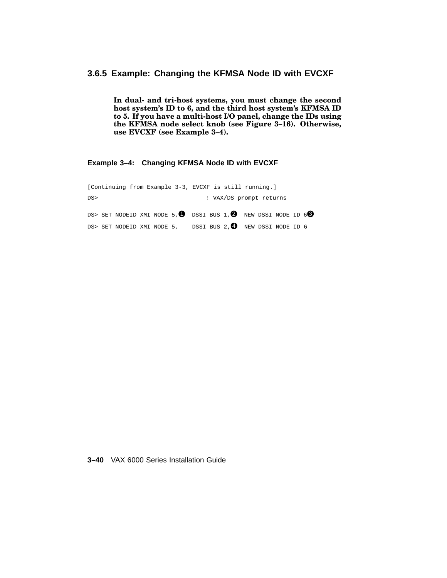# **3.6.5 Example: Changing the KFMSA Node ID with EVCXF**

**In dual- and tri-host systems, you must change the second host system's ID to 6, and the third host system's KFMSA ID to 5. If you have a multi-host I/O panel, change the IDs using the KFMSA node select knob (see Figure 3–16). Otherwise, use EVCXF (see Example 3–4).**

**Example 3–4: Changing KFMSA Node ID with EVCXF**

[Continuing from Example 3-3, EVCXF is still running.] DS> ! VAX/DS prompt returns DS> SET NODEID XMI NODE 5,  $\bullet$  DSSI BUS 1,  $\bullet$  NEW DSSI NODE ID 6 $\bullet$ DS> SET NODEID XMI NODE 5, DSSI BUS 2, 4 NEW DSSI NODE ID 6

**3–40** VAX 6000 Series Installation Guide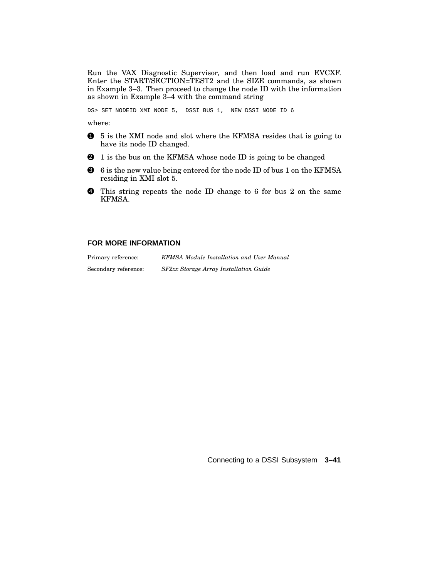Run the VAX Diagnostic Supervisor, and then load and run EVCXF. Enter the START/SECTION=TEST2 and the SIZE commands, as shown in Example 3–3. Then proceed to change the node ID with the information as shown in Example 3–4 with the command string

DS> SET NODEID XMI NODE 5, DSSI BUS 1, NEW DSSI NODE ID 6

where:

- 1 5 is the XMI node and slot where the KFMSA resides that is going to have its node ID changed.
- 2 1 is the bus on the KFMSA whose node ID is going to be changed
- 3 6 is the new value being entered for the node ID of bus 1 on the KFMSA residing in XMI slot 5.
- 4 This string repeats the node ID change to 6 for bus 2 on the same KFMSA.

### **FOR MORE INFORMATION**

| Primary reference:   | KFMSA Module Installation and User Manual |
|----------------------|-------------------------------------------|
| Secondary reference: | SF2xx Storage Array Installation Guide    |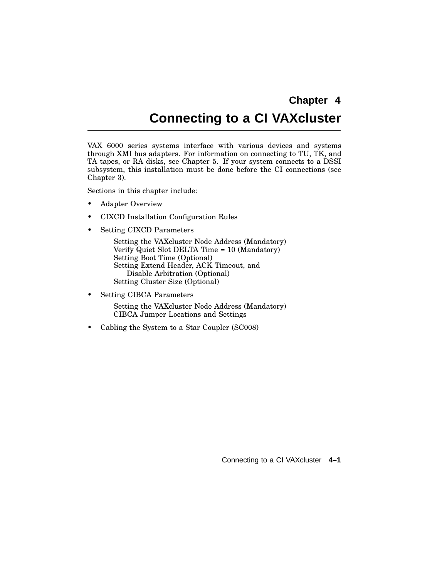# **Chapter 4**

# **Connecting to a CI VAXcluster**

VAX 6000 series systems interface with various devices and systems through XMI bus adapters. For information on connecting to TU, TK, and TA tapes, or RA disks, see Chapter 5. If your system connects to a DSSI subsystem, this installation must be done before the CI connections (see Chapter 3).

Sections in this chapter include:

- Adapter Overview
- CIXCD Installation Configuration Rules
- Setting CIXCD Parameters

Setting the VAXcluster Node Address (Mandatory) Verify Quiet Slot DELTA Time = 10 (Mandatory) Setting Boot Time (Optional) Setting Extend Header, ACK Timeout, and Disable Arbitration (Optional) Setting Cluster Size (Optional)

• Setting CIBCA Parameters

Setting the VAXcluster Node Address (Mandatory) CIBCA Jumper Locations and Settings

• Cabling the System to a Star Coupler (SC008)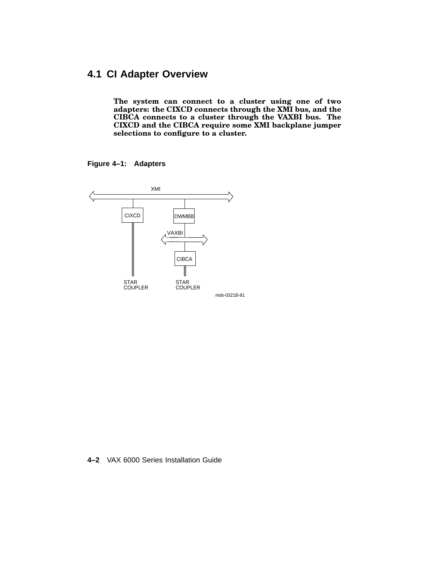# **4.1 CI Adapter Overview**

**The system can connect to a cluster using one of two adapters: the CIXCD connects through the XMI bus, and the CIBCA connects to a cluster through the VAXBI bus. The CIXCD and the CIBCA require some XMI backplane jumper selections to configure to a cluster.**

**Figure 4–1: Adapters**



**4–2** VAX 6000 Series Installation Guide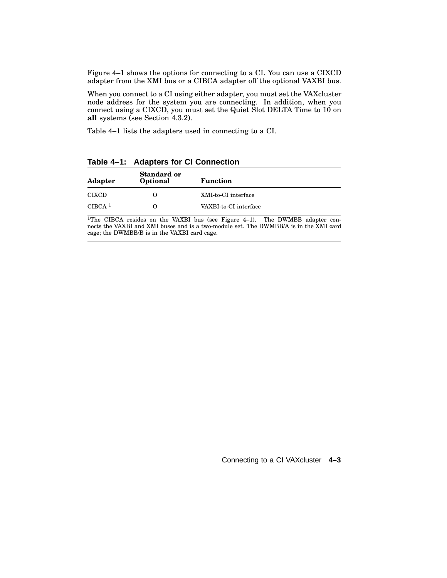Figure 4–1 shows the options for connecting to a CI. You can use a CIXCD adapter from the XMI bus or a CIBCA adapter off the optional VAXBI bus.

When you connect to a CI using either adapter, you must set the VAXcluster node address for the system you are connecting. In addition, when you connect using a CIXCD, you must set the Quiet Slot DELTA Time to 10 on **all** systems (see Section 4.3.2).

Table 4–1 lists the adapters used in connecting to a CI.

| <b>Adapter</b>       | <b>Standard or</b><br>Optional | <b>Function</b>       |
|----------------------|--------------------------------|-----------------------|
| CIXCD                |                                | XMI-to-CI interface   |
| $CIBCA$ <sup>1</sup> |                                | VAXBI-to-CI interface |

**Table 4–1: Adapters for CI Connection**

<sup>1</sup>The CIBCA resides on the VAXBI bus (see Figure  $4-1$ ). The DWMBB adapter connects the VAXBI and XMI buses and is a two-module set. The DWMBB/A is in the XMI card cage; the DWMBB/B is in the VAXBI card cage.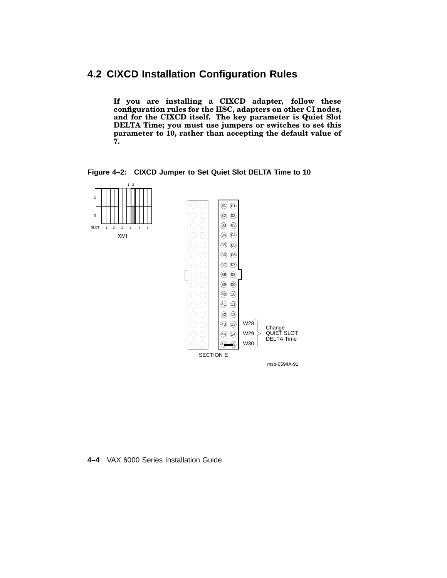# **4.2 CIXCD Installation Configuration Rules**

**If you are installing a CIXCD adapter, follow these configuration rules for the HSC, adapters on other CI nodes, and for the CIXCD itself. The key parameter is Quiet Slot DELTA Time; you must use jumpers or switches to set this parameter to 10, rather than accepting the default value of 7.**

**Figure 4–2: CIXCD Jumper to Set Quiet Slot DELTA Time to 10**



**4–4** VAX 6000 Series Installation Guide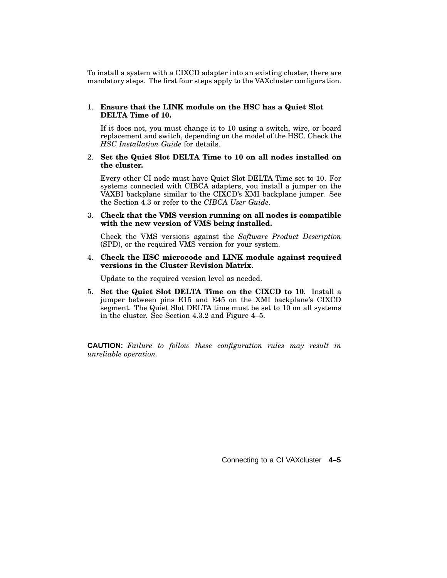To install a system with a CIXCD adapter into an existing cluster, there are mandatory steps. The first four steps apply to the VAXcluster configuration.

### 1. **Ensure that the LINK module on the HSC has a Quiet Slot DELTA Time of 10.**

If it does not, you must change it to 10 using a switch, wire, or board replacement and switch, depending on the model of the HSC. Check the *HSC Installation Guide* for details.

### 2. **Set the Quiet Slot DELTA Time to 10 on all nodes installed on the cluster.**

Every other CI node must have Quiet Slot DELTA Time set to 10. For systems connected with CIBCA adapters, you install a jumper on the VAXBI backplane similar to the CIXCD's XMI backplane jumper. See the Section 4.3 or refer to the *CIBCA User Guide*.

### 3. **Check that the VMS version running on all nodes is compatible with the new version of VMS being installed.**

Check the VMS versions against the *Software Product Description* (SPD), or the required VMS version for your system.

## 4. **Check the HSC microcode and LINK module against required versions in the Cluster Revision Matrix**.

Update to the required version level as needed.

5. **Set the Quiet Slot DELTA Time on the CIXCD to 10**. Install a jumper between pins E15 and E45 on the XMI backplane's CIXCD segment. The Quiet Slot DELTA time must be set to 10 on all systems in the cluster. See Section 4.3.2 and Figure 4–5.

**CAUTION:** *Failure to follow these configuration rules may result in unreliable operation.*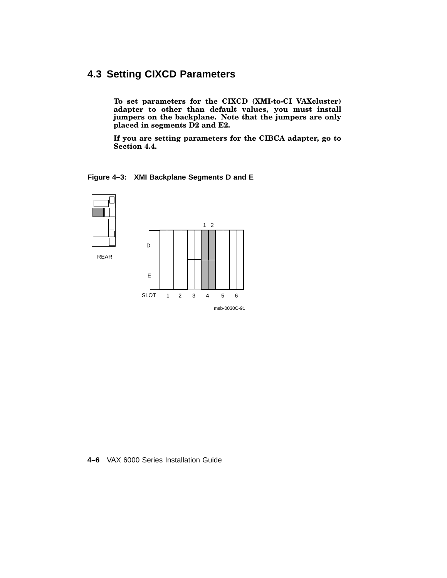# **4.3 Setting CIXCD Parameters**

**To set parameters for the CIXCD (XMI-to-CI VAXcluster) adapter to other than default values, you must install jumpers on the backplane. Note that the jumpers are only placed in segments D2 and E2.**

**If you are setting parameters for the CIBCA adapter, go to Section 4.4.**

## **Figure 4–3: XMI Backplane Segments D and E**



**4–6** VAX 6000 Series Installation Guide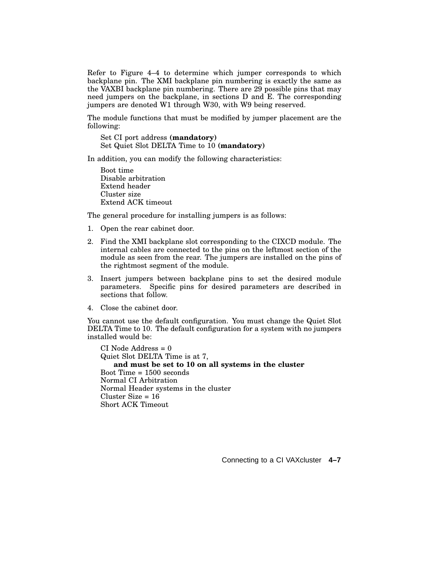Refer to Figure 4–4 to determine which jumper corresponds to which backplane pin. The XMI backplane pin numbering is exactly the same as the VAXBI backplane pin numbering. There are 29 possible pins that may need jumpers on the backplane, in sections D and E. The corresponding jumpers are denoted W1 through W30, with W9 being reserved.

The module functions that must be modified by jumper placement are the following:

Set CI port address **(mandatory)** Set Quiet Slot DELTA Time to 10 **(mandatory)**

In addition, you can modify the following characteristics:

Boot time Disable arbitration Extend header Cluster size Extend ACK timeout

The general procedure for installing jumpers is as follows:

- 1. Open the rear cabinet door.
- 2. Find the XMI backplane slot corresponding to the CIXCD module. The internal cables are connected to the pins on the leftmost section of the module as seen from the rear. The jumpers are installed on the pins of the rightmost segment of the module.
- 3. Insert jumpers between backplane pins to set the desired module parameters. Specific pins for desired parameters are described in sections that follow.
- 4. Close the cabinet door.

You cannot use the default configuration. You must change the Quiet Slot DELTA Time to 10. The default configuration for a system with no jumpers installed would be:

CI Node Address = 0 Quiet Slot DELTA Time is at 7, **and must be set to 10 on all systems in the cluster** Boot Time = 1500 seconds Normal CI Arbitration Normal Header systems in the cluster Cluster Size = 16 Short ACK Timeout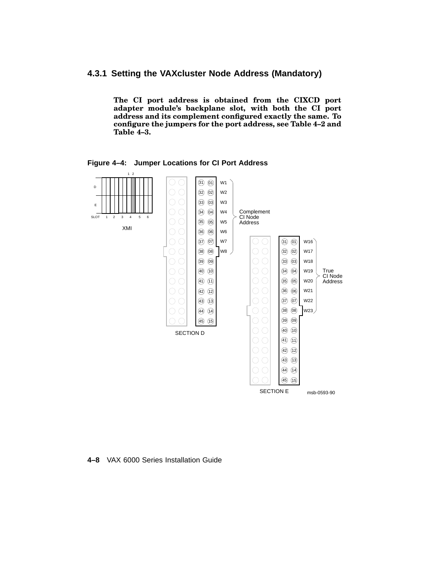# **4.3.1 Setting the VAXcluster Node Address (Mandatory)**

**The CI port address is obtained from the CIXCD port adapter module's backplane slot, with both the CI port address and its complement configured exactly the same. To configure the jumpers for the port address, see Table 4–2 and Table 4–3.**



**Figure 4–4: Jumper Locations for CI Port Address**

**4–8** VAX 6000 Series Installation Guide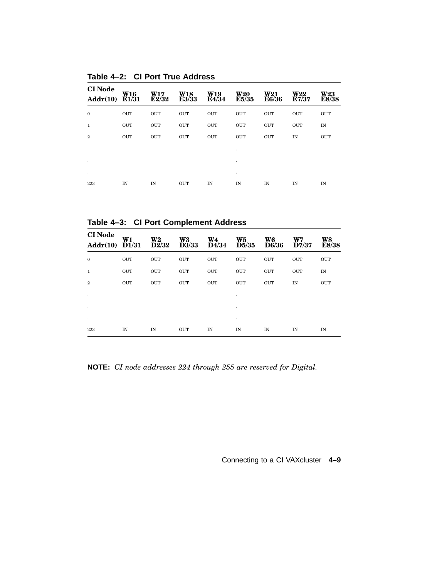| <b>CI</b> Node<br>$\mathbf{Addr}(10)$ | W <sub>16</sub><br>E <sub>1/31</sub> | W17<br>E2/32 | W18<br>E3/33 | W19<br>E4/34 | W <sub>20</sub><br>E5/35 | W21<br>E6/36 | W22<br>E7/37 | W23<br>E8/38             |
|---------------------------------------|--------------------------------------|--------------|--------------|--------------|--------------------------|--------------|--------------|--------------------------|
| $\mathbf{0}$                          | OUT                                  | <b>OUT</b>   | <b>OUT</b>   | <b>OUT</b>   | <b>OUT</b>               | OUT          | OUT          | <b>OUT</b>               |
| $\mathbf{1}$                          | <b>OUT</b>                           | <b>OUT</b>   | <b>OUT</b>   | <b>OUT</b>   | <b>OUT</b>               | <b>OUT</b>   | <b>OUT</b>   | $\ensuremath{\text{IN}}$ |
| $\overline{2}$                        | OUT                                  | <b>OUT</b>   | OUT          | OUT          | <b>OUT</b>               | OUT          | IN           | <b>OUT</b>               |
| $\cdot$                               |                                      |              |              |              |                          |              |              |                          |
| $\cdot$                               |                                      |              |              |              |                          |              |              |                          |
| $\cdot$                               |                                      |              |              |              | ٠                        |              |              |                          |
| 223                                   | IN                                   | IN           | <b>OUT</b>   | IN           | IN                       | IN           | IN           | IN                       |

**Table 4–2: CI Port True Address**

**Table 4–3: CI Port Complement Address**

| <b>CI</b> Node<br>$\mathbf{Addr}(10)$ | W1<br>D <sub>1</sub> /3 <sub>1</sub> | W2<br>$\overline{\mathbf{D}}\overline{\mathbf{2}}/3\mathbf{2}$ | W3<br>D3/33 | W4<br>D4/34 | W5<br>$\ddot{\mathbf{D}}\bar{\mathbf{5}}/35$ | W6<br><b>D6/36</b> | W7<br>D7/37 | W8<br>E8/38 |
|---------------------------------------|--------------------------------------|----------------------------------------------------------------|-------------|-------------|----------------------------------------------|--------------------|-------------|-------------|
| $\bf{0}$                              | <b>OUT</b>                           | <b>OUT</b>                                                     | <b>OUT</b>  | <b>OUT</b>  | <b>OUT</b>                                   | <b>OUT</b>         | <b>OUT</b>  | <b>OUT</b>  |
| $\mathbf{1}$                          | <b>OUT</b>                           | <b>OUT</b>                                                     | <b>OUT</b>  | <b>OUT</b>  | <b>OUT</b>                                   | <b>OUT</b>         | <b>OUT</b>  | IN          |
| $\overline{2}$                        | <b>OUT</b>                           | <b>OUT</b>                                                     | <b>OUT</b>  | <b>OUT</b>  | <b>OUT</b>                                   | <b>OUT</b>         | IN          | <b>OUT</b>  |
|                                       |                                      |                                                                |             |             | $\ddot{\phantom{a}}$                         |                    |             |             |
|                                       |                                      |                                                                |             |             | $\cdot$                                      |                    |             |             |
| $\cdot$                               |                                      |                                                                |             |             |                                              |                    |             |             |
| 223                                   | IN                                   | IN                                                             | <b>OUT</b>  | IN          | IN                                           | IN                 | IN          | IN          |

**NOTE:** *CI node addresses 224 through 255 are reserved for Digital.*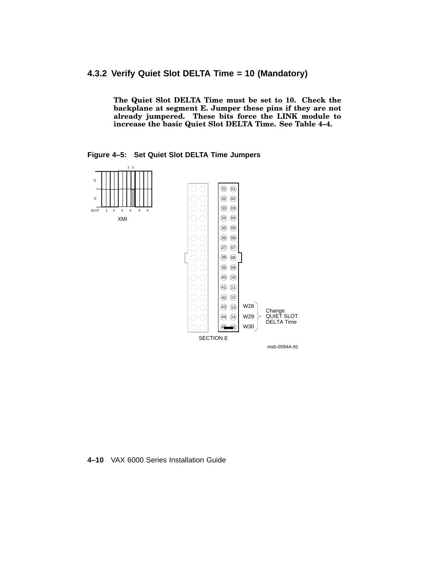# **4.3.2 Verify Quiet Slot DELTA Time = 10 (Mandatory)**

**The Quiet Slot DELTA Time must be set to 10. Check the backplane at segment E. Jumper these pins if they are not already jumpered. These bits force the LINK module to increase the basic Quiet Slot DELTA Time. See Table 4–4.**





**4–10** VAX 6000 Series Installation Guide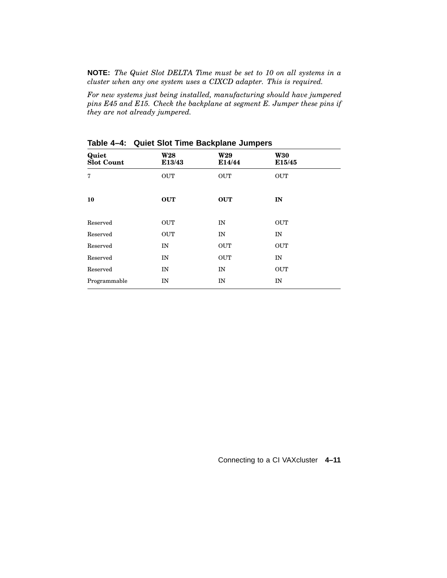**NOTE:** *The Quiet Slot DELTA Time must be set to 10 on all systems in a cluster when any one system uses a CIXCD adapter. This is required.*

*For new systems just being installed, manufacturing should have jumpered pins E45 and E15. Check the backplane at segment E. Jumper these pins if they are not already jumpered.*

| Quiet<br>Slot Count | <b>W28</b><br>E13/43 | <b>W29</b><br>E14/44 | <b>W30</b><br>E15/45 |
|---------------------|----------------------|----------------------|----------------------|
| 7                   | <b>OUT</b>           | <b>OUT</b>           | <b>OUT</b>           |
| 10                  | <b>OUT</b>           | <b>OUT</b>           | IN                   |
| Reserved            | <b>OUT</b>           | IN                   | <b>OUT</b>           |
| Reserved            | <b>OUT</b>           | IN                   | IN                   |
| Reserved            | IN                   | <b>OUT</b>           | <b>OUT</b>           |
| Reserved            | IN                   | <b>OUT</b>           | IN                   |
| Reserved            | $\mathbf{IN}$        | IN                   | <b>OUT</b>           |
| Programmable        | IN                   | IN                   | IN                   |

**Table 4–4: Quiet Slot Time Backplane Jumpers**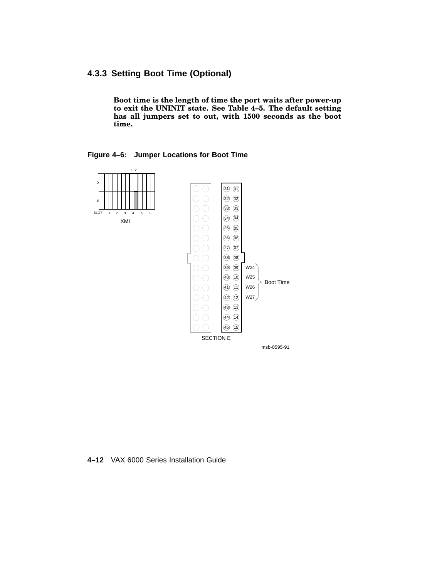# **4.3.3 Setting Boot Time (Optional)**

**Boot time is the length of time the port waits after power-up to exit the UNINIT state. See Table 4–5. The default setting has all jumpers set to out, with 1500 seconds as the boot time.**

### **Figure 4–6: Jumper Locations for Boot Time**



**4–12** VAX 6000 Series Installation Guide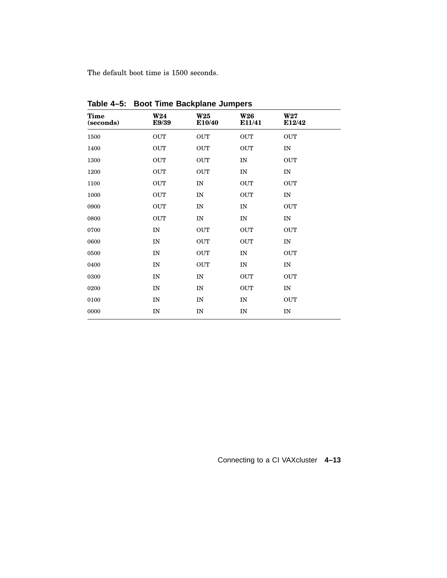The default boot time is 1500 seconds.

| IUNIV T V.        | DOOL TIME Dackplane campers |                          |                      |                          |  |
|-------------------|-----------------------------|--------------------------|----------------------|--------------------------|--|
| Time<br>(seconds) | <b>W24</b><br>E9/39         | <b>W25</b><br>E10/40     | <b>W26</b><br>E11/41 | <b>W27</b><br>E12/42     |  |
| 1500              | <b>OUT</b>                  | <b>OUT</b>               | <b>OUT</b>           | <b>OUT</b>               |  |
| 1400              | <b>OUT</b>                  | <b>OUT</b>               | <b>OUT</b>           | IN                       |  |
| 1300              | <b>OUT</b>                  | <b>OUT</b>               | IN                   | <b>OUT</b>               |  |
| 1200              | <b>OUT</b>                  | <b>OUT</b>               | IN                   | $\ensuremath{\text{IN}}$ |  |
| 1100              | <b>OUT</b>                  | IN                       | <b>OUT</b>           | <b>OUT</b>               |  |
| 1000              | <b>OUT</b>                  | IN                       | <b>OUT</b>           | $\ensuremath{\text{IN}}$ |  |
| 0900              | <b>OUT</b>                  | IN                       | IN                   | <b>OUT</b>               |  |
| 0800              | <b>OUT</b>                  | IN                       | IN                   | IN                       |  |
| 0700              | IN                          | <b>OUT</b>               | <b>OUT</b>           | <b>OUT</b>               |  |
| 0600              | $\mathbf{IN}$               | <b>OUT</b>               | <b>OUT</b>           | $\ensuremath{\text{IN}}$ |  |
| 0500              | $\mathbf{IN}$               | <b>OUT</b>               | IN                   | <b>OUT</b>               |  |
| 0400              | $\mathbf{IN}$               | <b>OUT</b>               | IN                   | $\ensuremath{\text{IN}}$ |  |
| 0300              | IN                          | IN                       | <b>OUT</b>           | <b>OUT</b>               |  |
| 0200              | IN                          | IN                       | <b>OUT</b>           | IN                       |  |
| 0100              | IN                          | IN                       | $\mathbf{IN}$        | <b>OUT</b>               |  |
| 0000              | $\mathbf{IN}$               | $\ensuremath{\text{IN}}$ | IN                   | $\ensuremath{\text{IN}}$ |  |

**Table 4–5: Boot Time Backplane Jumpers**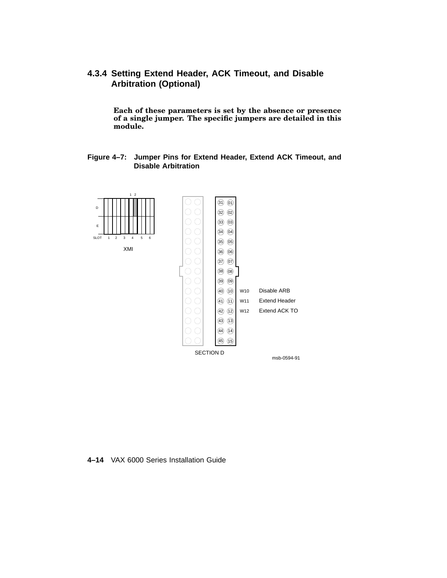# **4.3.4 Setting Extend Header, ACK Timeout, and Disable Arbitration (Optional)**

**Each of these parameters is set by the absence or presence of a single jumper. The specific jumpers are detailed in this module.**

# **Figure 4–7: Jumper Pins for Extend Header, Extend ACK Timeout, and Disable Arbitration**



**4–14** VAX 6000 Series Installation Guide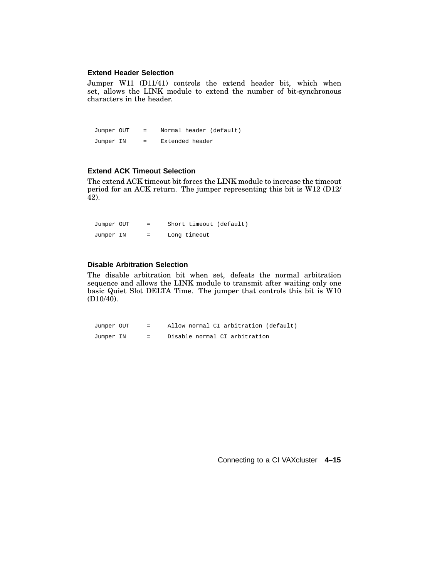### **Extend Header Selection**

Jumper W11 (D11/41) controls the extend header bit, which when set, allows the LINK module to extend the number of bit-synchronous characters in the header.

Jumper OUT = Normal header (default) Jumper IN = Extended header

# **Extend ACK Timeout Selection**

The extend ACK timeout bit forces the LINK module to increase the timeout period for an ACK return. The jumper representing this bit is W12 (D12/ 42).

| Jumper OUT | $=$ | Short timeout (default) |
|------------|-----|-------------------------|
| Jumper IN  | $=$ | Long timeout            |

# **Disable Arbitration Selection**

The disable arbitration bit when set, defeats the normal arbitration sequence and allows the LINK module to transmit after waiting only one basic Quiet Slot DELTA Time. The jumper that controls this bit is W10 (D10/40).

Jumper OUT = Allow normal CI arbitration (default) Jumper IN = Disable normal CI arbitration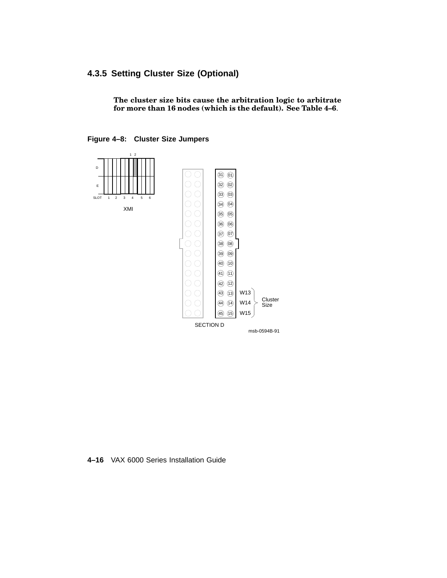# **4.3.5 Setting Cluster Size (Optional)**

**The cluster size bits cause the arbitration logic to arbitrate for more than 16 nodes (which is the default). See Table 4–6**.



**Figure 4–8: Cluster Size Jumpers**

**4–16** VAX 6000 Series Installation Guide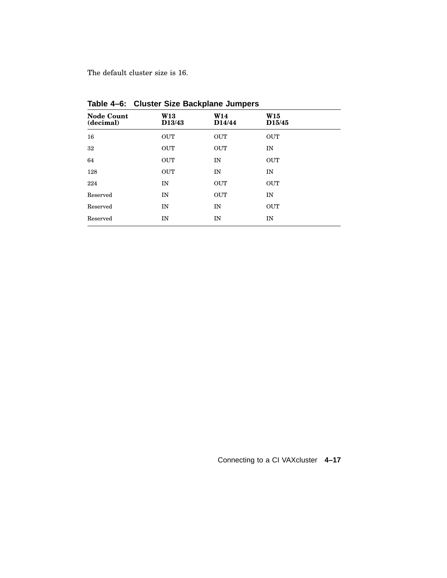The default cluster size is 16.

|                                | rable + 0. Oldster Olze Backplane bumpers |                      |                      |  |  |  |  |
|--------------------------------|-------------------------------------------|----------------------|----------------------|--|--|--|--|
| <b>Node Count</b><br>(decimal) | <b>W13</b><br>D13/43                      | <b>W14</b><br>D14/44 | <b>W15</b><br>D15/45 |  |  |  |  |
| 16                             | <b>OUT</b>                                | <b>OUT</b>           | <b>OUT</b>           |  |  |  |  |
| 32                             | <b>OUT</b>                                | <b>OUT</b>           | IN                   |  |  |  |  |
| 64                             | <b>OUT</b>                                | IN                   | <b>OUT</b>           |  |  |  |  |
| 128                            | <b>OUT</b>                                | IN                   | IN                   |  |  |  |  |
| 224                            | IN                                        | <b>OUT</b>           | <b>OUT</b>           |  |  |  |  |
| Reserved                       | IN                                        | <b>OUT</b>           | IN                   |  |  |  |  |
| Reserved                       | IN                                        | IN                   | <b>OUT</b>           |  |  |  |  |
| Reserved                       | IN                                        | IN                   | IN                   |  |  |  |  |
|                                |                                           |                      |                      |  |  |  |  |

**Table 4–6: Cluster Size Backplane Jumpers**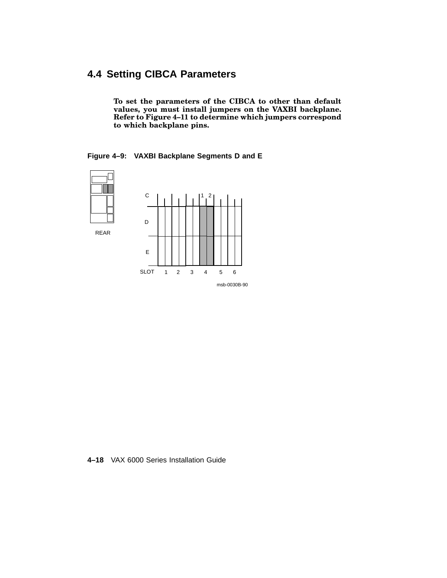# **4.4 Setting CIBCA Parameters**

**To set the parameters of the CIBCA to other than default values, you must install jumpers on the VAXBI backplane. Refer to Figure 4–11 to determine which jumpers correspond to which backplane pins.**

**Figure 4–9: VAXBI Backplane Segments D and E**



**4–18** VAX 6000 Series Installation Guide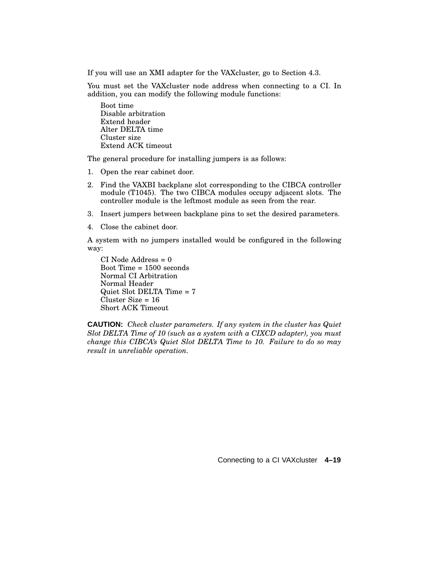If you will use an XMI adapter for the VAXcluster, go to Section 4.3.

You must set the VAXcluster node address when connecting to a CI. In addition, you can modify the following module functions:

Boot time Disable arbitration Extend header Alter DELTA time Cluster size Extend ACK timeout

The general procedure for installing jumpers is as follows:

- 1. Open the rear cabinet door.
- 2. Find the VAXBI backplane slot corresponding to the CIBCA controller module (T1045). The two CIBCA modules occupy adjacent slots. The controller module is the leftmost module as seen from the rear.
- 3. Insert jumpers between backplane pins to set the desired parameters.
- 4. Close the cabinet door.

A system with no jumpers installed would be configured in the following way:

CI Node Address = 0 Boot Time = 1500 seconds Normal CI Arbitration Normal Header Quiet Slot DELTA Time = 7 Cluster Size = 16 Short ACK Timeout

**CAUTION:** *Check cluster parameters. If any system in the cluster has Quiet Slot DELTA Time of 10 (such as a system with a CIXCD adapter), you must change this CIBCA's Quiet Slot DELTA Time to 10. Failure to do so may result in unreliable operation.*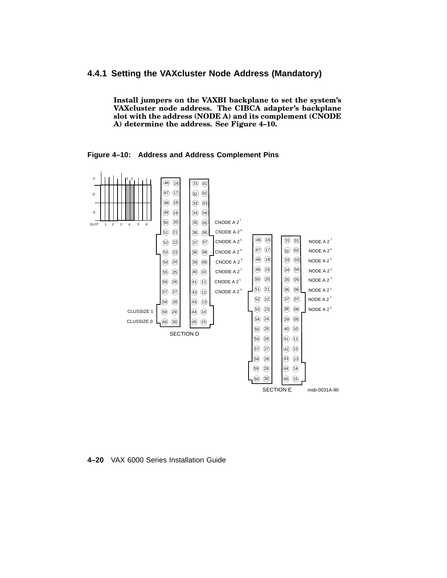# **4.4.1 Setting the VAXcluster Node Address (Mandatory)**

**Install jumpers on the VAXBI backplane to set the system's VAXcluster node address. The CIBCA adapter's backplane slot with the address (NODE A) and its complement (CNODE A) determine the address. See Figure 4–10.**

## **Figure 4–10: Address and Address Complement Pins**



**4–20** VAX 6000 Series Installation Guide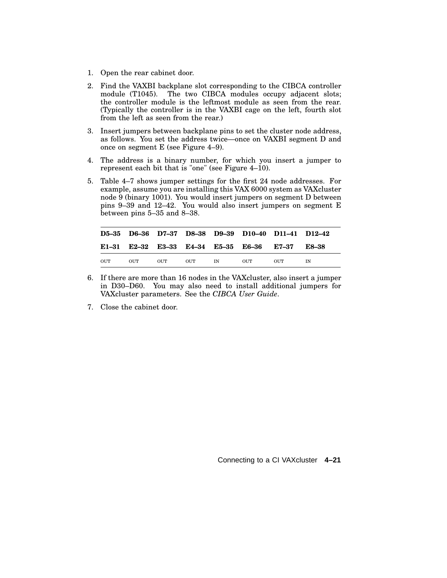- 1. Open the rear cabinet door.
- 2. Find the VAXBI backplane slot corresponding to the CIBCA controller module (T1045). The two CIBCA modules occupy adjacent slots; the controller module is the leftmost module as seen from the rear. (Typically the controller is in the VAXBI cage on the left, fourth slot from the left as seen from the rear.)
- 3. Insert jumpers between backplane pins to set the cluster node address, as follows. You set the address twice—once on VAXBI segment D and once on segment E (see Figure 4–9).
- 4. The address is a binary number, for which you insert a jumper to represent each bit that is "one" (see Figure 4–10).
- 5. Table 4–7 shows jumper settings for the first 24 node addresses. For example, assume you are installing this VAX 6000 system as VAXcluster node 9 (binary 1001). You would insert jumpers on segment D between pins 9–39 and 12–42. You would also insert jumpers on segment E between pins 5–35 and 8–38.

|     |            |            | D5-35 D6-36 D7-37 D8-38 D9-39 D10-40 D11-41 D12-42 |                  |    |
|-----|------------|------------|----------------------------------------------------|------------------|----|
|     |            |            | E1-31 E2-32 E3-33 E4-34 E5-35 E6-36 E7-37 E8-38    |                  |    |
| OUT | <b>OUT</b> | OUT OUT IN | $O$ $I$ $I$ $T$                                    | $_{\text{OIII}}$ | IN |

- 6. If there are more than 16 nodes in the VAXcluster, also insert a jumper in D30–D60. You may also need to install additional jumpers for VAXcluster parameters. See the *CIBCA User Guide*.
- 7. Close the cabinet door.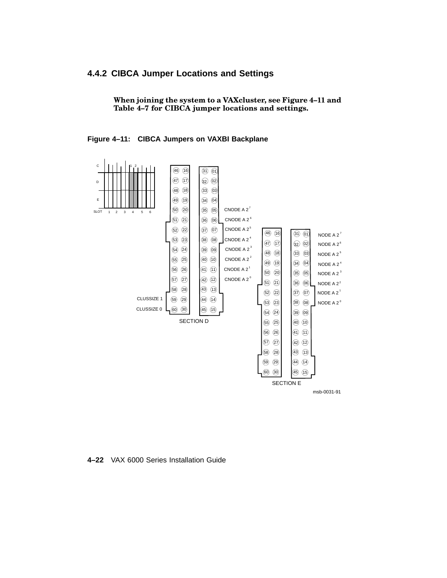#### **4.4.2 CIBCA Jumper Locations and Settings**

**When joining the system to a VAXcluster, see Figure 4–11 and Table 4–7 for CIBCA jumper locations and settings.**





**4–22** VAX 6000 Series Installation Guide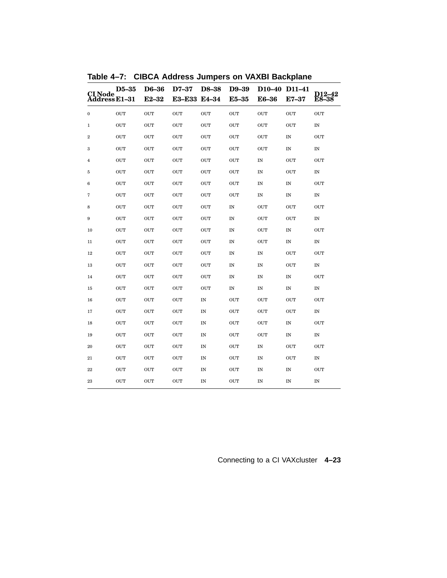| CI Node<br>Address E1-31 | D5-35      | D6-36<br>E2-32 | $D7-37$<br>E3-E33 E4-34 | D8-38                    | D9-39<br>E5-35           | D <sub>10</sub> -40 D <sub>11</sub> -41<br>E6-36 | E7-37         | 42<br>D12<br>$E\bar{8}$ –38 |
|--------------------------|------------|----------------|-------------------------|--------------------------|--------------------------|--------------------------------------------------|---------------|-----------------------------|
| $\mathbf{0}$             | <b>OUT</b> | <b>OUT</b>     | <b>OUT</b>              | <b>OUT</b>               | <b>OUT</b>               | <b>OUT</b>                                       | <b>OUT</b>    | OUT                         |
| $\mathbf{1}$             | <b>OUT</b> | <b>OUT</b>     | <b>OUT</b>              | <b>OUT</b>               | <b>OUT</b>               | <b>OUT</b>                                       | <b>OUT</b>    | $\ensuremath{\text{IN}}$    |
| $\overline{2}$           | <b>OUT</b> | <b>OUT</b>     | <b>OUT</b>              | <b>OUT</b>               | <b>OUT</b>               | <b>OUT</b>                                       | IN            | <b>OUT</b>                  |
| 3                        | <b>OUT</b> | <b>OUT</b>     | <b>OUT</b>              | <b>OUT</b>               | <b>OUT</b>               | <b>OUT</b>                                       | IN            | $\ensuremath{\text{IN}}$    |
| $\overline{\mathbf{4}}$  | <b>OUT</b> | <b>OUT</b>     | <b>OUT</b>              | <b>OUT</b>               | <b>OUT</b>               | $\ensuremath{\text{IN}}$                         | <b>OUT</b>    | <b>OUT</b>                  |
| 5                        | <b>OUT</b> | <b>OUT</b>     | <b>OUT</b>              | <b>OUT</b>               | <b>OUT</b>               | $\ensuremath{\text{IN}}$                         | <b>OUT</b>    | $\ensuremath{\text{IN}}$    |
| 6                        | <b>OUT</b> | <b>OUT</b>     | <b>OUT</b>              | <b>OUT</b>               | <b>OUT</b>               | $\ensuremath{\text{IN}}$                         | IN            | <b>OUT</b>                  |
| 7                        | <b>OUT</b> | <b>OUT</b>     | <b>OUT</b>              | <b>OUT</b>               | <b>OUT</b>               | IN                                               | IN            | IN                          |
| 8                        | <b>OUT</b> | <b>OUT</b>     | <b>OUT</b>              | <b>OUT</b>               | IN                       | <b>OUT</b>                                       | <b>OUT</b>    | <b>OUT</b>                  |
| 9                        | <b>OUT</b> | <b>OUT</b>     | <b>OUT</b>              | <b>OUT</b>               | IN                       | <b>OUT</b>                                       | <b>OUT</b>    | $\ensuremath{\text{IN}}$    |
| 10                       | <b>OUT</b> | <b>OUT</b>     | <b>OUT</b>              | <b>OUT</b>               | $\ensuremath{\text{IN}}$ | <b>OUT</b>                                       | IN            | <b>OUT</b>                  |
| 11                       | <b>OUT</b> | <b>OUT</b>     | <b>OUT</b>              | <b>OUT</b>               | IN                       | <b>OUT</b>                                       | IN            | $\ensuremath{\text{IN}}$    |
| 12                       | <b>OUT</b> | <b>OUT</b>     | <b>OUT</b>              | <b>OUT</b>               | IN                       | $\ensuremath{\text{IN}}$                         | <b>OUT</b>    | <b>OUT</b>                  |
| 13                       | <b>OUT</b> | <b>OUT</b>     | <b>OUT</b>              | <b>OUT</b>               | IN                       | $\ensuremath{\text{IN}}$                         | <b>OUT</b>    | $\ensuremath{\text{IN}}$    |
| 14                       | <b>OUT</b> | <b>OUT</b>     | <b>OUT</b>              | <b>OUT</b>               | IN                       | IN                                               | IN            | OUT                         |
| 15                       | <b>OUT</b> | <b>OUT</b>     | <b>OUT</b>              | <b>OUT</b>               | $\ensuremath{\text{IN}}$ | $\ensuremath{\text{IN}}$                         | $\rm{IN}$     | $\ensuremath{\text{IN}}$    |
| 16                       | <b>OUT</b> | <b>OUT</b>     | <b>OUT</b>              | IN                       | <b>OUT</b>               | <b>OUT</b>                                       | <b>OUT</b>    | <b>OUT</b>                  |
| 17                       | <b>OUT</b> | <b>OUT</b>     | <b>OUT</b>              | $\ensuremath{\text{IN}}$ | <b>OUT</b>               | <b>OUT</b>                                       | <b>OUT</b>    | $\ensuremath{\text{IN}}$    |
| 18                       | <b>OUT</b> | <b>OUT</b>     | <b>OUT</b>              | $\ensuremath{\text{IN}}$ | <b>OUT</b>               | <b>OUT</b>                                       | IN            | <b>OUT</b>                  |
| 19                       | <b>OUT</b> | <b>OUT</b>     | <b>OUT</b>              | IN                       | <b>OUT</b>               | <b>OUT</b>                                       | $\mathbf{IN}$ | $\ensuremath{\text{IN}}$    |
| 20                       | <b>OUT</b> | <b>OUT</b>     | <b>OUT</b>              | $\ensuremath{\text{IN}}$ | <b>OUT</b>               | $\ensuremath{\text{IN}}$                         | <b>OUT</b>    | <b>OUT</b>                  |
| 21                       | <b>OUT</b> | <b>OUT</b>     | <b>OUT</b>              | $\ensuremath{\text{IN}}$ | <b>OUT</b>               | $\ensuremath{\text{IN}}$                         | <b>OUT</b>    | $\ensuremath{\text{IN}}$    |
| 22                       | <b>OUT</b> | <b>OUT</b>     | <b>OUT</b>              | IN                       | <b>OUT</b>               | $\ensuremath{\text{IN}}$                         | IN            | <b>OUT</b>                  |
| 23                       | <b>OUT</b> | <b>OUT</b>     | <b>OUT</b>              | IN                       | <b>OUT</b>               | $\ensuremath{\text{IN}}$                         | $\rm{IN}$     | $\ensuremath{\text{IN}}$    |

**Table 4–7: CIBCA Address Jumpers on VAXBI Backplane**

Connecting to a CI VAXcluster **4–23**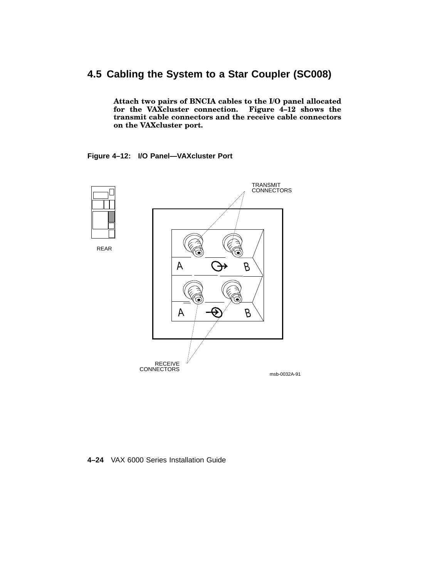## **4.5 Cabling the System to a Star Coupler (SC008)**

**Attach two pairs of BNCIA cables to the I/O panel allocated for the VAXcluster connection. Figure 4–12 shows the transmit cable connectors and the receive cable connectors on the VAXcluster port.**

#### **Figure 4–12: I/O Panel—VAXcluster Port**



**4–24** VAX 6000 Series Installation Guide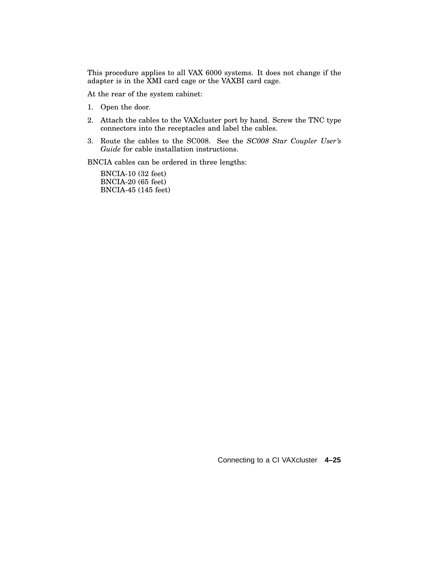This procedure applies to all VAX 6000 systems. It does not change if the adapter is in the XMI card cage or the VAXBI card cage.

At the rear of the system cabinet:

- 1. Open the door.
- 2. Attach the cables to the VAXcluster port by hand. Screw the TNC type connectors into the receptacles and label the cables.
- 3. Route the cables to the SC008. See the *SC008 Star Coupler User's Guide* for cable installation instructions.

BNCIA cables can be ordered in three lengths:

BNCIA-10 (32 feet) BNCIA-20 (65 feet) BNCIA-45 (145 feet)

Connecting to a CI VAXcluster **4–25**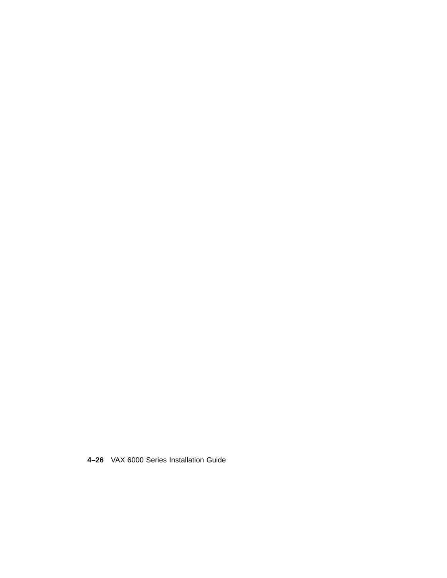**4–26** VAX 6000 Series Installation Guide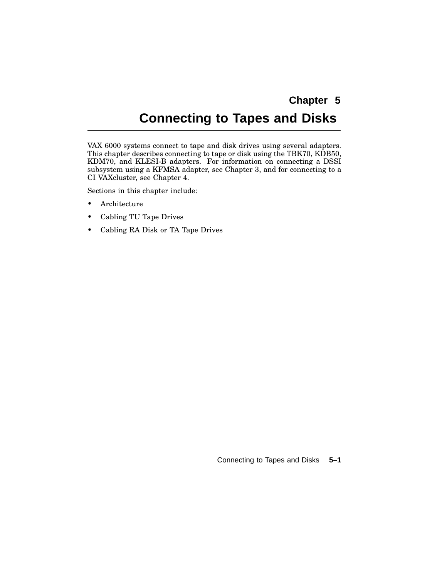# **Chapter 5 Connecting to Tapes and Disks**

VAX 6000 systems connect to tape and disk drives using several adapters. This chapter describes connecting to tape or disk using the TBK70, KDB50, KDM70, and KLESI-B adapters. For information on connecting a DSSI subsystem using a KFMSA adapter, see Chapter 3, and for connecting to a CI VAXcluster, see Chapter 4.

Sections in this chapter include:

- Architecture
- Cabling TU Tape Drives
- Cabling RA Disk or TA Tape Drives

Connecting to Tapes and Disks **5–1**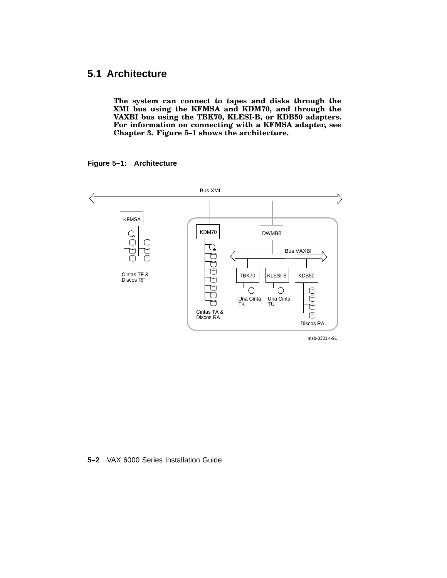### **5.1 Architecture**

**The system can connect to tapes and disks through the XMI bus using the KFMSA and KDM70, and through the VAXBI bus using the TBK70, KLESI-B, or KDB50 adapters. For information on connecting with a KFMSA adapter, see Chapter 3. Figure 5–1 shows the architecture.**



**Figure 5–1: Architecture**

**5–2** VAX 6000 Series Installation Guide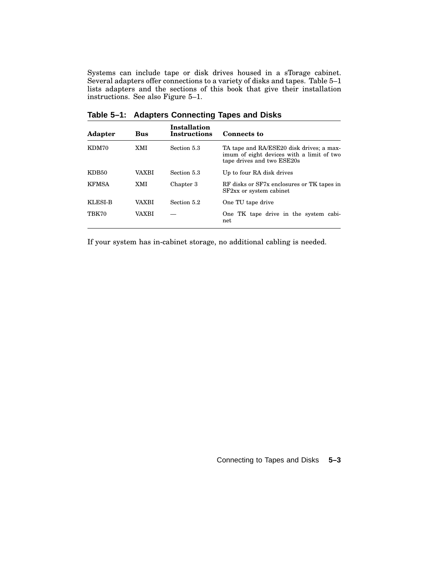Systems can include tape or disk drives housed in a sTorage cabinet. Several adapters offer connections to a variety of disks and tapes. Table 5–1 lists adapters and the sections of this book that give their installation instructions. See also Figure 5–1.

| <b>Adapter</b> | Bus          | Installation<br><b>Instructions</b> | Connects to                                                                                                         |
|----------------|--------------|-------------------------------------|---------------------------------------------------------------------------------------------------------------------|
| KDM70          | <b>XMI</b>   | Section 5.3                         | TA tape and RA/ESE20 disk drives; a max-<br>imum of eight devices with a limit of two<br>tape drives and two ESE20s |
| KDB50          | <b>VAXBI</b> | Section 5.3                         | Up to four RA disk drives                                                                                           |
| <b>KFMSA</b>   | XMI          | Chapter 3                           | RF disks or SF7x enclosures or TK tapes in<br>SF2xx or system cabinet                                               |
| <b>KLESI-B</b> | VAXBI        | Section 5.2                         | One TU tape drive                                                                                                   |
| TBK70          | VAXBI        |                                     | One TK tape drive in the system cabi-<br>net                                                                        |

**Table 5–1: Adapters Connecting Tapes and Disks**

If your system has in-cabinet storage, no additional cabling is needed.

Connecting to Tapes and Disks **5–3**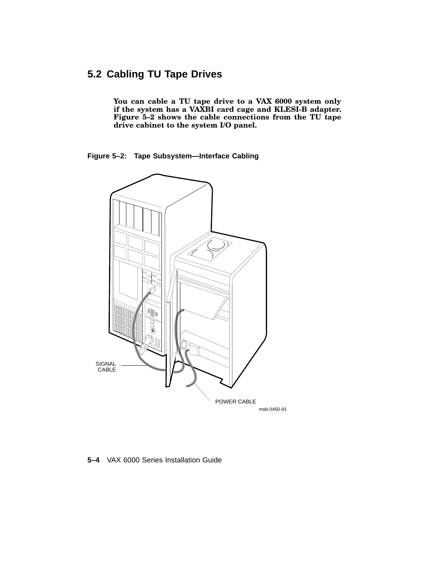## **5.2 Cabling TU Tape Drives**

**You can cable a TU tape drive to a VAX 6000 system only if the system has a VAXBI card cage and KLESI-B adapter. Figure 5–2 shows the cable connections from the TU tape drive cabinet to the system I/O panel.**

**Figure 5–2: Tape Subsystem—Interface Cabling**



**5–4** VAX 6000 Series Installation Guide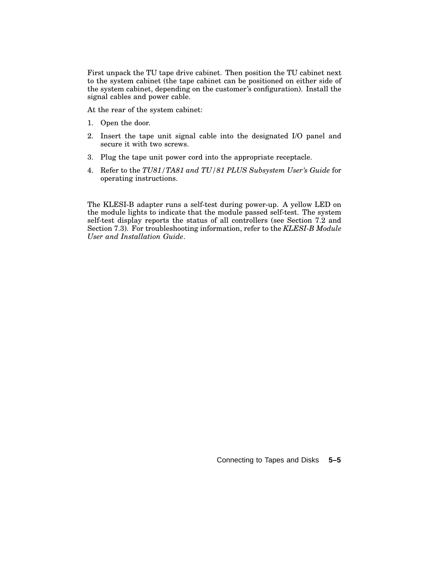First unpack the TU tape drive cabinet. Then position the TU cabinet next to the system cabinet (the tape cabinet can be positioned on either side of the system cabinet, depending on the customer's configuration). Install the signal cables and power cable.

At the rear of the system cabinet:

- 1. Open the door.
- 2. Insert the tape unit signal cable into the designated I/O panel and secure it with two screws.
- 3. Plug the tape unit power cord into the appropriate receptacle.
- 4. Refer to the *TU81/TA81 and TU/81 PLUS Subsystem User's Guide* for operating instructions.

The KLESI-B adapter runs a self-test during power-up. A yellow LED on the module lights to indicate that the module passed self-test. The system self-test display reports the status of all controllers (see Section 7.2 and Section 7.3). For troubleshooting information, refer to the *KLESI-B Module User and Installation Guide*.

Connecting to Tapes and Disks **5–5**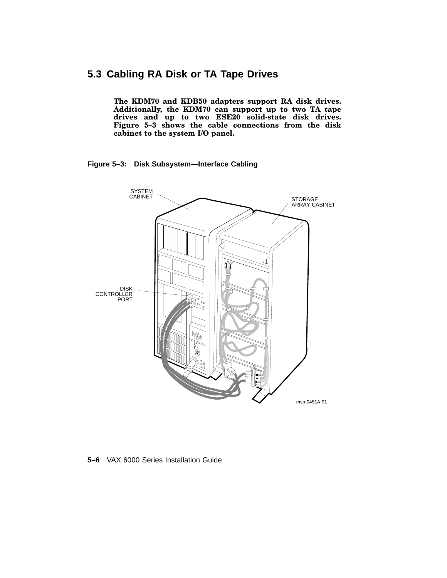## **5.3 Cabling RA Disk or TA Tape Drives**

**The KDM70 and KDB50 adapters support RA disk drives. Additionally, the KDM70 can support up to two TA tape drives and up to two ESE20 solid-state disk drives. Figure 5–3 shows the cable connections from the disk cabinet to the system I/O panel.**

**Figure 5–3: Disk Subsystem—Interface Cabling**



**5–6** VAX 6000 Series Installation Guide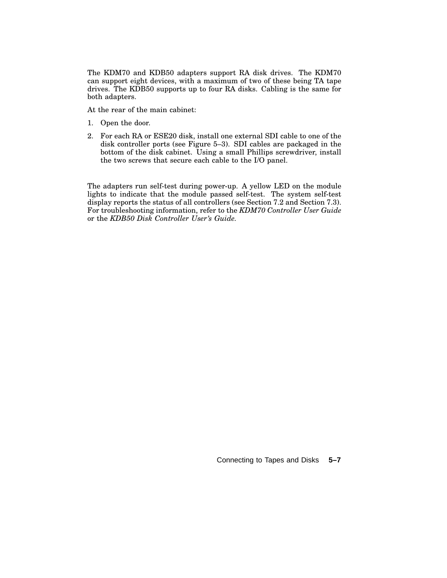The KDM70 and KDB50 adapters support RA disk drives. The KDM70 can support eight devices, with a maximum of two of these being TA tape drives. The KDB50 supports up to four RA disks. Cabling is the same for both adapters.

At the rear of the main cabinet:

- 1. Open the door.
- 2. For each RA or ESE20 disk, install one external SDI cable to one of the disk controller ports (see Figure 5–3). SDI cables are packaged in the bottom of the disk cabinet. Using a small Phillips screwdriver, install the two screws that secure each cable to the I/O panel.

The adapters run self-test during power-up. A yellow LED on the module lights to indicate that the module passed self-test. The system self-test display reports the status of all controllers (see Section 7.2 and Section 7.3). For troubleshooting information, refer to the *KDM70 Controller User Guide* or the *KDB50 Disk Controller User's Guide.*

Connecting to Tapes and Disks **5–7**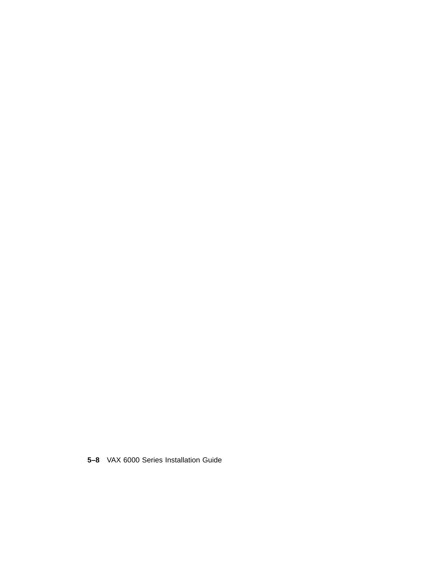**5–8** VAX 6000 Series Installation Guide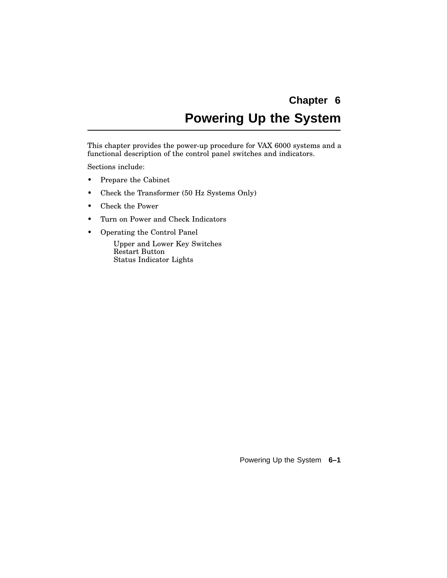# **Chapter 6 Powering Up the System**

This chapter provides the power-up procedure for VAX 6000 systems and a functional description of the control panel switches and indicators.

Sections include:

- Prepare the Cabinet
- Check the Transformer (50 Hz Systems Only)
- Check the Power
- Turn on Power and Check Indicators
- Operating the Control Panel

Upper and Lower Key Switches Restart Button Status Indicator Lights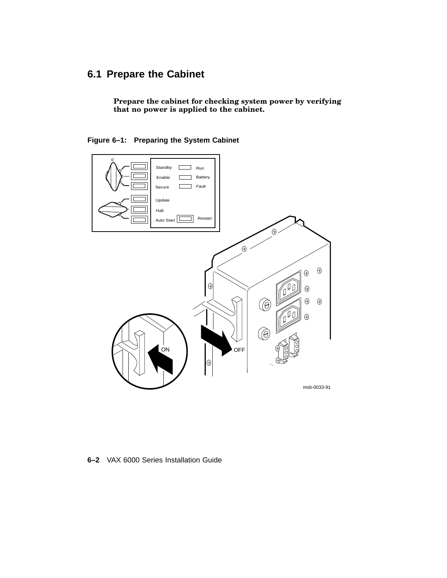## **6.1 Prepare the Cabinet**

**Prepare the cabinet for checking system power by verifying that no power is applied to the cabinet.**





**6–2** VAX 6000 Series Installation Guide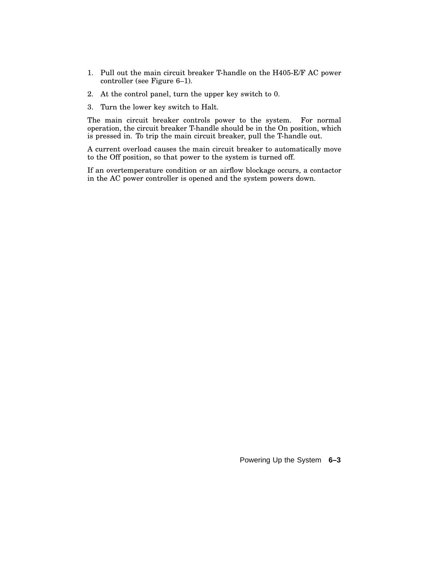- 1. Pull out the main circuit breaker T-handle on the H405-E/F AC power controller (see Figure 6–1).
- 2. At the control panel, turn the upper key switch to 0.
- 3. Turn the lower key switch to Halt.

The main circuit breaker controls power to the system. For normal operation, the circuit breaker T-handle should be in the On position, which is pressed in. To trip the main circuit breaker, pull the T-handle out.

A current overload causes the main circuit breaker to automatically move to the Off position, so that power to the system is turned off.

If an overtemperature condition or an airflow blockage occurs, a contactor in the AC power controller is opened and the system powers down.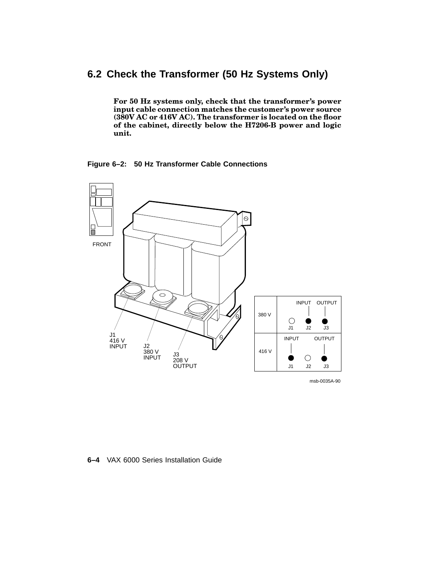## **6.2 Check the Transformer (50 Hz Systems Only)**

**For 50 Hz systems only, check that the transformer's power input cable connection matches the customer's power source (380V AC or 416V AC). The transformer is located on the floor of the cabinet, directly below the H7206-B power and logic unit.**

**Figure 6–2: 50 Hz Transformer Cable Connections**



**6–4** VAX 6000 Series Installation Guide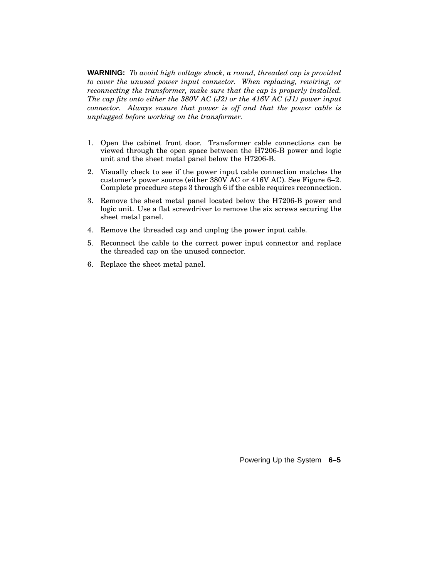**WARNING:** *To avoid high voltage shock, a round, threaded cap is provided to cover the unused power input connector. When replacing, rewiring, or reconnecting the transformer, make sure that the cap is properly installed. The cap fits onto either the 380V AC (J2) or the 416V AC (J1) power input connector. Always ensure that power is off and that the power cable is unplugged before working on the transformer.*

- 1. Open the cabinet front door. Transformer cable connections can be viewed through the open space between the H7206-B power and logic unit and the sheet metal panel below the H7206-B.
- 2. Visually check to see if the power input cable connection matches the customer's power source (either 380V AC or 416V AC). See Figure 6–2. Complete procedure steps 3 through 6 if the cable requires reconnection.
- 3. Remove the sheet metal panel located below the H7206-B power and logic unit. Use a flat screwdriver to remove the six screws securing the sheet metal panel.
- 4. Remove the threaded cap and unplug the power input cable.
- 5. Reconnect the cable to the correct power input connector and replace the threaded cap on the unused connector.
- 6. Replace the sheet metal panel.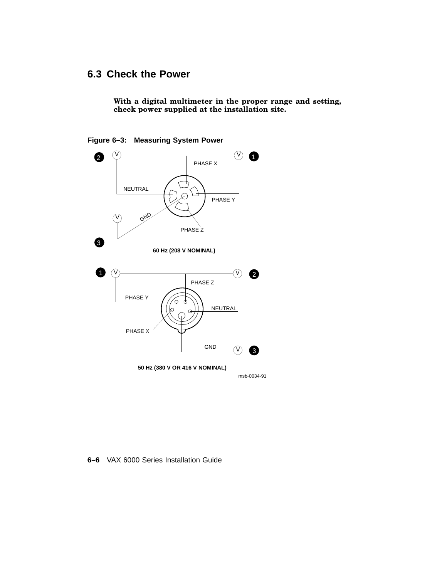### **6.3 Check the Power**

**With a digital multimeter in the proper range and setting, check power supplied at the installation site.**





**6–6** VAX 6000 Series Installation Guide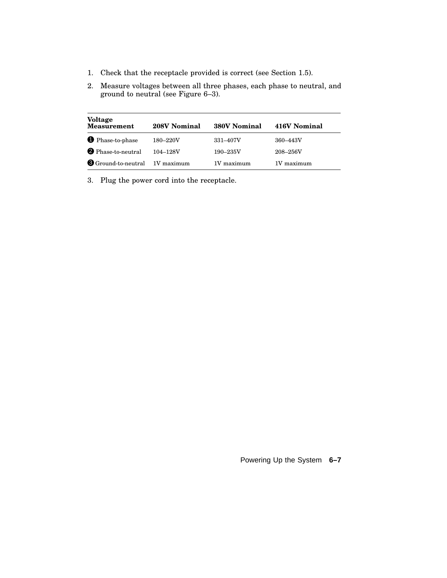- 1. Check that the receptacle provided is correct (see Section 1.5).
- 2. Measure voltages between all three phases, each phase to neutral, and ground to neutral (see Figure 6–3).

| <b>Voltage</b><br><b>Measurement</b> | 208V Nominal | 380V Nominal | 416V Nominal |
|--------------------------------------|--------------|--------------|--------------|
| <b>O</b> Phase-to-phase              | 180-220V     | 331-407V     | 360-443V     |
| <b>2</b> Phase-to-neutral            | 104-128V     | 190-235V     | 208-256V     |
| Ground-to-neutral 1V maximum         |              | 1V maximum   | 1V maximum   |

3. Plug the power cord into the receptacle.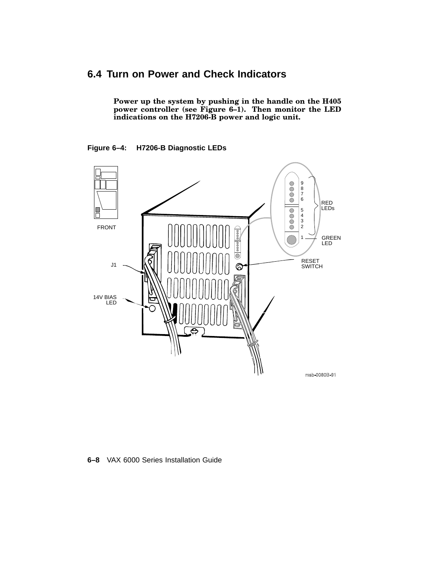### **6.4 Turn on Power and Check Indicators**

**Power up the system by pushing in the handle on the H405 power controller (see Figure 6–1). Then monitor the LED indications on the H7206-B power and logic unit.**

**Figure 6–4: H7206-B Diagnostic LEDs**



#### **6–8** VAX 6000 Series Installation Guide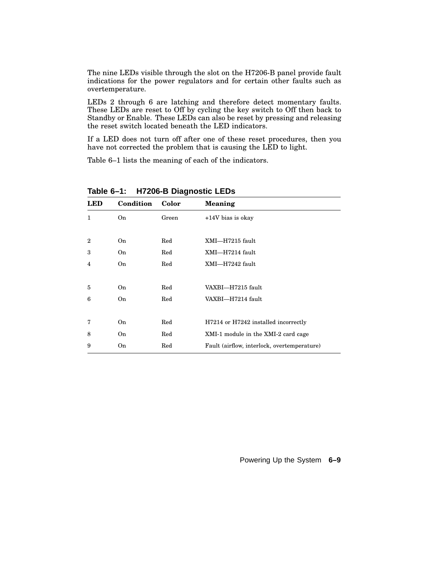The nine LEDs visible through the slot on the H7206-B panel provide fault indications for the power regulators and for certain other faults such as overtemperature.

LEDs 2 through 6 are latching and therefore detect momentary faults. These LEDs are reset to Off by cycling the key switch to Off then back to Standby or Enable. These LEDs can also be reset by pressing and releasing the reset switch located beneath the LED indicators.

If a LED does not turn off after one of these reset procedures, then you have not corrected the problem that is causing the LED to light.

Table 6–1 lists the meaning of each of the indicators.

| Condition | Color | <b>Meaning</b>                              |
|-----------|-------|---------------------------------------------|
| On        | Green | $+14V$ bias is okay                         |
|           |       |                                             |
| On        | Red   | XMI-H7215 fault                             |
| On        | Red   | XMI-H7214 fault                             |
| On        | Red   | XMI-H7242 fault                             |
|           |       |                                             |
| On        | Red   | VAXBI-H7215 fault                           |
| On        | Red   | VAXBI-H7214 fault                           |
|           |       |                                             |
| On        | Red   | H7214 or H7242 installed incorrectly        |
| On        | Red   | XMI-1 module in the XMI-2 card cage         |
| On        | Red   | Fault (airflow, interlock, overtemperature) |
|           |       |                                             |

**Table 6–1: H7206-B Diagnostic LEDs**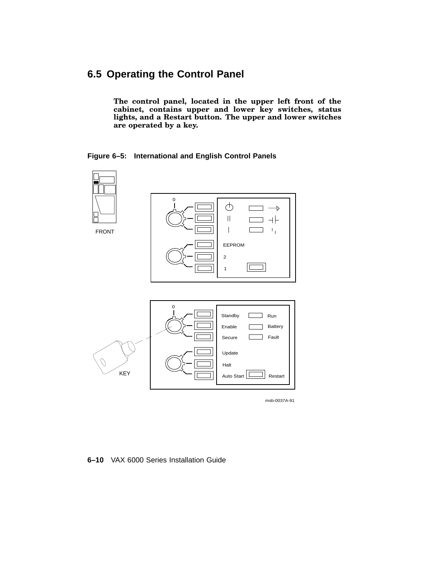## **6.5 Operating the Control Panel**

**The control panel, located in the upper left front of the cabinet, contains upper and lower key switches, status lights, and a Restart button. The upper and lower switches are operated by a key.**

#### **Figure 6–5: International and English Control Panels**



msb-0037A-91

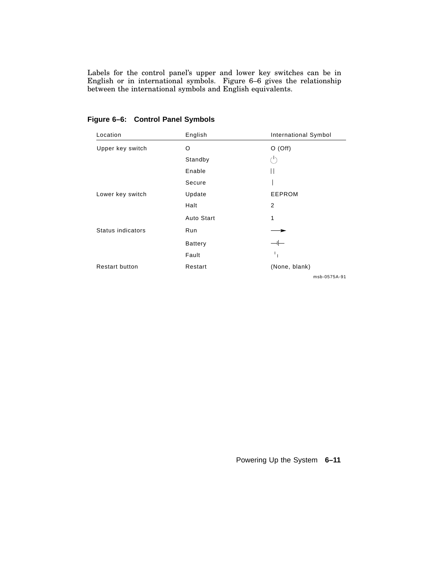Labels for the control panel's upper and lower key switches can be in English or in international symbols. Figure 6–6 gives the relationship between the international symbols and English equivalents.

| Location                 | English           | International Symbol          |
|--------------------------|-------------------|-------------------------------|
| Upper key switch         | O                 | O(Off)                        |
|                          | Standby           | $\left( \ ^{\dagger }\right)$ |
|                          | Enable            |                               |
|                          | Secure            |                               |
| Lower key switch         | Update            | <b>EEPROM</b>                 |
|                          | Halt              | 2                             |
|                          | <b>Auto Start</b> | 1                             |
| <b>Status indicators</b> | Run               |                               |
|                          | <b>Battery</b>    |                               |
|                          | Fault             |                               |
| <b>Restart button</b>    | Restart           | (None, blank)                 |
|                          |                   | msb-0575A-91                  |

#### **Figure 6–6: Control Panel Symbols**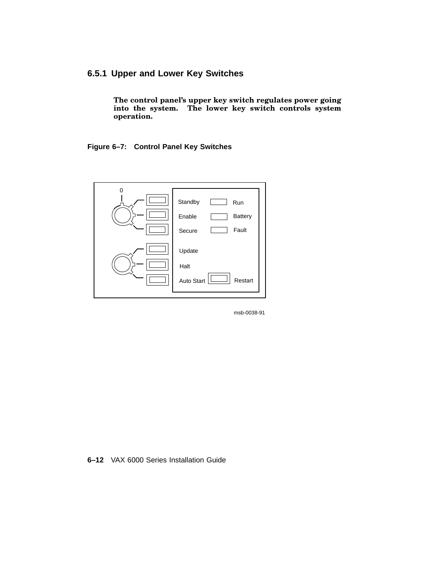### **6.5.1 Upper and Lower Key Switches**

**The control panel's upper key switch regulates power going into the system. The lower key switch controls system operation.**

**Figure 6–7: Control Panel Key Switches**



msb-0038-91

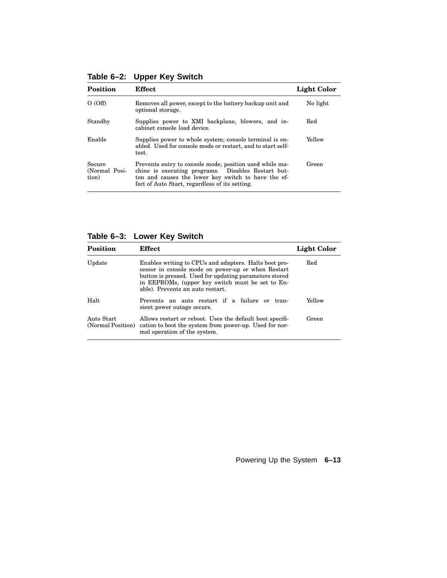**Table 6–2: Upper Key Switch**

| <b>Position</b>                  | Effect                                                                                                                                                                                                                 | Light Color |
|----------------------------------|------------------------------------------------------------------------------------------------------------------------------------------------------------------------------------------------------------------------|-------------|
| O(Off)                           | Removes all power, except to the battery backup unit and<br>optional storage.                                                                                                                                          | No light    |
| Standby                          | Supplies power to XMI backplane, blowers, and in-<br>cabinet console load device.                                                                                                                                      | Red         |
| Enable                           | Supplies power to whole system; console terminal is en-<br>abled. Used for console mode or restart, and to start self-<br>test.                                                                                        | Yellow      |
| Secure<br>(Normal Posi-<br>tion) | Prevents entry to console mode; position used while ma-<br>chine is executing programs. Disables Restart but-<br>ton and causes the lower key switch to have the ef-<br>fect of Auto Start, regardless of its setting. | Green       |

**Table 6–3: Lower Key Switch**

| Position                        | <b>Effect</b>                                                                                                                                                                                                                                                 | Light Color |
|---------------------------------|---------------------------------------------------------------------------------------------------------------------------------------------------------------------------------------------------------------------------------------------------------------|-------------|
| Update                          | Enables writing to CPUs and adapters. Halts boot pro-<br>cessor in console mode on power-up or when Restart<br>button is pressed. Used for updating parameters stored<br>in EEPROMs, (upper key switch must be set to En-<br>able). Prevents an auto restart. | Red         |
| Halt                            | Prevents an auto restart if a failure or tran-<br>sient power outage occurs.                                                                                                                                                                                  | Yellow      |
| Auto Start<br>(Normal Position) | Allows restart or reboot. Uses the default boot specifi-<br>cation to boot the system from power-up. Used for nor-<br>mal operation of the system.                                                                                                            | Green       |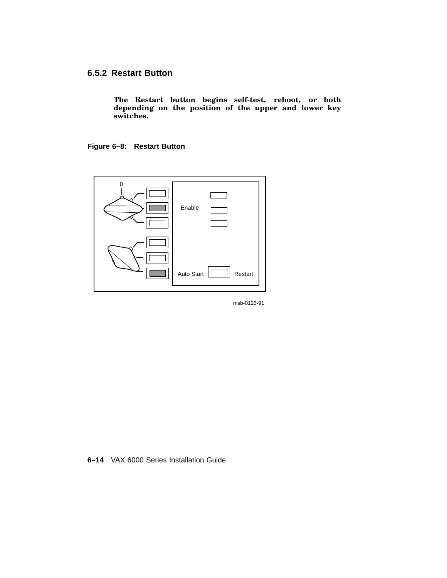#### **6.5.2 Restart Button**

**The Restart button begins self-test, reboot, or both depending on the position of the upper and lower key switches.**

**Figure 6–8: Restart Button**



msb-0123-91

**6–14** VAX 6000 Series Installation Guide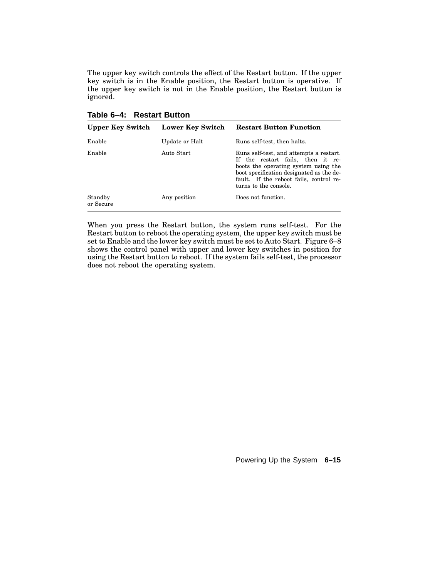The upper key switch controls the effect of the Restart button. If the upper key switch is in the Enable position, the Restart button is operative. If the upper key switch is not in the Enable position, the Restart button is ignored.

| <b>Upper Key Switch</b> | <b>Lower Key Switch</b> | <b>Restart Button Function</b>                                                                                                                                                                                                       |
|-------------------------|-------------------------|--------------------------------------------------------------------------------------------------------------------------------------------------------------------------------------------------------------------------------------|
| Enable                  | Update or Halt          | Runs self-test, then halts.                                                                                                                                                                                                          |
| Enable                  | Auto Start              | Runs self-test, and attempts a restart.<br>If the restart fails, then it re-<br>boots the operating system using the<br>boot specification designated as the de-<br>fault. If the reboot fails, control re-<br>turns to the console. |
| Standby<br>or Secure    | Any position            | Does not function.                                                                                                                                                                                                                   |

**Table 6–4: Restart Button**

When you press the Restart button, the system runs self-test. For the Restart button to reboot the operating system, the upper key switch must be set to Enable and the lower key switch must be set to Auto Start. Figure 6–8 shows the control panel with upper and lower key switches in position for using the Restart button to reboot. If the system fails self-test, the processor does not reboot the operating system.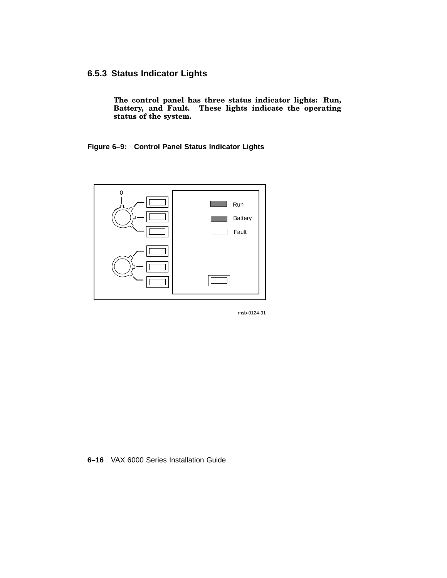## **6.5.3 Status Indicator Lights**

**The control panel has three status indicator lights: Run, Battery, and Fault. These lights indicate the operating status of the system.**

**Figure 6–9: Control Panel Status Indicator Lights**



msb-0124-91

**6–16** VAX 6000 Series Installation Guide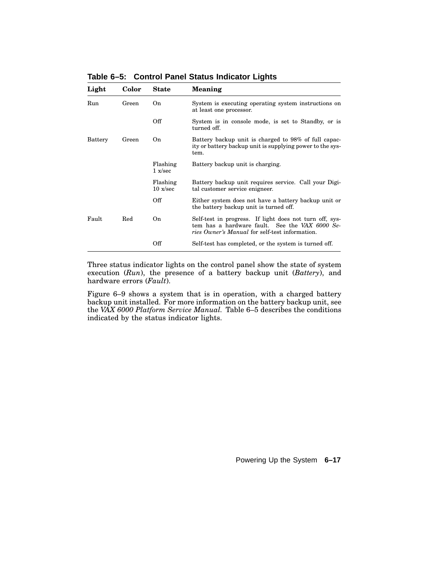| Light          | Color | <b>State</b>                | <b>Meaning</b>                                                                                                                                                     |
|----------------|-------|-----------------------------|--------------------------------------------------------------------------------------------------------------------------------------------------------------------|
| Run            | Green | On                          | System is executing operating system instructions on<br>at least one processor.                                                                                    |
|                |       | Off                         | System is in console mode, is set to Standby, or is<br>turned off.                                                                                                 |
| <b>Battery</b> | Green | On                          | Battery backup unit is charged to 98% of full capac-<br>ity or battery backup unit is supplying power to the sys-<br>tem.                                          |
|                |       | Flashing<br>1 x/sec         | Battery backup unit is charging.                                                                                                                                   |
|                |       | Flashing<br>$10 \times$ sec | Battery backup unit requires service. Call your Digi-<br>tal customer service enigneer.                                                                            |
|                |       | Off                         | Either system does not have a battery backup unit or<br>the battery backup unit is turned off.                                                                     |
| Fault          | Red   | On                          | Self-test in progress. If light does not turn off, sys-<br>tem has a hardware fault. See the VAX 6000 Se-<br><i>ries Owner's Manual</i> for self-test information. |
|                |       | Off                         | Self-test has completed, or the system is turned off.                                                                                                              |

**Table 6–5: Control Panel Status Indicator Lights**

Three status indicator lights on the control panel show the state of system execution (*Run*), the presence of a battery backup unit (*Battery*), and hardware errors (*Fault*).

Figure 6–9 shows a system that is in operation, with a charged battery backup unit installed. For more information on the battery backup unit, see the *VAX 6000 Platform Service Manual.* Table 6–5 describes the conditions indicated by the status indicator lights.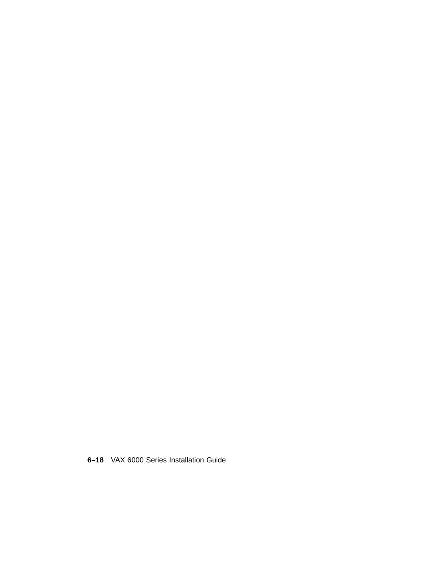**6–18** VAX 6000 Series Installation Guide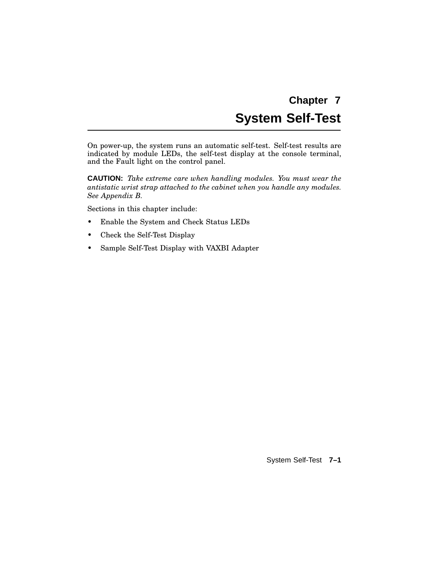# **Chapter 7 System Self-Test**

On power-up, the system runs an automatic self-test. Self-test results are indicated by module LEDs, the self-test display at the console terminal, and the Fault light on the control panel.

**CAUTION:** *Take extreme care when handling modules. You must wear the antistatic wrist strap attached to the cabinet when you handle any modules. See Appendix B.*

Sections in this chapter include:

- Enable the System and Check Status LEDs
- Check the Self-Test Display
- Sample Self-Test Display with VAXBI Adapter

System Self-Test **7–1**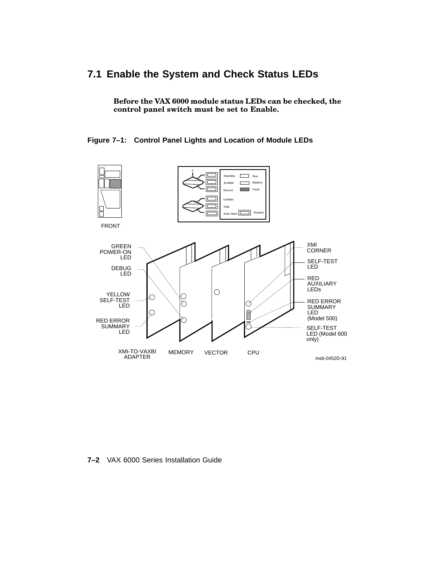## **7.1 Enable the System and Check Status LEDs**

**Before the VAX 6000 module status LEDs can be checked, the control panel switch must be set to Enable.**

**Figure 7–1: Control Panel Lights and Location of Module LEDs**



**7–2** VAX 6000 Series Installation Guide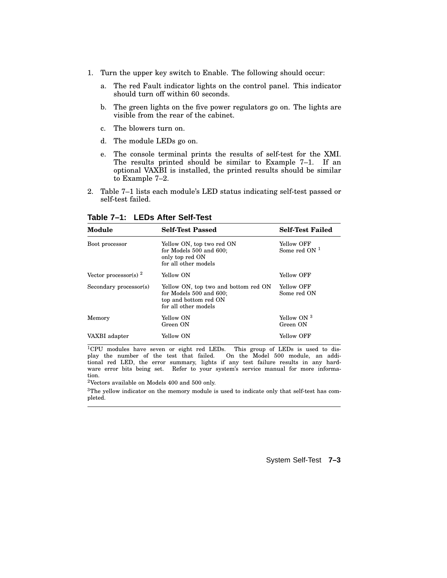- 1. Turn the upper key switch to Enable. The following should occur:
	- a. The red Fault indicator lights on the control panel. This indicator should turn off within 60 seconds.
	- b. The green lights on the five power regulators go on. The lights are visible from the rear of the cabinet.
	- c. The blowers turn on.
	- d. The module LEDs go on.
	- e. The console terminal prints the results of self-test for the XMI. The results printed should be similar to Example 7–1. If an optional VAXBI is installed, the printed results should be similar to Example 7–2.
- 2. Table 7–1 lists each module's LED status indicating self-test passed or self-test failed.

| Module                   | <b>Self-Test Passed</b>                                                                                               | <b>Self-Test Failed</b>      |
|--------------------------|-----------------------------------------------------------------------------------------------------------------------|------------------------------|
| Boot processor           | Yellow ON, top two red ON<br>for Models 500 and 600;<br>only top red ON<br>for all other models                       | Yellow OFF<br>Some red $ON1$ |
| Vector processor(s) $^2$ | Yellow ON                                                                                                             | Yellow OFF                   |
| Secondary processor(s)   | Yellow ON, top two and bottom red ON<br>for Models $500$ and $600$ ;<br>top and bottom red ON<br>for all other models | Yellow OFF<br>Some red ON    |
| Memory                   | Yellow ON<br>Green ON                                                                                                 | Yellow ON 3<br>Green ON      |
| VAXBI adapter            | Yellow ON                                                                                                             | Yellow OFF                   |

**Table 7–1: LEDs After Self-Test**

 $1$ <sup>1</sup>CPU modules have seven or eight red LEDs. This group of LEDs is used to dis-<br>play the number of the test that failed. On the Model 500 module, an addiplay the number of the test that failed. tional red LED, the error summary, lights if any test failure results in any hardware error bits being set. Refer to your system's service manual for more information.

<sup>2</sup>Vectors available on Models 400 and 500 only.

<sup>3</sup>The yellow indicator on the memory module is used to indicate only that self-test has completed.

System Self-Test **7–3**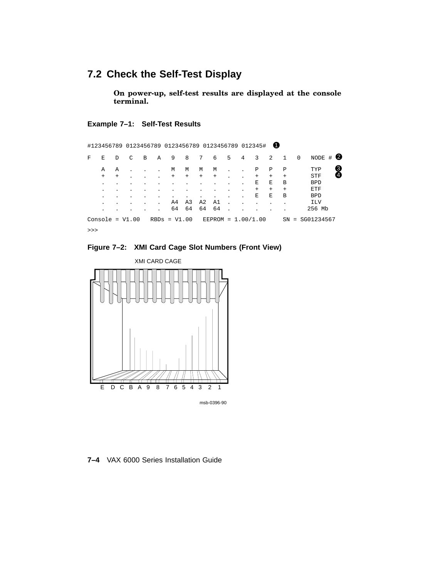## **7.2 Check the Self-Test Display**

**On power-up, self-test results are displayed at the console terminal.**

**Example 7–1: Self-Test Results**

|    |     | #123456789 0123456789 0123456789 0123456789 012345# |                   |   |           |                | O              |           |                      |                      |                |                |           |                |             |                   |   |    |
|----|-----|-----------------------------------------------------|-------------------|---|-----------|----------------|----------------|-----------|----------------------|----------------------|----------------|----------------|-----------|----------------|-------------|-------------------|---|----|
| F  | E   | D                                                   | C                 | B | A         | 9              | 8              | 7         | 6                    | 5                    | $\overline{4}$ | $\overline{3}$ | 2         | $\overline{1}$ | $\mathbf 0$ | NODE              | # | 0  |
|    | A   | Α                                                   |                   |   | $\bullet$ | М              | М              | М         | М                    | $\ddot{\phantom{a}}$ |                | Ρ              | Ρ         | Ρ              |             | TYP               |   | 3  |
|    | $+$ | $+$                                                 |                   |   | ٠         | $^{+}$         | $+$            | $+$       | $\ddot{}$            | $\ddot{\phantom{0}}$ |                | $+$            | $^{+}$    | $+$            |             | STF               |   | Ø, |
|    |     |                                                     |                   |   |           |                |                |           |                      | ٠                    | ٠              | Ε              | Ε         | В              |             | <b>BPD</b>        |   |    |
|    |     |                                                     |                   |   |           |                |                |           |                      |                      | ٠              | $+$            | $\ddot{}$ | $+$            |             | ETF               |   |    |
|    |     |                                                     |                   |   | ٠         |                | $\bullet$      | $\bullet$ | $\ddot{\phantom{1}}$ | $\cdot$              | $\cdot$        | Е              | Ε         | В              |             | <b>BPD</b>        |   |    |
|    |     |                                                     |                   |   | $\cdot$   | A4             | A <sub>3</sub> | A2        | A1                   |                      |                | ٠              |           |                |             | <b>ILV</b>        |   |    |
|    |     |                                                     |                   |   | $\cdot$   | 64             | 64             | 64        | 64                   |                      |                |                |           |                |             | 256 Mb            |   |    |
|    |     |                                                     | Console = $V1.00$ |   |           | $RBDs = V1.00$ |                |           |                      | $EEPROM = 1.00/1.00$ |                |                |           |                |             | $SN = SG01234567$ |   |    |
| >> |     |                                                     |                   |   |           |                |                |           |                      |                      |                |                |           |                |             |                   |   |    |

**Figure 7–2: XMI Card Cage Slot Numbers (Front View)**



msb-0396-90

**7–4** VAX 6000 Series Installation Guide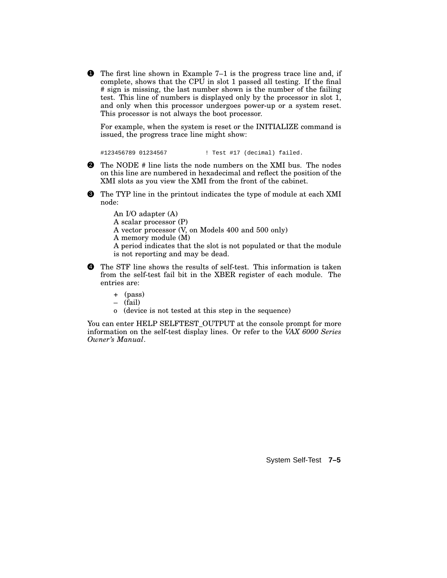$\bullet$  The first line shown in Example 7–1 is the progress trace line and, if complete, shows that the CPU in slot 1 passed all testing. If the final # sign is missing, the last number shown is the number of the failing test. This line of numbers is displayed only by the processor in slot 1, and only when this processor undergoes power-up or a system reset. This processor is not always the boot processor.

For example, when the system is reset or the INITIALIZE command is issued, the progress trace line might show:

#123456789 01234567 ! Test #17 (decimal) failed.

- 2 The NODE # line lists the node numbers on the XMI bus. The nodes on this line are numbered in hexadecimal and reflect the position of the XMI slots as you view the XMI from the front of the cabinet.
- **3** The TYP line in the printout indicates the type of module at each XMI node:

An I/O adapter (A) A scalar processor (P) A vector processor (V, on Models 400 and 500 only) A memory module (M) A period indicates that the slot is not populated or that the module is not reporting and may be dead.

- 4 The STF line shows the results of self-test. This information is taken from the self-test fail bit in the XBER register of each module. The entries are:
	- + (pass)
	- (fail)
	- o (device is not tested at this step in the sequence)

You can enter HELP SELFTEST\_OUTPUT at the console prompt for more information on the self-test display lines. Or refer to the *VAX 6000 Series Owner's Manual*.

System Self-Test **7–5**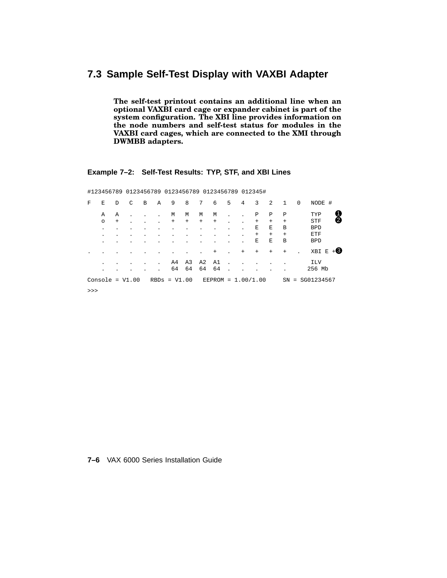## **7.3 Sample Self-Test Display with VAXBI Adapter**

**The self-test printout contains an additional line when an optional VAXBI card cage or expander cabinet is part of the system configuration. The XBI line provides information on the node numbers and self-test status for modules in the VAXBI card cages, which are connected to the XMI through DWMBB adapters.**

|                                     |                |     |                      |           |                      |     | #123456789 0123456789 0123456789 0123456789 012345# |                      |                      |                      |            |        |                   |     |             |            |       |
|-------------------------------------|----------------|-----|----------------------|-----------|----------------------|-----|-----------------------------------------------------|----------------------|----------------------|----------------------|------------|--------|-------------------|-----|-------------|------------|-------|
| F                                   | E              | D   | C                    | B         | A                    | 9   | 8                                                   | 7                    | 6                    | 5                    | 4          | 3      | 2                 | 1   | $\mathbf 0$ | NODE #     |       |
|                                     | Α              | Α   | $\ddot{\phantom{a}}$ | $\bullet$ | $\ddot{\phantom{0}}$ | М   | М                                                   | М                    | М                    | $\bullet$            | $\epsilon$ | Ρ      | Ρ                 | P   |             | TYP        |       |
|                                     | $\circ$        | $+$ | $\cdot$              | ۰.        | $\cdot$              | $+$ | $+$                                                 | $+$                  | $+$                  | $\bullet$            | $\bullet$  | $^{+}$ | $+$               | $+$ |             | STF        | (2    |
|                                     | $\blacksquare$ | ٠   | ٠                    | ٠         | ۰                    | ۰   | ٠                                                   | ٠                    | $\ddot{\phantom{1}}$ | ٠                    | $\bullet$  | Ε      | Е                 | В   |             | <b>BPD</b> |       |
|                                     | ٠              |     |                      |           |                      |     | ۰.                                                  | ٠                    | ٠                    | ٠                    | $\bullet$  | $^{+}$ | $\ddot{}$         | $+$ |             | ETF        |       |
|                                     |                |     |                      |           |                      |     |                                                     |                      |                      |                      |            | Ε      | Е                 | В   |             | <b>BPD</b> |       |
|                                     |                |     |                      |           |                      |     | ۰.                                                  | $\ddot{\phantom{0}}$ | $^{+}$               | $\ddot{\phantom{a}}$ | $+$        | $+$    | $+$               | $+$ |             | XBI E      | $+$ 3 |
|                                     |                |     |                      |           | $\ddot{\phantom{0}}$ | A4  | A <sub>3</sub>                                      | A2                   | A1                   | $\overline{a}$       |            |        |                   |     |             | <b>ILV</b> |       |
|                                     |                |     |                      |           | $\ddot{\phantom{a}}$ | 64  | 64                                                  | 64                   | 64                   | $\ddot{\phantom{a}}$ |            |        |                   |     |             | 256 Mb     |       |
| Console = $V1.00$<br>$RBDs = V1.00$ |                |     |                      |           |                      |     | $EEPROM = 1.00/1.00$                                |                      |                      |                      |            |        | $SN = SG01234567$ |     |             |            |       |
| >>                                  |                |     |                      |           |                      |     |                                                     |                      |                      |                      |            |        |                   |     |             |            |       |

### **Example 7–2: Self-Test Results: TYP, STF, and XBI Lines**

**7–6** VAX 6000 Series Installation Guide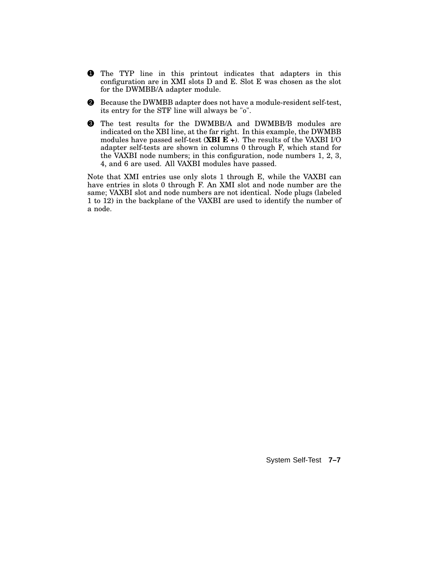- 1 The TYP line in this printout indicates that adapters in this configuration are in XMI slots D and E. Slot E was chosen as the slot for the DWMBB/A adapter module.
- 2 Because the DWMBB adapter does not have a module-resident self-test, its entry for the STF line will always be "o".
- 3 The test results for the DWMBB/A and DWMBB/B modules are indicated on the XBI line, at the far right. In this example, the DWMBB modules have passed self-test (**XBI E +**). The results of the VAXBI I/O adapter self-tests are shown in columns 0 through F, which stand for the VAXBI node numbers; in this configuration, node numbers 1, 2, 3, 4, and 6 are used. All VAXBI modules have passed.

Note that XMI entries use only slots 1 through E, while the VAXBI can have entries in slots 0 through F. An XMI slot and node number are the same; VAXBI slot and node numbers are not identical. Node plugs (labeled 1 to 12) in the backplane of the VAXBI are used to identify the number of a node.

System Self-Test **7–7**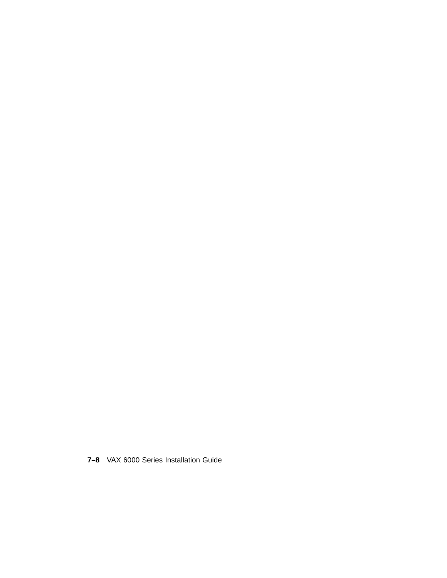**7–8** VAX 6000 Series Installation Guide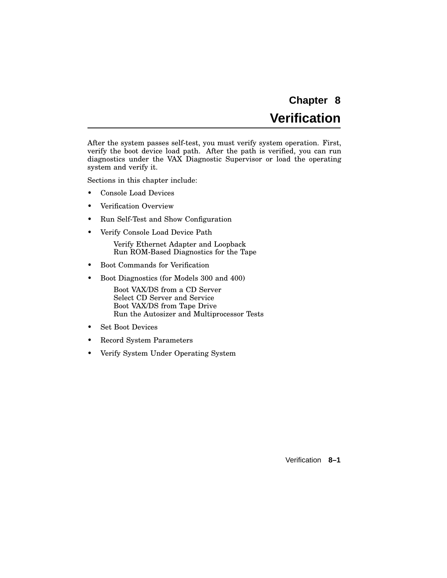# **Chapter 8 Verification**

After the system passes self-test, you must verify system operation. First, verify the boot device load path. After the path is verified, you can run diagnostics under the VAX Diagnostic Supervisor or load the operating system and verify it.

Sections in this chapter include:

- Console Load Devices
- Verification Overview
- Run Self-Test and Show Configuration
- Verify Console Load Device Path

Verify Ethernet Adapter and Loopback Run ROM-Based Diagnostics for the Tape

- Boot Commands for Verification
- Boot Diagnostics (for Models 300 and 400)

Boot VAX/DS from a CD Server Select CD Server and Service Boot VAX/DS from Tape Drive Run the Autosizer and Multiprocessor Tests

- Set Boot Devices
- Record System Parameters
- Verify System Under Operating System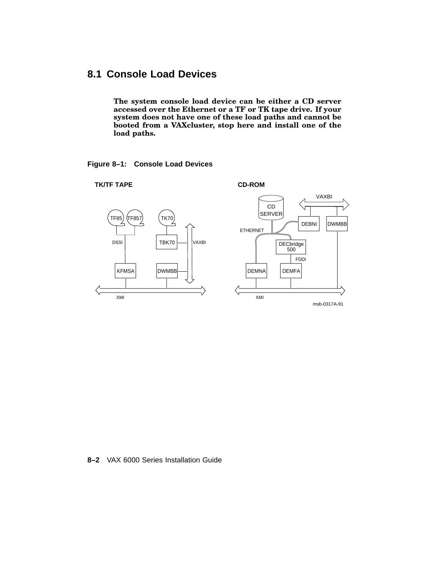## **8.1 Console Load Devices**

**The system console load device can be either a CD server accessed over the Ethernet or a TF or TK tape drive. If your system does not have one of these load paths and cannot be booted from a VAXcluster, stop here and install one of the load paths.**

#### **Figure 8–1: Console Load Devices**



**8–2** VAX 6000 Series Installation Guide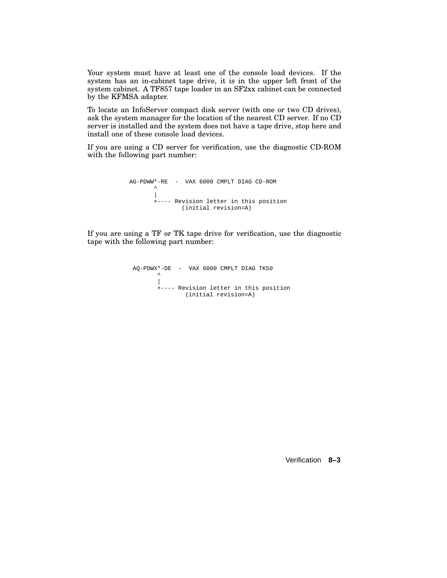Your system must have at least one of the console load devices. If the system has an in-cabinet tape drive, it is in the upper left front of the system cabinet. A TF857 tape loader in an SF2xx cabinet can be connected by the KFMSA adapter.

To locate an InfoServer compact disk server (with one or two CD drives), ask the system manager for the location of the nearest CD server. If no CD server is installed and the system does not have a tape drive, stop here and install one of these console load devices.

If you are using a CD server for verification, use the diagnostic CD-ROM with the following part number:

> AG-PDWW\*-RE - VAX 6000 CMPLT DIAG CD-ROM  $\lambda$ | +---- Revision letter in this position (initial revision=A)

If you are using a TF or TK tape drive for verification, use the diagnostic tape with the following part number:

> AQ-PDWX\*-DE - VAX 6000 CMPLT DIAG TK50  $\hat{\phantom{a}}$ | +---- Revision letter in this position (initial revision=A)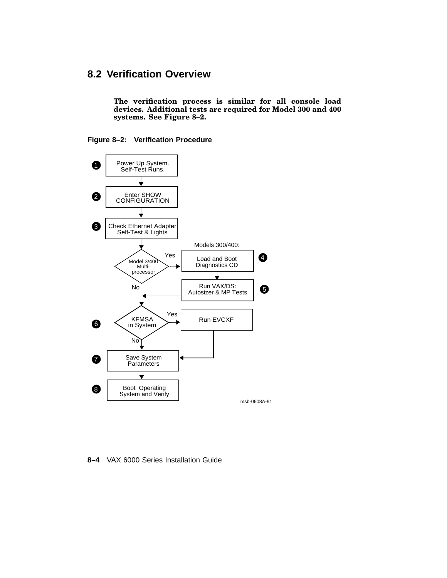# **8.2 Verification Overview**

**The verification process is similar for all console load devices. Additional tests are required for Model 300 and 400 systems. See Figure 8–2.**

**Figure 8–2: Verification Procedure**



**8–4** VAX 6000 Series Installation Guide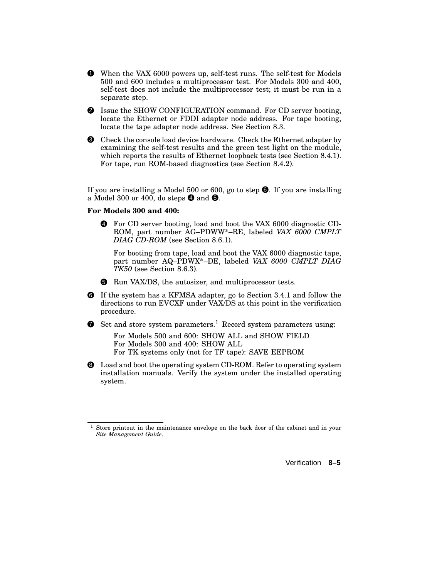- 1 When the VAX 6000 powers up, self-test runs. The self-test for Models 500 and 600 includes a multiprocessor test. For Models 300 and 400, self-test does not include the multiprocessor test; it must be run in a separate step.
- **2** Issue the SHOW CONFIGURATION command. For CD server booting, locate the Ethernet or FDDI adapter node address. For tape booting, locate the tape adapter node address. See Section 8.3.
- <sup>3</sup> Check the console load device hardware. Check the Ethernet adapter by examining the self-test results and the green test light on the module, which reports the results of Ethernet loopback tests (see Section 8.4.1). For tape, run ROM-based diagnostics (see Section 8.4.2).

If you are installing a Model 500 or 600, go to step  $\bullet$ . If you are installing a Model 300 or 400, do steps  $\bullet$  and  $\bullet$ .

#### **For Models 300 and 400:**

4 For CD server booting, load and boot the VAX 6000 diagnostic CD-ROM, part number AG–PDWW\*–RE, labeled *VAX 6000 CMPLT DIAG CD-ROM* (see Section 8.6.1).

For booting from tape, load and boot the VAX 6000 diagnostic tape, part number AQ–PDWX\*–DE, labeled *VAX 6000 CMPLT DIAG TK50* (see Section 8.6.3).

- 5 Run VAX/DS, the autosizer, and multiprocessor tests.
- 6 If the system has a KFMSA adapter, go to Section 3.4.1 and follow the directions to run EVCXF under VAX/DS at this point in the verification procedure.
- $\bullet$  Set and store system parameters.<sup>1</sup> Record system parameters using:

For Models 500 and 600: SHOW ALL and SHOW FIELD For Models 300 and 400: SHOW ALL For TK systems only (not for TF tape): SAVE EEPROM

8 Load and boot the operating system CD-ROM. Refer to operating system installation manuals. Verify the system under the installed operating system.

 $<sup>1</sup>$  Store printout in the maintenance envelope on the back door of the cabinet and in your</sup> *Site Management Guide*.

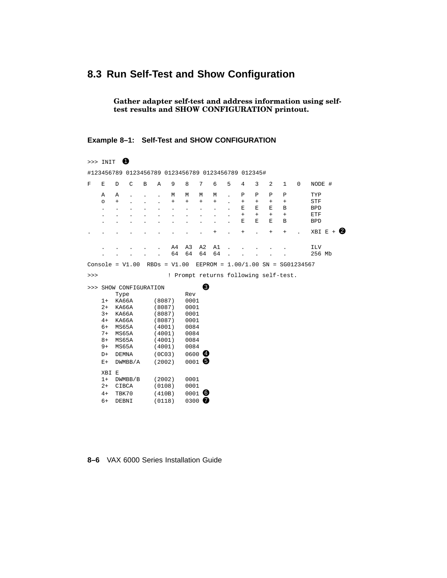## **8.3 Run Self-Test and Show Configuration**

**Gather adapter self-test and address information using selftest results and SHOW CONFIGURATION printout.**

**Example 8–1: Self-Test and SHOW CONFIGURATION**

 $\Rightarrow$  INIT  $\bullet$ #123456789 0123456789 0123456789 0123456789 012345# F E D C B A 9 8 7 6 5 4 3 2 1 0 NODE # A A . . . M M M M . P P P P TYP o + . . . + + + + . + + + + STF . . . . . . . . . . E E E B BPD . . . . . . . . . . + + + + ETF . . . . . . . . . . E E E B BPD . . . . . . . .  $+$  .  $+$  .  $+$  .  $\times$  XBI E + 2 . . . . . A4 A3 A2 A1 . . . . . ILV . . . . . 64 64 64 64 . . . . . 256 Mb Console = V1.00 RBDs = V1.00 EEPROM = 1.00/1.00 SN = SG01234567 >>> ! Prompt returns following self-test. >>> SHOW CONFIGURATION 33 Type Rev 1+ KA66A (8087) 0001 2+ KA66A (8087) 0001 3+ KA66A (8087) 0001<br>4+ KA66A (8087) 0001 4+ KA66A 6+ MS65A (4001) 0084 7+ MS65A (4001) 0084 8+ MS65A (4001) 0084 9+ MS65A (4001) 0084 D+ DEMNA (0C03) 0600 4  $E+$  DWMBB/A (2002) 0001 5 XBI E 1+ DWMBB/B (2002) 0001 2+ CIBCA (0108) 0001 4+ TBK70 (410B) 0001 6 6+ DEBNI (0118) 0300

**8–6** VAX 6000 Series Installation Guide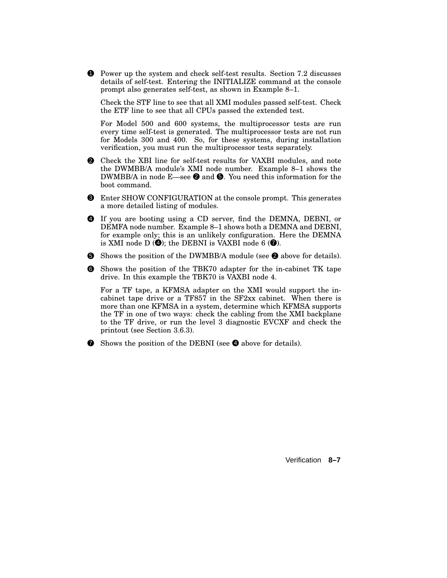**1** Power up the system and check self-test results. Section 7.2 discusses details of self-test. Entering the INITIALIZE command at the console prompt also generates self-test, as shown in Example 8–1.

Check the STF line to see that all XMI modules passed self-test. Check the ETF line to see that all CPUs passed the extended test.

For Model 500 and 600 systems, the multiprocessor tests are run every time self-test is generated. The multiprocessor tests are not run for Models 300 and 400. So, for these systems, during installation verification, you must run the multiprocessor tests separately.

- 2 Check the XBI line for self-test results for VAXBI modules, and note the DWMBB/A module's XMI node number. Example 8–1 shows the DWMBB/A in node E—see  $\odot$  and  $\odot$ . You need this information for the boot command.
- 3 Enter SHOW CONFIGURATION at the console prompt. This generates a more detailed listing of modules.
- 4 If you are booting using a CD server, find the DEMNA, DEBNI, or DEMFA node number. Example 8–1 shows both a DEMNA and DEBNI, for example only; this is an unlikely configuration. Here the DEMNA is XMI node D  $\textcircled{\textbf{0}}$ ; the DEBNI is VAXBI node 6  $\textcircled{\textbf{0}}$ .
- **6** Shows the position of the DWMBB/A module (see  $\bullet$  above for details).
- 6 Shows the position of the TBK70 adapter for the in-cabinet TK tape drive. In this example the TBK70 is VAXBI node 4.

For a TF tape, a KFMSA adapter on the XMI would support the incabinet tape drive or a TF857 in the SF2xx cabinet. When there is more than one KFMSA in a system, determine which KFMSA supports the TF in one of two ways: check the cabling from the XMI backplane to the TF drive, or run the level 3 diagnostic EVCXF and check the printout (see Section 3.6.3).

**•** Shows the position of the DEBNI (see  $\bullet$  above for details).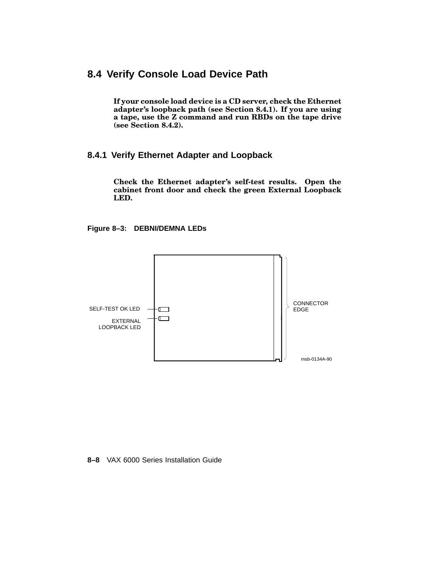## **8.4 Verify Console Load Device Path**

**If your console load device is a CD server, check the Ethernet adapter's loopback path (see Section 8.4.1). If you are using a tape, use the Z command and run RBDs on the tape drive (see Section 8.4.2).**

## **8.4.1 Verify Ethernet Adapter and Loopback**

**Check the Ethernet adapter's self-test results. Open the cabinet front door and check the green External Loopback LED.**

**Figure 8–3: DEBNI/DEMNA LEDs**



#### **8–8** VAX 6000 Series Installation Guide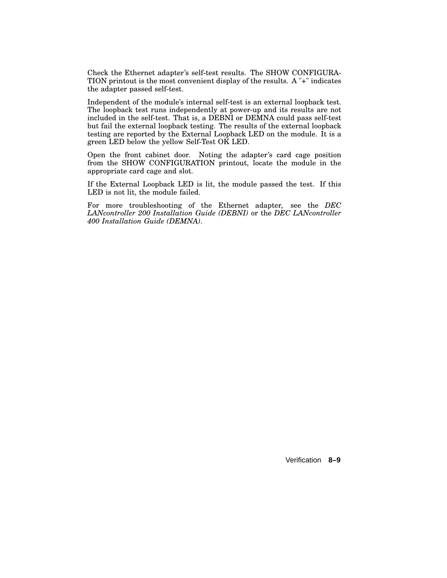Check the Ethernet adapter's self-test results. The SHOW CONFIGURA-TION printout is the most convenient display of the results. A "+" indicates the adapter passed self-test.

Independent of the module's internal self-test is an external loopback test. The loopback test runs independently at power-up and its results are not included in the self-test. That is, a DEBNI or DEMNA could pass self-test but fail the external loopback testing. The results of the external loopback testing are reported by the External Loopback LED on the module. It is a green LED below the yellow Self-Test OK LED.

Open the front cabinet door. Noting the adapter's card cage position from the SHOW CONFIGURATION printout, locate the module in the appropriate card cage and slot.

If the External Loopback LED is lit, the module passed the test. If this LED is not lit, the module failed.

For more troubleshooting of the Ethernet adapter, see the *DEC LANcontroller 200 Installation Guide (DEBNI)* or the *DEC LANcontroller 400 Installation Guide (DEMNA)*.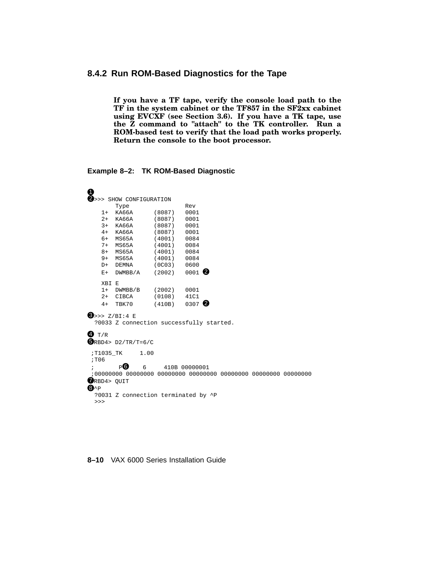#### **8.4.2 Run ROM-Based Diagnostics for the Tape**

**If you have a TF tape, verify the console load path to the TF in the system cabinet or the TF857 in the SF2xx cabinet using EVCXF (see Section 3.6). If you have a TK tape, use the Z command to "attach" to the TK controller. Run a ROM-based test to verify that the load path works properly. Return the console to the boot processor.**

**Example 8–2: TK ROM-Based Diagnostic**

```
1
2>>> SHOW CONFIGURATION
       Type Rev
   1+ KA66A (8087) 0001
   2+ KA66A (8087) 0001
   3+ KA66A (8087) 0001
   4+ KA66A (8087) 0001
   6+ MS65A (4001) 0084
   7+ MS65A (4001) 0084
   8+ MS65A (4001) 0084
   9+ MS65A (4001) 0084
   D+ DEMNA (0C03) 0600
   E+ DWMBB/A (2002) 0001 \bulletXBI E<br>1+ DWMBB/B
   1+ DWMBB/B (2002) 0001
   2+ CIBCA (0108) 41C1
   2+ CIBCA (0108) 41C1<br>
4+ TBK70 (410B) 0307
\bullet >>> Z/BI:4E?0033 Z connection successfully started.
\bullet t/r
\bigodotRBD4> D2/TR/T=6/C
 ;T1035_TK 1.00
 ;T06
 ; P_0 6 410B 00000001
 ;00000000 00000000 00000000 00000000 00000000 00000000 00000000
ORBD4> QUIT
\mathbf{Q}\sim \rm{P}?0031 Z connection terminated by ^P
 >>>
```
#### **8–10** VAX 6000 Series Installation Guide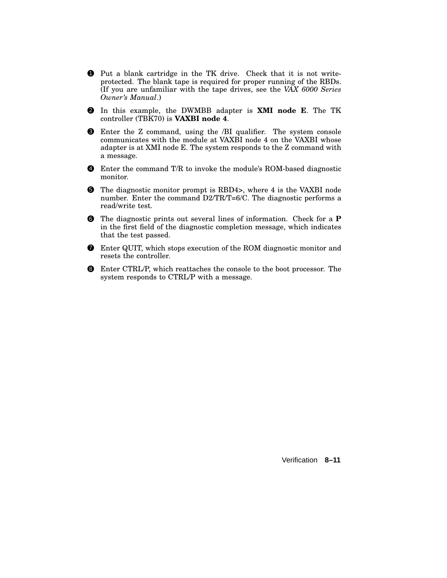- 1 Put a blank cartridge in the TK drive. Check that it is not writeprotected. The blank tape is required for proper running of the RBDs. (If you are unfamiliar with the tape drives, see the *VAX 6000 Series Owner's Manual*.)
- 2 In this example, the DWMBB adapter is **XMI node E**. The TK controller (TBK70) is **VAXBI node 4**.
- 3 Enter the Z command, using the /BI qualifier. The system console communicates with the module at VAXBI node 4 on the VAXBI whose adapter is at XMI node E. The system responds to the Z command with a message.
- 4 Enter the command T/R to invoke the module's ROM-based diagnostic monitor.
- 5 The diagnostic monitor prompt is RBD4>, where 4 is the VAXBI node number. Enter the command D2/TR/T=6/C. The diagnostic performs a read/write test.
- 6 The diagnostic prints out several lines of information. Check for a **P** in the first field of the diagnostic completion message, which indicates that the test passed.
- $\bullet$  Enter QUIT, which stops execution of the ROM diagnostic monitor and resets the controller.
- 8 Enter CTRL/P, which reattaches the console to the boot processor. The system responds to CTRL/P with a message.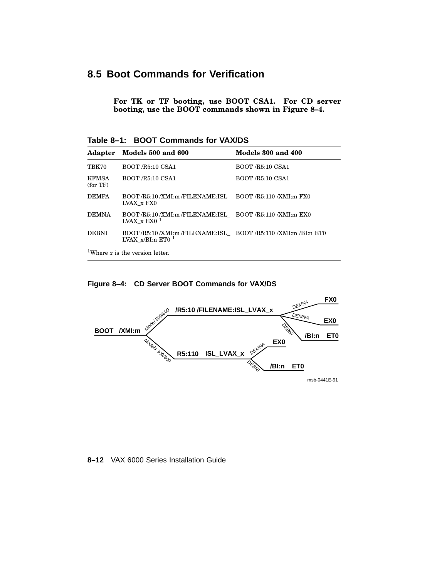## **8.5 Boot Commands for Verification**

**For TK or TF booting, use BOOT CSA1. For CD server booting, use the BOOT commands shown in Figure 8–4.**

**Table 8–1: BOOT Commands for VAX/DS**

| <b>Adapter</b>                              | Models 500 and 600                                                                          | Models 300 and 400      |  |  |
|---------------------------------------------|---------------------------------------------------------------------------------------------|-------------------------|--|--|
| <b>TBK70</b>                                | <b>BOOT /R5:10 CSA1</b>                                                                     | <b>BOOT /R5:10 CSA1</b> |  |  |
| <b>KFMSA</b><br>(for TF)                    | <b>BOOT /R5:10 CSA1</b>                                                                     | <b>BOOT /R5:10 CSA1</b> |  |  |
| <b>DEMFA</b>                                | BOOT /R5:10 /XMI:m /FILENAME:ISL BOOT /R5:110 /XMI:m FX0<br>LVAX x FX0                      |                         |  |  |
| <b>DEMNA</b>                                | BOOT /R5:10 /XMI:m /FILENAME: ISL BOOT /R5:110 /XMI:m EX0<br>LVAX $\times$ EX0 <sup>1</sup> |                         |  |  |
| <b>DEBNI</b>                                | BOOT /R5:10 /XMI:m /FILENAME:ISL BOOT /R5:110 /XMI:m /BI:n ET0<br>LVAX $x/BI:n ETO1$        |                         |  |  |
| <sup>1</sup> Where x is the version letter. |                                                                                             |                         |  |  |

**Figure 8–4: CD Server BOOT Commands for VAX/DS**



**8–12** VAX 6000 Series Installation Guide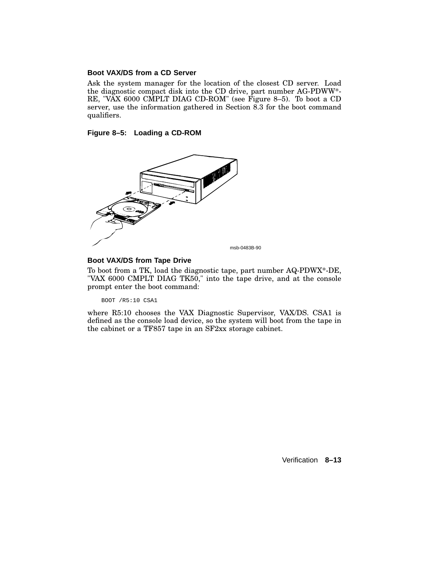#### **Boot VAX/DS from a CD Server**

Ask the system manager for the location of the closest CD server. Load the diagnostic compact disk into the CD drive, part number AG-PDWW\*- RE, "VAX 6000 CMPLT DIAG CD-ROM" (see Figure 8–5). To boot a CD server, use the information gathered in Section 8.3 for the boot command qualifiers.

#### **Figure 8–5: Loading a CD-ROM**



#### **Boot VAX/DS from Tape Drive**

To boot from a TK, load the diagnostic tape, part number AQ-PDWX\*-DE, "VAX 6000 CMPLT DIAG TK50," into the tape drive, and at the console prompt enter the boot command:

BOOT /R5:10 CSA1

where R5:10 chooses the VAX Diagnostic Supervisor, VAX/DS. CSA1 is defined as the console load device, so the system will boot from the tape in the cabinet or a TF857 tape in an SF2xx storage cabinet.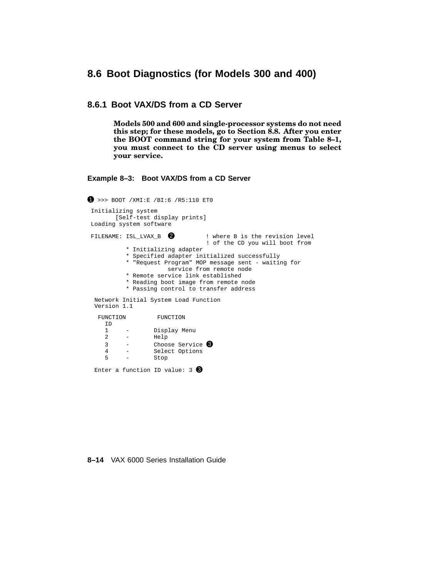## **8.6 Boot Diagnostics (for Models 300 and 400)**

### **8.6.1 Boot VAX/DS from a CD Server**

**Models 500 and 600 and single-processor systems do not need this step; for these models, go to Section 8.8. After you enter the BOOT command string for your system from Table 8–1, you must connect to the CD server using menus to select your service.**

#### **Example 8–3: Boot VAX/DS from a CD Server**

 $\bullet$  >>> BOOT /XMI:E /BI:6 /R5:110 ET0 Initializing system [Self-test display prints] Loading system software FILENAME: ISL\_LVAX\_B 2 ! where B is the revision level ! of the CD you will boot from \* Initializing adapter \* Specified adapter initialized successfully \* "Request Program" MOP message sent - waiting for service from remote node \* Remote service link established \* Reading boot image from remote node \* Passing control to transfer address Network Initial System Load Function Version 1.1 FUNCTION FUNCTION ID 1 - Display Menu<br>2 - Help 2 - Help 3 - Choose Service <sup>3</sup> 4 - Select Options Stop Enter a function ID value:  $3 \bullet$ 

#### **8–14** VAX 6000 Series Installation Guide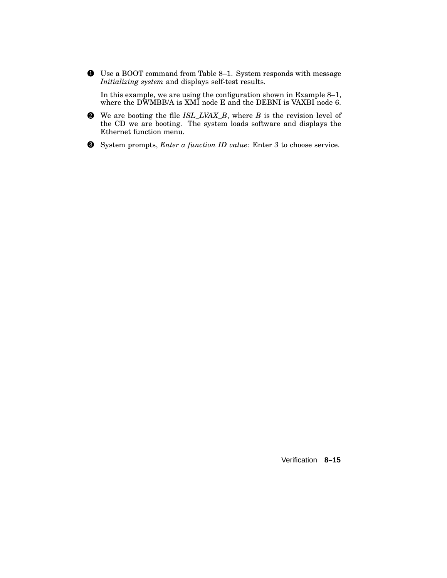1 Use a BOOT command from Table 8–1. System responds with message *Initializing system* and displays self-test results.

In this example, we are using the configuration shown in Example 8–1, where the DWMBB/A is XMI node E and the DEBNI is VAXBI node 6.

2 We are booting the file *ISL\_LVAX\_B*, where *B* is the revision level of the CD we are booting. The system loads software and displays the Ethernet function menu.

3 System prompts, *Enter a function ID value:* Enter *3* to choose service.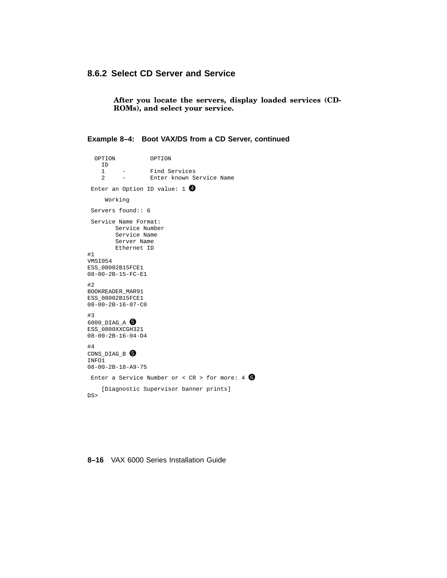## **8.6.2 Select CD Server and Service**

**After you locate the servers, display loaded services (CD-ROMs), and select your service.**

**Example 8–4: Boot VAX/DS from a CD Server, continued**

OPTION OPTION  $\begin{array}{c} \texttt{ID} \\ 1 \end{array}$ 1 - Find Services<br>2 - Enter known Se - Enter known Service Name Enter an Option ID value:  $1 \bullet$ Working Servers found:: 6 Service Name Format: Service Number Service Name Server Name Ethernet ID #1 VMSI054 ESS\_08002B15FCE1 08-00-2B-15-FC-E1 #2 BOOKREADER\_MAR91 ESS\_08002B15FCE1  $08-00-2B-16-07-C0$ #3  $6000$ \_DIAG\_A  $\bigcirc$ ESS\_0800XXCGH321  $08-00-2B-16-04-D4$ #4  $\cos_D$   $D$   $D$   $B$ INFO1 08-00-2B-18-A9-75 Enter a Service Number or <  $CR$  > for more: 4  $\bullet$ [Diagnostic Supervisor banner prints] DS>

#### **8–16** VAX 6000 Series Installation Guide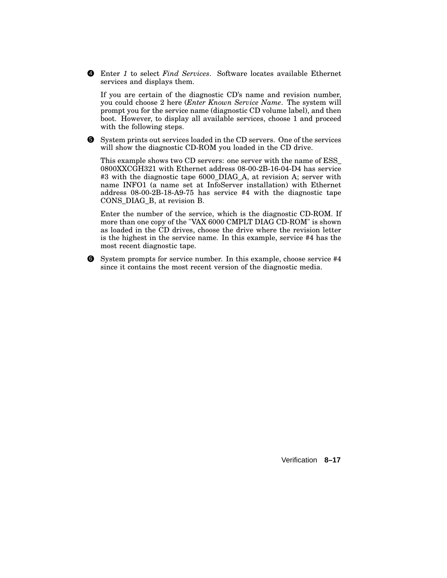4 Enter *1* to select *Find Services*. Software locates available Ethernet services and displays them.

If you are certain of the diagnostic CD's name and revision number, you could choose 2 here (*Enter Known Service Name*. The system will prompt you for the service name (diagnostic CD volume label), and then boot. However, to display all available services, choose 1 and proceed with the following steps.

5 System prints out services loaded in the CD servers. One of the services will show the diagnostic CD-ROM you loaded in the CD drive.

This example shows two CD servers: one server with the name of ESS\_ 0800XXCGH321 with Ethernet address 08-00-2B-16-04-D4 has service #3 with the diagnostic tape 6000\_DIAG\_A, at revision A; server with name INFO1 (a name set at InfoServer installation) with Ethernet address 08-00-2B-18-A9-75 has service #4 with the diagnostic tape CONS\_DIAG\_B, at revision B.

Enter the number of the service, which is the diagnostic CD-ROM. If more than one copy of the "VAX 6000 CMPLT DIAG CD-ROM" is shown as loaded in the CD drives, choose the drive where the revision letter is the highest in the service name. In this example, service #4 has the most recent diagnostic tape.

6 System prompts for service number. In this example, choose service #4 since it contains the most recent version of the diagnostic media.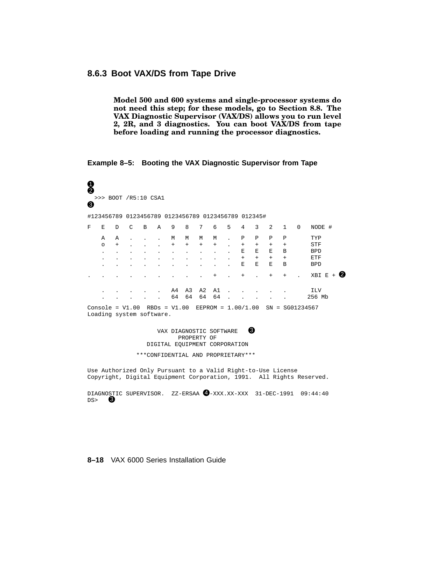### **8.6.3 Boot VAX/DS from Tape Drive**

**Model 500 and 600 systems and single-processor systems do not need this step; for these models, go to Section 8.8. The VAX Diagnostic Supervisor (VAX/DS) allows you to run level 2, 2R, and 3 diagnostics. You can boot VAX/DS from tape before loading and running the processor diagnostics.**

**Example 8–5: Booting the VAX Diagnostic Supervisor from Tape**

1 2 >>> BOOT /R5:10 CSA1 ഒ #123456789 0123456789 0123456789 0123456789 012345# F E D C B A 9 8 7 6 5 4 3 2 1 0 NODE # A A . . . M M M M . P P P P TYP o + . . . + + + + . + + + + STF . . . . . . . . . . E E E B BPD . . . . . . . . . . + + + + ETF . . . . . . . . . . E E E B BPD . . . . . . .  $+$  .  $+$  .  $+$  .  $+$  .  $X \text{B} \text{I} \text{E} + \bigcirc$ . . . . . A4 A3 A2 A1 . . . . . ILV<br>. . . . . 64 64 64 64 . . . . . 256 Mb  $\cdots$  . . . . 64 64 64 64 . . . . . Console = V1.00 RBDs = V1.00 EEPROM = 1.00/1.00 SN = SG01234567 Loading system software. VAX DIAGNOSTIC SOFTWARE 3 PROPERTY OF DIGITAL EQUIPMENT CORPORATION \*\*\*CONFIDENTIAL AND PROPRIETARY\*\*\* Use Authorized Only Pursuant to a Valid Right-to-Use License Copyright, Digital Equipment Corporation, 1991. All Rights Reserved. DIAGNOSTIC SUPERVISOR. ZZ-ERSAA  $\bigcirc$ -XXX.XX-XXX 31-DEC-1991 09:44:40<br>DS>  $DS$ 

**8–18** VAX 6000 Series Installation Guide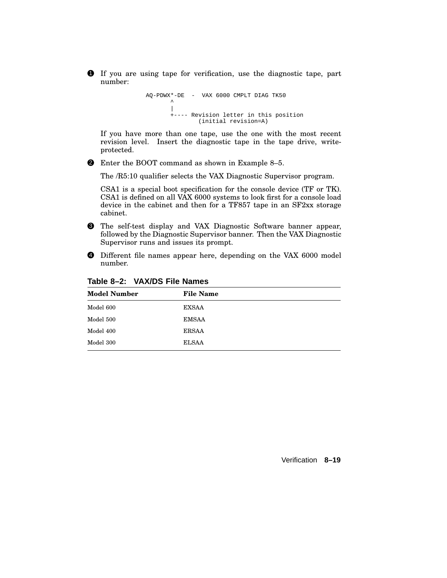1 If you are using tape for verification, use the diagnostic tape, part number:

```
AQ-PDWX*-DE - VAX 6000 CMPLT DIAG TK50
        \ddot{\phantom{1}}|
       +---- Revision letter in this position
                 (initial revision=A)
```
If you have more than one tape, use the one with the most recent revision level. Insert the diagnostic tape in the tape drive, writeprotected.

2 Enter the BOOT command as shown in Example 8–5.

The /R5:10 qualifier selects the VAX Diagnostic Supervisor program.

CSA1 is a special boot specification for the console device (TF or TK). CSA1 is defined on all VAX 6000 systems to look first for a console load device in the cabinet and then for a TF857 tape in an SF2xx storage cabinet.

- 3 The self-test display and VAX Diagnostic Software banner appear, followed by the Diagnostic Supervisor banner. Then the VAX Diagnostic Supervisor runs and issues its prompt.
- 4 Different file names appear here, depending on the VAX 6000 model number.

| <b>Model Number</b> | <b>File Name</b> |
|---------------------|------------------|
| Model 600           | <b>EXSAA</b>     |
| Model 500           | <b>EMSAA</b>     |
| Model 400           | <b>ERSAA</b>     |
| Model 300           | <b>ELSAA</b>     |

**Table 8–2: VAX/DS File Names**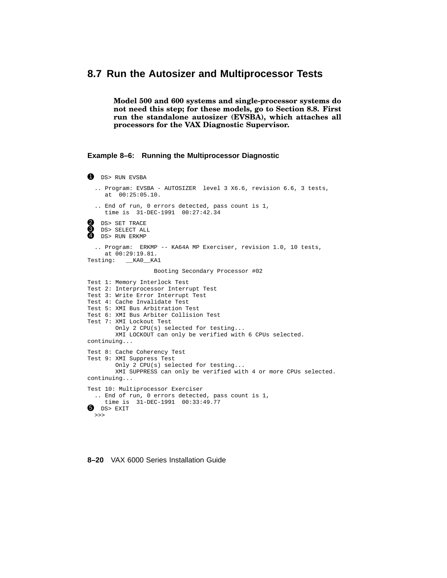## **8.7 Run the Autosizer and Multiprocessor Tests**

**Model 500 and 600 systems and single-processor systems do not need this step; for these models, go to Section 8.8. First run the standalone autosizer (EVSBA), which attaches all processors for the VAX Diagnostic Supervisor.**

**Example 8–6: Running the Multiprocessor Diagnostic**

```
DS> RUN EVSBA
  .. Program: EVSBA - AUTOSIZER level 3 X6.6, revision 6.6, 3 tests,
     at 00:25:05.10.
  .. End of run, 0 errors detected, pass count is 1,
    time is 31-DEC-1991 00:27:42.34
2 DS> SET TRACE<br><sup>3</sup> DS> SELECT AL
3 DS> SELECT ALL
  DS> RUN ERKMP
  .. Program: ERKMP -- KA64A MP Exerciser, revision 1.0, 10 tests,
     at 00:29:19.81.
Testing: __KA0__KA1
                   Booting Secondary Processor #02
Test 1: Memory Interlock Test
Test 2: Interprocessor Interrupt Test
Test 3: Write Error Interrupt Test
Test 4: Cache Invalidate Test
Test 5: XMI Bus Arbitration Test
Test 6: XMI Bus Arbiter Collision Test
Test 7: XMI Lockout Test
        Only 2 CPU(s) selected for testing...
        XMI LOCKOUT can only be verified with 6 CPUs selected.
continuing...
Test 8: Cache Coherency Test
Test 9: XMI Suppress Test
       Only 2 CPU(s) selected for testing...
        XMI SUPPRESS can only be verified with 4 or more CPUs selected.
continuing...
Test 10: Multiprocessor Exerciser
  .. End of run, 0 errors detected, pass count is 1,
    time is 31-DEC-1991 00:33:49.77
6 DS> EXIT
 >>>
```
#### **8–20** VAX 6000 Series Installation Guide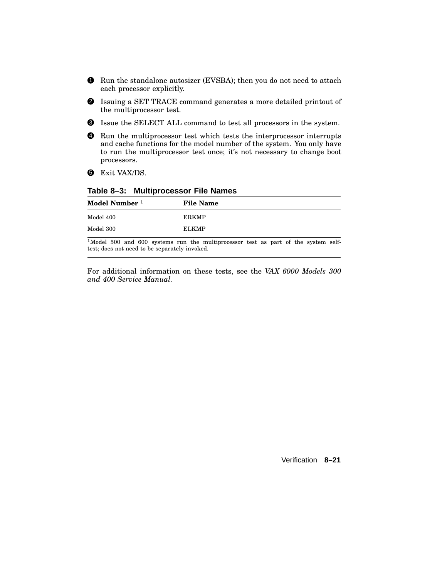- 1 Run the standalone autosizer (EVSBA); then you do not need to attach each processor explicitly.
- 2 Issuing a SET TRACE command generates a more detailed printout of the multiprocessor test.
- 3 Issue the SELECT ALL command to test all processors in the system.
- 4 Run the multiprocessor test which tests the interprocessor interrupts and cache functions for the model number of the system. You only have to run the multiprocessor test once; it's not necessary to change boot processors.
- **6** Exit VAX/DS.

**Table 8–3: Multiprocessor File Names**

| Model Number $^1$ | <b>File Name</b> |  |
|-------------------|------------------|--|
| Model 400         | <b>ERKMP</b>     |  |
| Model 300         | ELKMP            |  |
|                   | $\frac{1}{2}$    |  |

<sup>1</sup>Model 500 and 600 systems run the multiprocessor test as part of the system selftest; does not need to be separately invoked.

For additional information on these tests, see the *VAX 6000 Models 300 and 400 Service Manual.*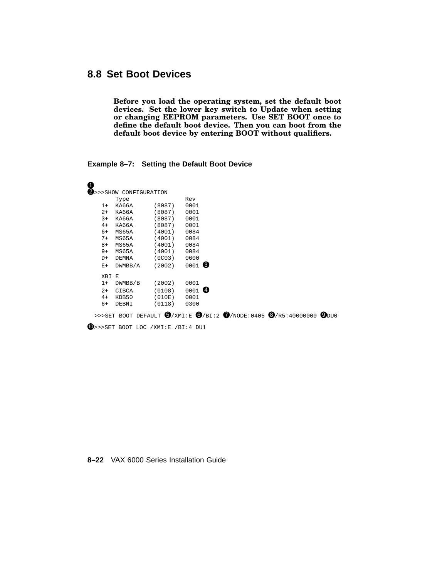## **8.8 Set Boot Devices**

**Before you load the operating system, set the default boot devices. Set the lower key switch to Update when setting or changing EEPROM parameters. Use SET BOOT once to define the default boot device. Then you can boot from the default boot device by entering BOOT without qualifiers.**

#### **Example 8–7: Setting the Default Boot Device**

1 2>>>SHOW CONFIGURATION Type Rev 1+ KA66A (8087) 0001<br>2+ KA66A (8087) 0001 2+ KA66A<br>3+ KA66A 3+ KA66A (8087) 0001 4+ KA66A (8087) 0001 6+ MS65A (4001) 0084 7+ MS65A (4001) 0084 8+ MS65A (4001) 0084 9+ MS65A (4001) 0084<br>D+ DEMNA (0C03) 0600 D+ DEMNA (0C03) 0600<br>E+ DWMBB/A (2002) 0001 <sup>3</sup>  $E+$  DWMBB/A (2002) XBI E 1+ DWMBB/B (2002) 0001  $2+$  CIBCA (0108) 0001  $\bigoplus$ <br> $4+$  KDB50 (010E) 0001 4+ KDB50 (010E)<br>6+ DEBNI (0118) 6+ DEBNI (0118) 0300 >>>SET BOOT DEFAULT  $\bigcirc$ /XMI:E  $\bigcirc$ /BI:2  $\bigcirc$ /NODE:0405  $\bigcirc$ /R5:40000000  $\bigcirc$ DU0

10 >>>SET BOOT LOC /XMI:E /BI:4 DU1

**8–22** VAX 6000 Series Installation Guide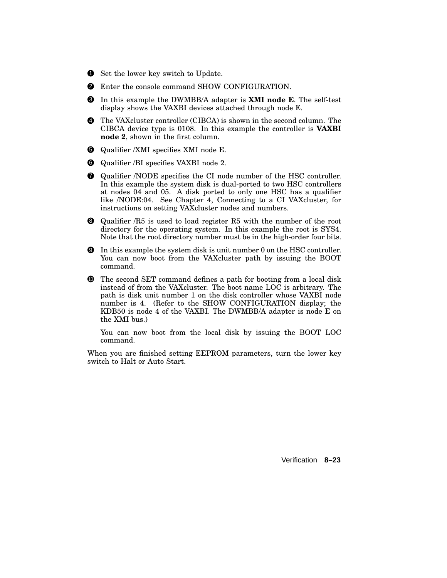- **1** Set the lower key switch to Update.
- 2 Enter the console command SHOW CONFIGURATION.
- 3 In this example the DWMBB/A adapter is **XMI node E**. The self-test display shows the VAXBI devices attached through node E.
- 4 The VAXcluster controller (CIBCA) is shown in the second column. The CIBCA device type is 0108. In this example the controller is **VAXBI node 2**, shown in the first column.
- 5 Qualifier /XMI specifies XMI node E.
- 6 Qualifier /BI specifies VAXBI node 2.
- $\bullet$  Qualifier /NODE specifies the CI node number of the HSC controller. In this example the system disk is dual-ported to two HSC controllers at nodes 04 and 05. A disk ported to only one HSC has a qualifier like /NODE:04. See Chapter 4, Connecting to a CI VAXcluster, for instructions on setting VAXcluster nodes and numbers.
- 8 Qualifier /R5 is used to load register R5 with the number of the root directory for the operating system. In this example the root is SYS4. Note that the root directory number must be in the high-order four bits.
- 9 In this example the system disk is unit number 0 on the HSC controller. You can now boot from the VAXcluster path by issuing the BOOT command.
- The second SET command defines a path for booting from a local disk instead of from the VAXcluster. The boot name LOC is arbitrary. The path is disk unit number 1 on the disk controller whose VAXBI node number is 4. (Refer to the SHOW CONFIGURATION display; the KDB50 is node 4 of the VAXBI. The DWMBB/A adapter is node E on the XMI bus.)

You can now boot from the local disk by issuing the BOOT LOC command.

When you are finished setting EEPROM parameters, turn the lower key switch to Halt or Auto Start.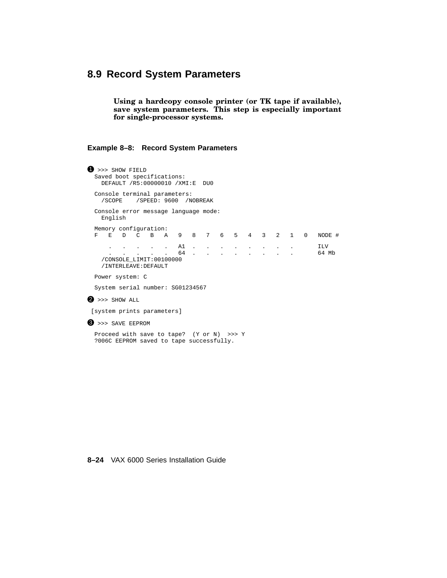# **8.9 Record System Parameters**

**Using a hardcopy console printer (or TK tape if available), save system parameters. This step is especially important for single-processor systems.**

#### **Example 8–8: Record System Parameters**

```
\bullet >>> SHOW FIELD
 Saved boot specifications:
  DEFAULT /R5:00000010 /XMI:E DU0
 Console terminal parameters:
  /SCOPE /SPEED: 9600 /NOBREAK
 Console error message language mode:
  English
 Memory configuration:
 F E D C B A 9 8 7 6 5 4 3 2 1 0 NODE #
     . . . . . A1 . . . . . . . . . ILV
     . . . . . 64 . . . . . . . . 64 Mb
   /CONSOLE_LIMIT:00100000
   /INTERLEAVE:DEFAULT
 Power system: C
 System serial number: SG01234567
\bullet >>> SHOW ALL
[system prints parameters]
\bullet >>> SAVE EEPROM
 Proceed with save to tape? (Y or N) >>> Y
 ?006C EEPROM saved to tape successfully.
```
#### **8–24** VAX 6000 Series Installation Guide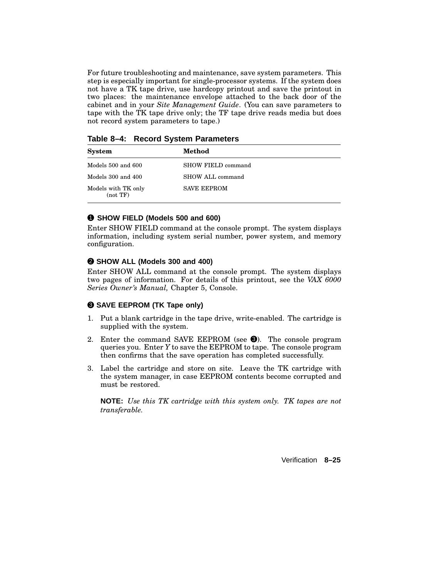For future troubleshooting and maintenance, save system parameters. This step is especially important for single-processor systems. If the system does not have a TK tape drive, use hardcopy printout and save the printout in two places: the maintenance envelope attached to the back door of the cabinet and in your *Site Management Guide*. (You can save parameters to tape with the TK tape drive only; the TF tape drive reads media but does not record system parameters to tape.)

**Table 8–4: Record System Parameters**

| <b>System</b>                   | Method             |
|---------------------------------|--------------------|
| Models 500 and 600              | SHOW FIELD command |
| Models 300 and 400              | SHOW ALL command   |
| Models with TK only<br>(not TF) | <b>SAVE EEPROM</b> |

#### 1 **SHOW FIELD (Models 500 and 600)**

Enter SHOW FIELD command at the console prompt. The system displays information, including system serial number, power system, and memory configuration.

#### 2 **SHOW ALL (Models 300 and 400)**

Enter SHOW ALL command at the console prompt. The system displays two pages of information. For details of this printout, see the *VAX 6000 Series Owner's Manual,* Chapter 5, Console.

#### 3 **SAVE EEPROM (TK Tape only)**

- 1. Put a blank cartridge in the tape drive, write-enabled. The cartridge is supplied with the system.
- 2. Enter the command SAVE EEPROM (see  $\bigcirc$ ). The console program queries you. Enter *Y* to save the EEPROM to tape. The console program then confirms that the save operation has completed successfully.
- 3. Label the cartridge and store on site. Leave the TK cartridge with the system manager, in case EEPROM contents become corrupted and must be restored.

**NOTE:** *Use this TK cartridge with this system only. TK tapes are not transferable.*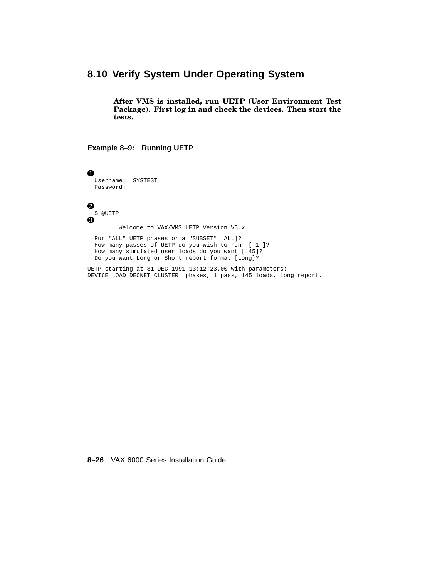## **8.10 Verify System Under Operating System**

**After VMS is installed, run UETP (User Environment Test Package). First log in and check the devices. Then start the tests.**

**Example 8–9: Running UETP**

 $\bf{0}$ Username: SYSTEST Password:  $\boldsymbol{Q}$ \$ @UETP  $\odot$ Welcome to VAX/VMS UETP Version V5.x Run "ALL" UETP phases or a "SUBSET" [ALL]? How many passes of UETP do you wish to run [ 1 ]? How many simulated user loads do you want [145]? Do you want Long or Short report format [Long]? UETP starting at 31-DEC-1991 13:12:23.00 with parameters: DEVICE LOAD DECNET CLUSTER phases, 1 pass, 145 loads, long report.

**8–26** VAX 6000 Series Installation Guide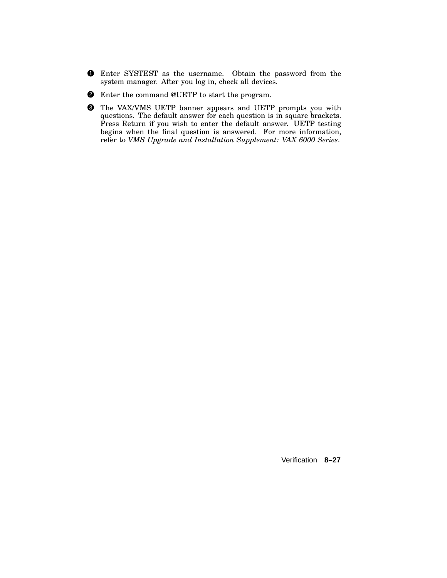- 1 Enter SYSTEST as the username. Obtain the password from the system manager. After you log in, check all devices.
- 2 Enter the command @UETP to start the program.
- 3 The VAX/VMS UETP banner appears and UETP prompts you with questions. The default answer for each question is in square brackets. Press Return if you wish to enter the default answer. UETP testing begins when the final question is answered. For more information, refer to *VMS Upgrade and Installation Supplement: VAX 6000 Series*.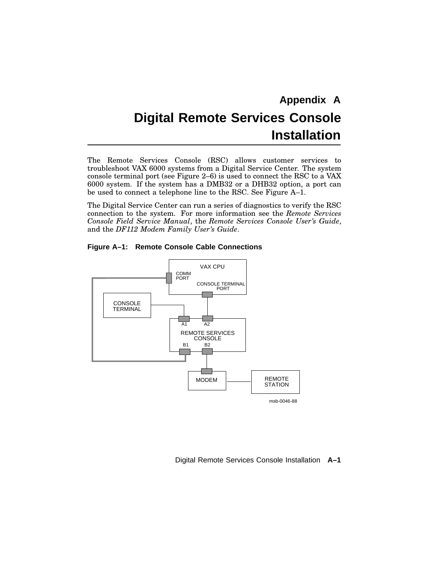# **Appendix A Digital Remote Services Console Installation**

The Remote Services Console (RSC) allows customer services to troubleshoot VAX 6000 systems from a Digital Service Center. The system console terminal port (see Figure 2–6) is used to connect the RSC to a VAX 6000 system. If the system has a DMB32 or a DHB32 option, a port can be used to connect a telephone line to the RSC. See Figure A–1.

The Digital Service Center can run a series of diagnostics to verify the RSC connection to the system. For more information see the *Remote Services Console Field Service Manual*, the *Remote Services Console User's Guide*, and the *DF112 Modem Family User's Guide*.



#### **Figure A–1: Remote Console Cable Connections**

#### Digital Remote Services Console Installation **A–1**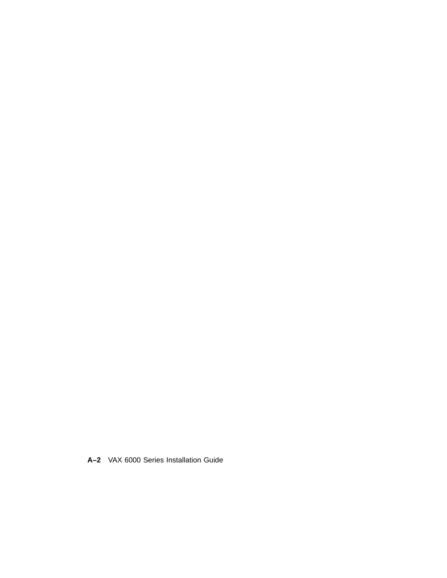**A–2** VAX 6000 Series Installation Guide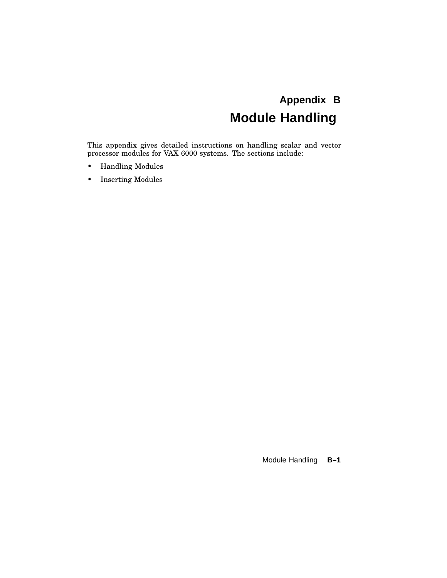# **Appendix B Module Handling**

This appendix gives detailed instructions on handling scalar and vector processor modules for VAX 6000 systems. The sections include:

- Handling Modules
- Inserting Modules

Module Handling **B–1**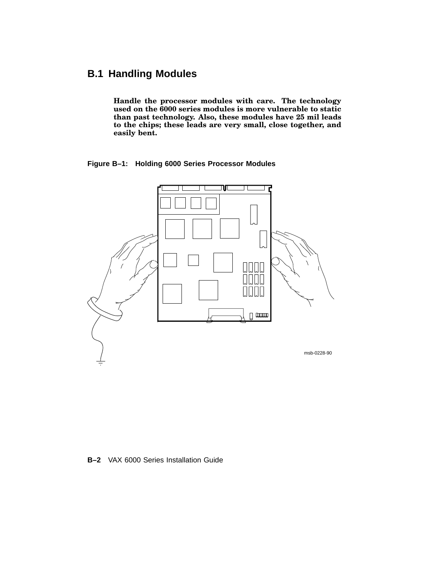# **B.1 Handling Modules**

**Handle the processor modules with care. The technology used on the 6000 series modules is more vulnerable to static than past technology. Also, these modules have 25 mil leads to the chips; these leads are very small, close together, and easily bent.**

**Figure B–1: Holding 6000 Series Processor Modules**



**B–2** VAX 6000 Series Installation Guide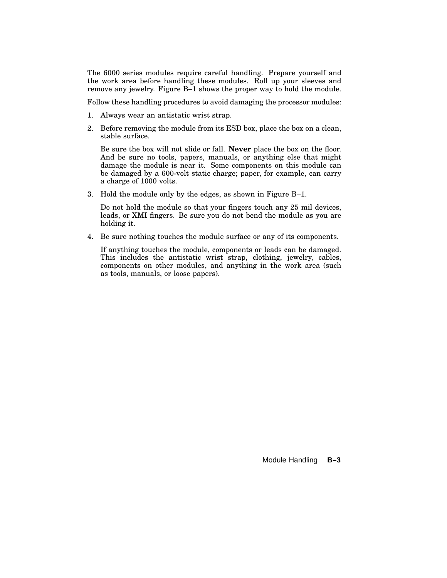The 6000 series modules require careful handling. Prepare yourself and the work area before handling these modules. Roll up your sleeves and remove any jewelry. Figure B–1 shows the proper way to hold the module.

Follow these handling procedures to avoid damaging the processor modules:

- 1. Always wear an antistatic wrist strap.
- 2. Before removing the module from its ESD box, place the box on a clean, stable surface.

Be sure the box will not slide or fall. **Never** place the box on the floor. And be sure no tools, papers, manuals, or anything else that might damage the module is near it. Some components on this module can be damaged by a 600-volt static charge; paper, for example, can carry a charge of 1000 volts.

3. Hold the module only by the edges, as shown in Figure B–1.

Do not hold the module so that your fingers touch any 25 mil devices, leads, or XMI fingers. Be sure you do not bend the module as you are holding it.

4. Be sure nothing touches the module surface or any of its components.

If anything touches the module, components or leads can be damaged. This includes the antistatic wrist strap, clothing, jewelry, cables, components on other modules, and anything in the work area (such as tools, manuals, or loose papers).

Module Handling **B–3**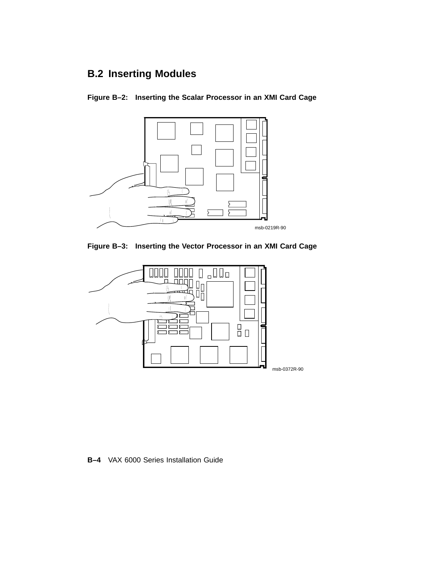# **B.2 Inserting Modules**

**Figure B–2: Inserting the Scalar Processor in an XMI Card Cage**



**Figure B–3: Inserting the Vector Processor in an XMI Card Cage**



**B–4** VAX 6000 Series Installation Guide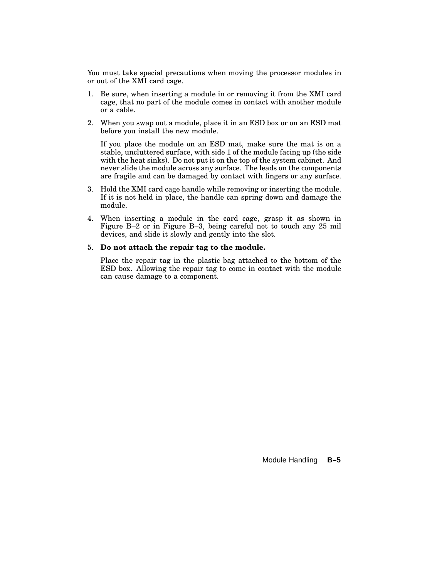You must take special precautions when moving the processor modules in or out of the XMI card cage.

- 1. Be sure, when inserting a module in or removing it from the XMI card cage, that no part of the module comes in contact with another module or a cable.
- 2. When you swap out a module, place it in an ESD box or on an ESD mat before you install the new module.

If you place the module on an ESD mat, make sure the mat is on a stable, uncluttered surface, with side 1 of the module facing up (the side with the heat sinks). Do not put it on the top of the system cabinet. And never slide the module across any surface. The leads on the components are fragile and can be damaged by contact with fingers or any surface.

- 3. Hold the XMI card cage handle while removing or inserting the module. If it is not held in place, the handle can spring down and damage the module.
- 4. When inserting a module in the card cage, grasp it as shown in Figure B–2 or in Figure B–3, being careful not to touch any 25 mil devices, and slide it slowly and gently into the slot.

#### 5. **Do not attach the repair tag to the module.**

Place the repair tag in the plastic bag attached to the bottom of the ESD box. Allowing the repair tag to come in contact with the module can cause damage to a component.

#### Module Handling **B–5**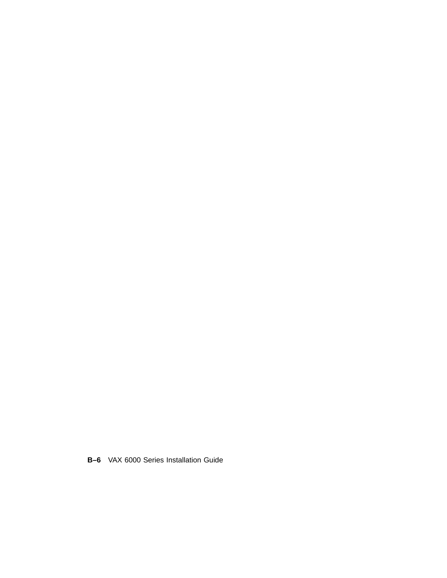**B–6** VAX 6000 Series Installation Guide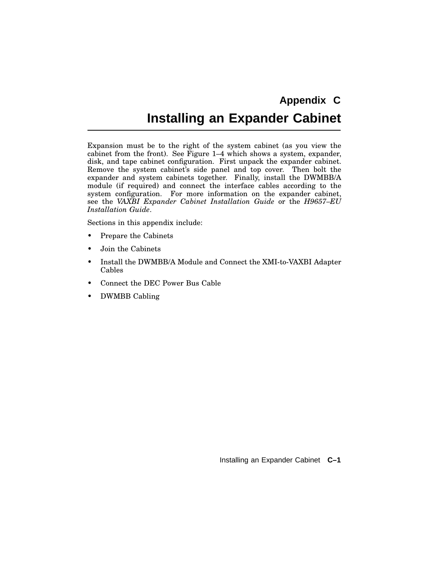# **Appendix C Installing an Expander Cabinet**

Expansion must be to the right of the system cabinet (as you view the cabinet from the front). See Figure 1–4 which shows a system, expander, disk, and tape cabinet configuration. First unpack the expander cabinet. Remove the system cabinet's side panel and top cover. Then bolt the expander and system cabinets together. Finally, install the DWMBB/A module (if required) and connect the interface cables according to the system configuration. For more information on the expander cabinet, see the *VAXBI Expander Cabinet Installation Guide* or the *H9657–EU Installation Guide*.

Sections in this appendix include:

- Prepare the Cabinets
- Join the Cabinets
- Install the DWMBB/A Module and Connect the XMI-to-VAXBI Adapter Cables
- Connect the DEC Power Bus Cable
- DWMBB Cabling

Installing an Expander Cabinet **C–1**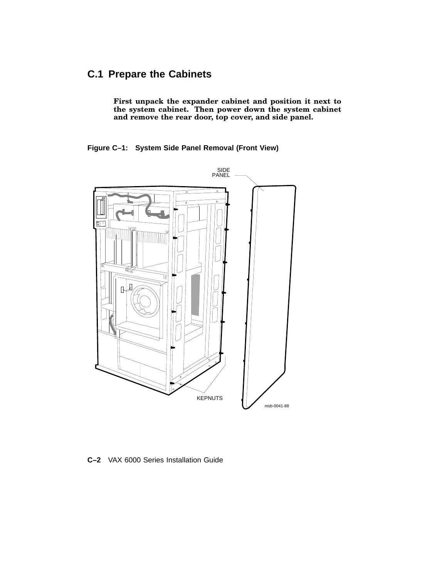# **C.1 Prepare the Cabinets**

**First unpack the expander cabinet and position it next to the system cabinet. Then power down the system cabinet and remove the rear door, top cover, and side panel.**

**Figure C–1: System Side Panel Removal (Front View)**



**C–2** VAX 6000 Series Installation Guide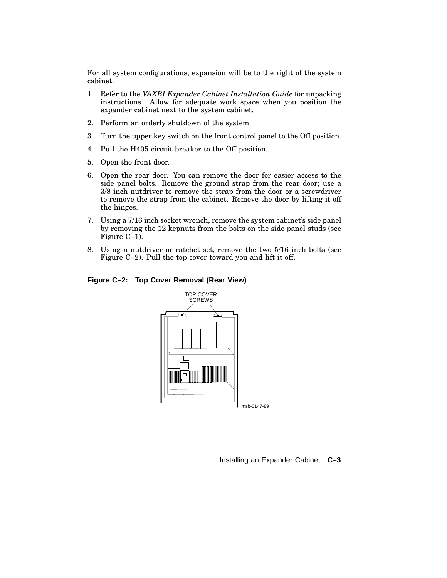For all system configurations, expansion will be to the right of the system cabinet.

- 1. Refer to the *VAXBI Expander Cabinet Installation Guide* for unpacking instructions. Allow for adequate work space when you position the expander cabinet next to the system cabinet.
- 2. Perform an orderly shutdown of the system.
- 3. Turn the upper key switch on the front control panel to the Off position.
- 4. Pull the H405 circuit breaker to the Off position.
- 5. Open the front door.
- 6. Open the rear door. You can remove the door for easier access to the side panel bolts. Remove the ground strap from the rear door; use a 3/8 inch nutdriver to remove the strap from the door or a screwdriver to remove the strap from the cabinet. Remove the door by lifting it off the hinges.
- 7. Using a 7/16 inch socket wrench, remove the system cabinet's side panel by removing the 12 kepnuts from the bolts on the side panel studs (see Figure C–1).
- 8. Using a nutdriver or ratchet set, remove the two 5/16 inch bolts (see Figure C–2). Pull the top cover toward you and lift it off.



#### **Figure C–2: Top Cover Removal (Rear View)**

Installing an Expander Cabinet **C–3**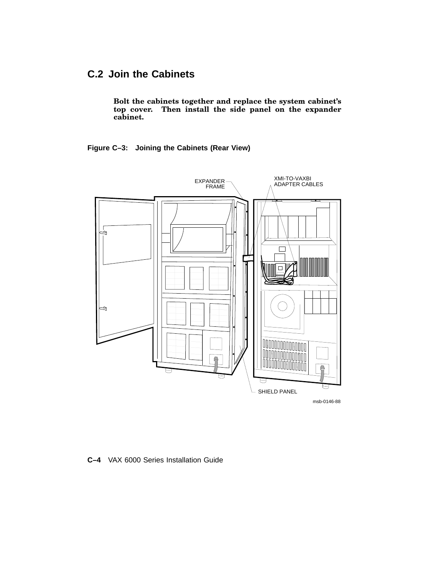# **C.2 Join the Cabinets**

**Bolt the cabinets together and replace the system cabinet's top cover. Then install the side panel on the expander cabinet.**

#### **Figure C–3: Joining the Cabinets (Rear View)**



**C–4** VAX 6000 Series Installation Guide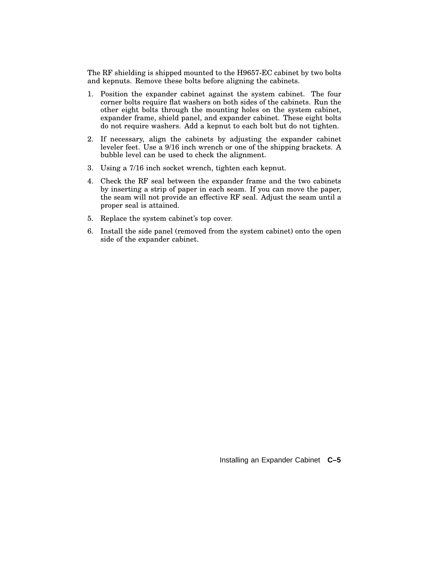The RF shielding is shipped mounted to the H9657-EC cabinet by two bolts and kepnuts. Remove these bolts before aligning the cabinets.

- 1. Position the expander cabinet against the system cabinet. The four corner bolts require flat washers on both sides of the cabinets. Run the other eight bolts through the mounting holes on the system cabinet, expander frame, shield panel, and expander cabinet. These eight bolts do not require washers. Add a kepnut to each bolt but do not tighten.
- 2. If necessary, align the cabinets by adjusting the expander cabinet leveler feet. Use a 9/16 inch wrench or one of the shipping brackets. A bubble level can be used to check the alignment.
- 3. Using a 7/16 inch socket wrench, tighten each kepnut.
- 4. Check the RF seal between the expander frame and the two cabinets by inserting a strip of paper in each seam. If you can move the paper, the seam will not provide an effective RF seal. Adjust the seam until a proper seal is attained.
- 5. Replace the system cabinet's top cover.
- 6. Install the side panel (removed from the system cabinet) onto the open side of the expander cabinet.

Installing an Expander Cabinet **C–5**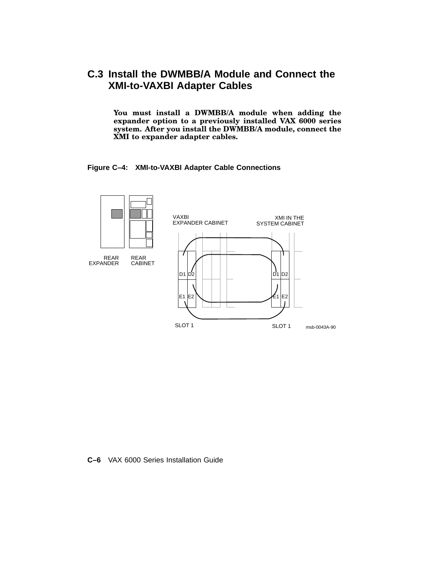# **C.3 Install the DWMBB/A Module and Connect the XMI-to-VAXBI Adapter Cables**

**You must install a DWMBB/A module when adding the expander option to a previously installed VAX 6000 series system. After you install the DWMBB/A module, connect the XMI to expander adapter cables.**

#### **Figure C–4: XMI-to-VAXBI Adapter Cable Connections**



**C–6** VAX 6000 Series Installation Guide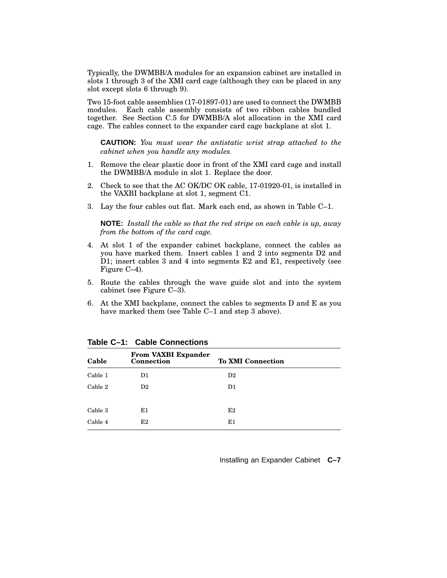Typically, the DWMBB/A modules for an expansion cabinet are installed in slots 1 through 3 of the XMI card cage (although they can be placed in any slot except slots 6 through 9).

Two 15-foot cable assemblies (17-01897-01) are used to connect the DWMBB modules. Each cable assembly consists of two ribbon cables bundled together. See Section C.5 for DWMBB/A slot allocation in the XMI card cage. The cables connect to the expander card cage backplane at slot 1.

**CAUTION:** *You must wear the antistatic wrist strap attached to the cabinet when you handle any modules.*

- 1. Remove the clear plastic door in front of the XMI card cage and install the DWMBB/A module in slot 1. Replace the door.
- 2. Check to see that the AC OK/DC OK cable, 17-01920-01, is installed in the VAXBI backplane at slot 1, segment C1.
- 3. Lay the four cables out flat. Mark each end, as shown in Table C–1.

**NOTE:** *Install the cable so that the red stripe on each cable is up, away from the bottom of the card cage.*

- 4. At slot 1 of the expander cabinet backplane, connect the cables as you have marked them. Insert cables 1 and 2 into segments D2 and D1; insert cables 3 and 4 into segments E2 and E1, respectively (see Figure C–4).
- 5. Route the cables through the wave guide slot and into the system cabinet (see Figure C–3).
- 6. At the XMI backplane, connect the cables to segments D and E as you have marked them (see Table C–1 and step 3 above).

| Cable   | <b>From VAXBI Expander</b><br>Connection | <b>To XMI Connection</b> |  |
|---------|------------------------------------------|--------------------------|--|
| Cable 1 | D1                                       | D2                       |  |
| Cable 2 | D2                                       | D1                       |  |
| Cable 3 | E1                                       | E2                       |  |
| Cable 4 | E2                                       | E1                       |  |

**Table C–1: Cable Connections**

Installing an Expander Cabinet **C–7**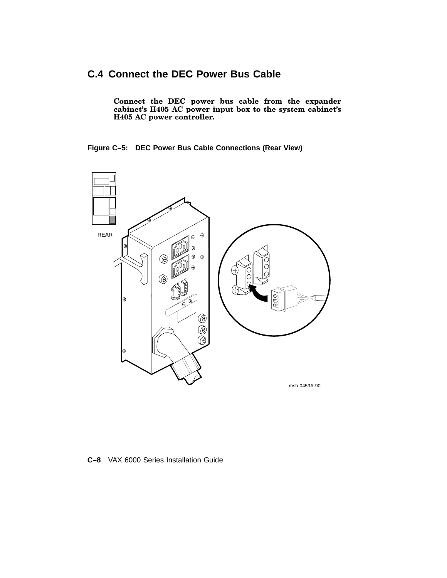# **C.4 Connect the DEC Power Bus Cable**

**Connect the DEC power bus cable from the expander cabinet's H405 AC power input box to the system cabinet's H405 AC power controller.**

**Figure C–5: DEC Power Bus Cable Connections (Rear View)**



**C–8** VAX 6000 Series Installation Guide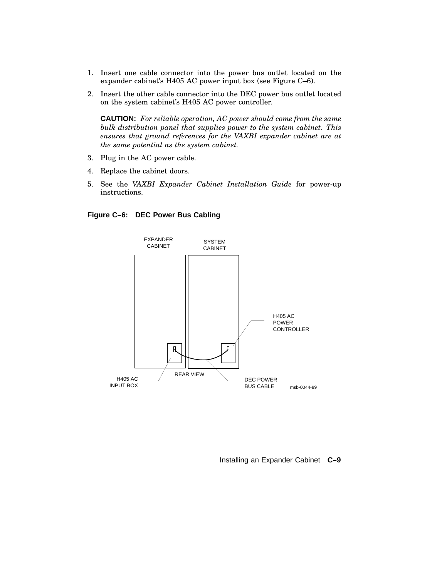- 1. Insert one cable connector into the power bus outlet located on the expander cabinet's H405 AC power input box (see Figure C–6).
- 2. Insert the other cable connector into the DEC power bus outlet located on the system cabinet's H405 AC power controller.

**CAUTION:** *For reliable operation, AC power should come from the same bulk distribution panel that supplies power to the system cabinet. This ensures that ground references for the VAXBI expander cabinet are at the same potential as the system cabinet.*

- 3. Plug in the AC power cable.
- 4. Replace the cabinet doors.
- 5. See the *VAXBI Expander Cabinet Installation Guide* for power-up instructions.

#### **Figure C–6: DEC Power Bus Cabling**



Installing an Expander Cabinet **C–9**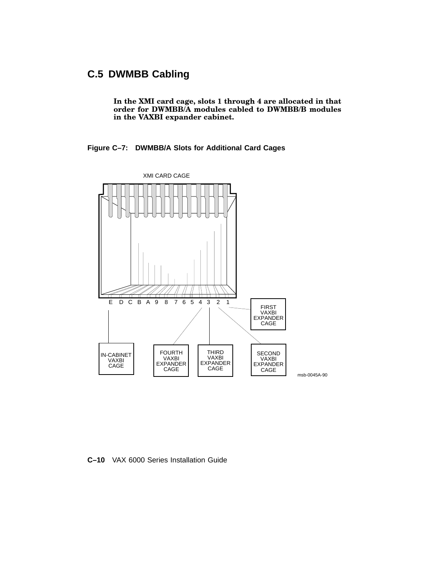# **C.5 DWMBB Cabling**

**In the XMI card cage, slots 1 through 4 are allocated in that order for DWMBB/A modules cabled to DWMBB/B modules in the VAXBI expander cabinet.**

**Figure C–7: DWMBB/A Slots for Additional Card Cages**



**C–10** VAX 6000 Series Installation Guide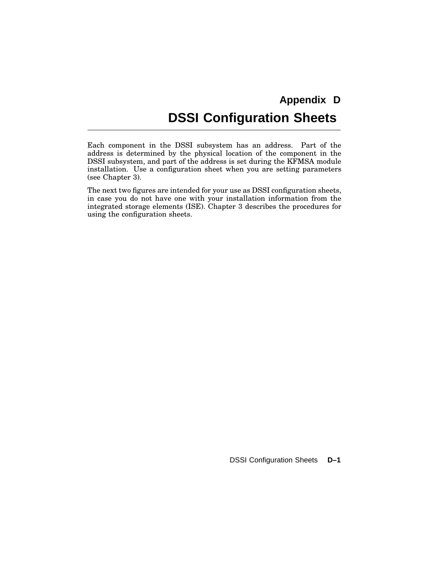# **Appendix D DSSI Configuration Sheets**

Each component in the DSSI subsystem has an address. Part of the address is determined by the physical location of the component in the DSSI subsystem, and part of the address is set during the KFMSA module installation. Use a configuration sheet when you are setting parameters (see Chapter 3).

The next two figures are intended for your use as DSSI configuration sheets, in case you do not have one with your installation information from the integrated storage elements (ISE). Chapter 3 describes the procedures for using the configuration sheets.

DSSI Configuration Sheets **D–1**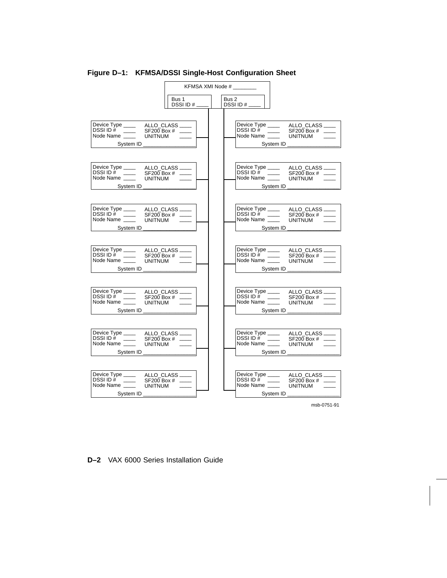

**Figure D–1: KFMSA/DSSI Single-Host Configuration Sheet**

**D–2** VAX 6000 Series Installation Guide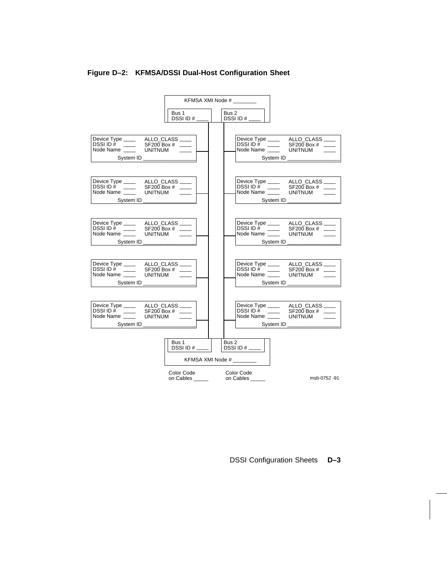

#### **Figure D–2: KFMSA/DSSI Dual-Host Configuration Sheet**

DSSI Configuration Sheets **D–3**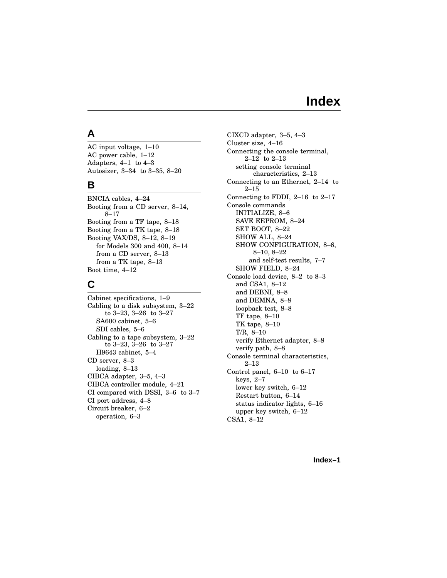# **Index**

# **A**

AC input voltage, 1–10 AC power cable, 1–12 Adapters, 4–1 to 4–3 Autosizer, 3–34 to 3–35, 8–20

### **B**

BNCIA cables, 4–24 Booting from a CD server, 8–14, 8–17 Booting from a TF tape, 8–18 Booting from a TK tape, 8–18 Booting VAX/DS, 8–12, 8–19 for Models 300 and 400, 8–14 from a CD server, 8–13 from a TK tape, 8–13 Boot time, 4–12

# **C**

Cabinet specifications, 1–9 Cabling to a disk subsystem, 3–22 to 3–23, 3–26 to 3–27 SA600 cabinet, 5–6 SDI cables, 5–6 Cabling to a tape subsystem, 3–22 to 3–23, 3–26 to 3–27 H9643 cabinet, 5–4 CD server, 8–3 loading, 8–13 CIBCA adapter, 3–5, 4–3 CIBCA controller module, 4–21 CI compared with DSSI, 3–6 to 3–7 CI port address, 4–8 Circuit breaker, 6–2 operation, 6–3

CIXCD adapter, 3–5, 4–3 Cluster size, 4–16 Connecting the console terminal, 2–12 to 2–13 setting console terminal characteristics, 2–13 Connecting to an Ethernet, 2–14 to 2–15 Connecting to FDDI, 2–16 to 2–17 Console commands INITIALIZE, 8–6 SAVE EEPROM, 8–24 SET BOOT, 8–22 SHOW ALL, 8–24 SHOW CONFIGURATION, 8–6, 8–10, 8–22 and self-test results, 7–7 SHOW FIELD, 8–24 Console load device, 8–2 to 8–3 and CSA1, 8–12 and DEBNI, 8–8 and DEMNA, 8–8 loopback test, 8–8 TF tape, 8–10 TK tape, 8–10 T/R, 8–10 verify Ethernet adapter, 8–8 verify path, 8–8 Console terminal characteristics, 2–13 Control panel, 6–10 to 6–17 keys, 2–7 lower key switch, 6–12 Restart button, 6–14 status indicator lights, 6–16 upper key switch, 6–12 CSA1, 8–12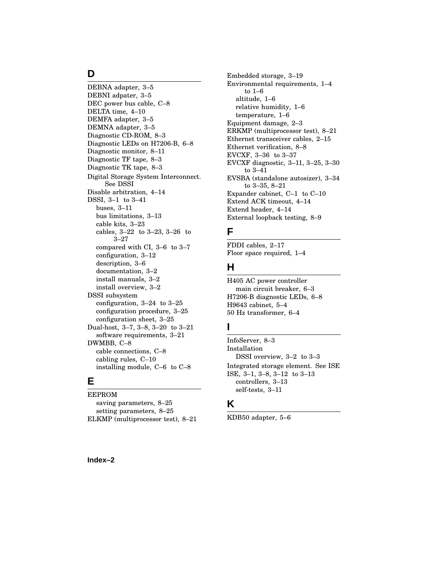### **D**

DEBNA adapter, 3–5 DEBNI adpater, 3–5 DEC power bus cable, C–8 DELTA time, 4–10 DEMFA adapter, 3–5 DEMNA adapter, 3–5 Diagnostic CD-ROM, 8–3 Diagnostic LEDs on H7206-B, 6–8 Diagnostic monitor, 8–11 Diagnostic TF tape, 8–3 Diagnostic TK tape, 8–3 Digital Storage System Interconnect. See DSSI Disable arbitration, 4–14 DSSI, 3–1 to 3–41 buses, 3–11 bus limitations, 3–13 cable kits, 3–23 cables, 3–22 to 3–23, 3–26 to 3–27 compared with CI, 3–6 to 3–7 configuration, 3–12 description, 3–6 documentation, 3–2 install manuals, 3–2 install overview, 3–2 DSSI subsystem configuration, 3–24 to 3–25 configuration procedure, 3–25 configuration sheet, 3–25 Dual-host, 3–7, 3–8, 3–20 to 3–21 software requirements, 3–21 DWMBB, C–8 cable connections, C–8 cabling rules, C–10 installing module, C–6 to C–8

## **E**

EEPROM saving parameters, 8–25 setting parameters, 8–25 ELKMP (multiprocessor test), 8–21 Embedded storage, 3–19 Environmental requirements, 1–4 to 1–6 altitude, 1–6 relative humidity, 1–6 temperature, 1–6 Equipment damage, 2–3 ERKMP (multiprocessor test), 8–21 Ethernet transceiver cables, 2–15 Ethernet verification, 8–8 EVCXF, 3–36 to 3–37 EVCXF diagnostic, 3–11, 3–25, 3–30 to 3–41 EVSBA (standalone autosizer), 3–34 to 3–35, 8–21 Expander cabinet, C–1 to C–10 Extend ACK timeout, 4–14 Extend header, 4–14 External loopback testing, 8–9

### **F**

FDDI cables, 2–17 Floor space required, 1–4

#### **H**

H405 AC power controller main circuit breaker, 6–3 H7206-B diagnostic LEDs, 6–8 H9643 cabinet, 5–4 50 Hz transformer, 6–4

#### **I**

InfoServer, 8–3 Installation DSSI overview, 3–2 to 3–3 Integrated storage element. See ISE ISE, 3–1, 3–8, 3–12 to 3–13 controllers, 3–13 self-tests, 3–11

#### **K**

KDB50 adapter, 5–6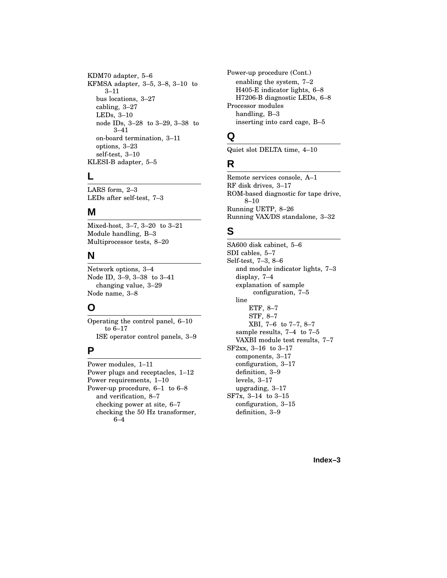KDM70 adapter, 5–6 KFMSA adapter, 3–5, 3–8, 3–10 to 3–11 bus locations, 3–27 cabling, 3–27 LEDs, 3–10 node IDs, 3–28 to 3–29, 3–38 to 3–41 on-board termination, 3–11 options, 3–23 self-test, 3–10 KLESI-B adapter, 5–5

## **L**

LARS form, 2–3 LEDs after self-test, 7–3

#### **M**

Mixed-host, 3–7, 3–20 to 3–21 Module handling, B–3 Multiprocessor tests, 8–20

### **N**

Network options, 3–4 Node ID, 3–9, 3–38 to 3–41 changing value, 3–29 Node name, 3–8

## **O**

Operating the control panel, 6–10 to 6–17 ISE operator control panels, 3–9

## **P**

Power modules, 1–11 Power plugs and receptacles, 1–12 Power requirements, 1–10 Power-up procedure, 6–1 to 6–8 and verification, 8–7 checking power at site, 6–7 checking the 50 Hz transformer, 6–4

Power-up procedure (Cont.) enabling the system, 7–2 H405-E indicator lights, 6–8 H7206-B diagnostic LEDs, 6–8 Processor modules handling, B–3 inserting into card cage, B–5

## **Q**

Quiet slot DELTA time, 4–10

# **R**

Remote services console, A–1 RF disk drives, 3–17 ROM-based diagnostic for tape drive, 8–10 Running UETP, 8–26 Running VAX/DS standalone, 3–32

## **S**

SA600 disk cabinet, 5–6 SDI cables, 5–7 Self-test, 7–3, 8–6 and module indicator lights, 7–3 display, 7–4 explanation of sample configuration, 7–5 line ETF, 8–7 STF, 8–7 XBI, 7–6 to 7–7, 8–7 sample results, 7–4 to 7–5 VAXBI module test results, 7–7 SF2xx, 3–16 to 3–17 components, 3–17 configuration, 3–17 definition, 3–9 levels, 3–17 upgrading, 3–17 SF7x, 3–14 to 3–15 configuration, 3–15 definition, 3–9